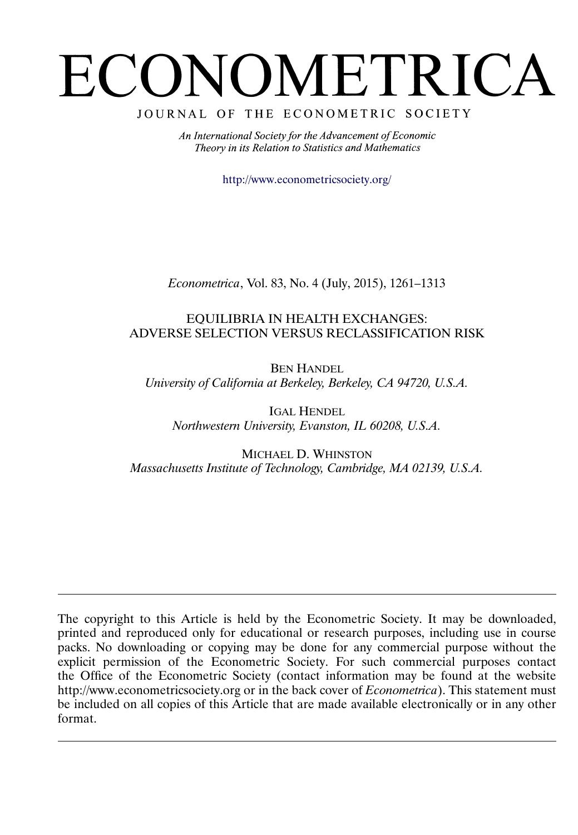# <span id="page-0-0"></span>ECONOMETRICA

# JOURNAL OF THE ECONOMETRIC SOCIETY

An International Society for the Advancement of Economic Theory in its Relation to Statistics and Mathematics

<http://www.econometricsociety.org/>

*Econometrica*, Vol. 83, No. 4 (July, 2015), 1261–1313

# EQUILIBRIA IN HEALTH EXCHANGES: ADVERSE SELECTION VERSUS RECLASSIFICATION RISK

BEN HANDEL *University of California at Berkeley, Berkeley, CA 94720, U.S.A.*

IGAL HENDEL *Northwestern University, Evanston, IL 60208, U.S.A.*

MICHAEL D. WHINSTON *Massachusetts Institute of Technology, Cambridge, MA 02139, U.S.A.*

The copyright to this Article is held by the Econometric Society. It may be downloaded, printed and reproduced only for educational or research purposes, including use in course packs. No downloading or copying may be done for any commercial purpose without the explicit permission of the Econometric Society. For such commercial purposes contact the Office of the Econometric Society (contact information may be found at the website http://www.econometricsociety.org or in the back cover of *Econometrica*). This statement must be included on all copies of this Article that are made available electronically or in any other format.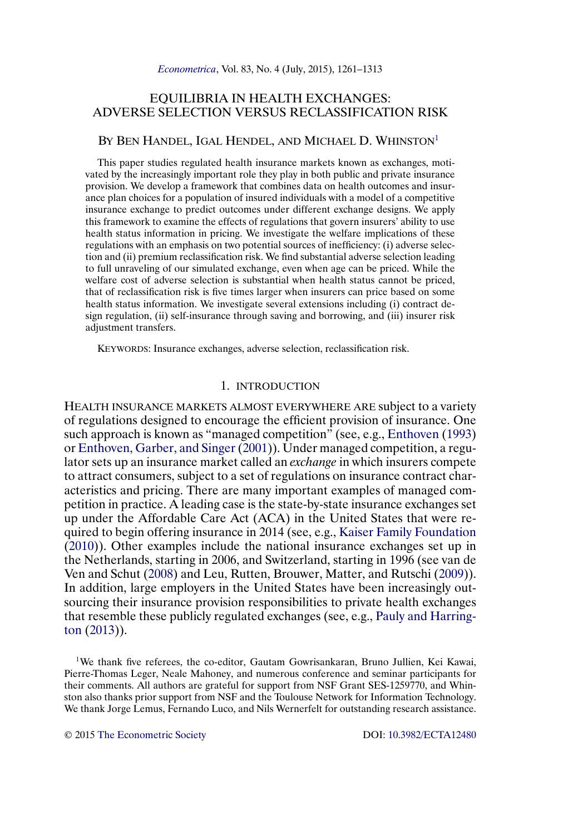# <span id="page-1-0"></span>EQUILIBRIA IN HEALTH EXCHANGES: ADVERSE SELECTION VERSUS RECLASSIFICATION RISK

## BY BEN HANDEL, IGAL HENDEL, AND MICHAEL D. WHINSTON<sup>1</sup>

This paper studies regulated health insurance markets known as exchanges, motivated by the increasingly important role they play in both public and private insurance provision. We develop a framework that combines data on health outcomes and insurance plan choices for a population of insured individuals with a model of a competitive insurance exchange to predict outcomes under different exchange designs. We apply this framework to examine the effects of regulations that govern insurers' ability to use health status information in pricing. We investigate the welfare implications of these regulations with an emphasis on two potential sources of inefficiency: (i) adverse selection and (ii) premium reclassification risk. We find substantial adverse selection leading to full unraveling of our simulated exchange, even when age can be priced. While the welfare cost of adverse selection is substantial when health status cannot be priced, that of reclassification risk is five times larger when insurers can price based on some health status information. We investigate several extensions including (i) contract design regulation, (ii) self-insurance through saving and borrowing, and (iii) insurer risk adjustment transfers.

KEYWORDS: Insurance exchanges, adverse selection, reclassification risk.

# 1. INTRODUCTION

HEALTH INSURANCE MARKETS ALMOST EVERYWHERE ARE subject to a variety of regulations designed to encourage the efficient provision of insurance. One such approach is known as "managed competition" (see, e.g., [Enthoven](#page-52-0) [\(1993\)](#page-52-0) or [Enthoven, Garber, and Singer](#page-52-0) [\(2001\)](#page-52-0)). Under managed competition, a regulator sets up an insurance market called an *exchange* in which insurers compete to attract consumers, subject to a set of regulations on insurance contract characteristics and pricing. There are many important examples of managed competition in practice. A leading case is the state-by-state insurance exchanges set up under the Affordable Care Act (ACA) in the United States that were required to begin offering insurance in 2014 (see, e.g., [Kaiser Family Foundation](#page-52-0) [\(2010\)](#page-52-0)). Other examples include the national insurance exchanges set up in the Netherlands, starting in 2006, and Switzerland, starting in 1996 (see van de Ven and Schut [\(2008\)](#page-53-0) and Leu, Rutten, Brouwer, Matter, and Rutschi [\(2009\)](#page-52-0)). In addition, large employers in the United States have been increasingly outsourcing their insurance provision responsibilities to private health exchanges that resemble these publicly regulated exchanges (see, e.g., [Pauly and Harring](#page-53-0)[ton](#page-53-0) [\(2013\)](#page-53-0)).

1We thank five referees, the co-editor, Gautam Gowrisankaran, Bruno Jullien, Kei Kawai, Pierre-Thomas Leger, Neale Mahoney, and numerous conference and seminar participants for their comments. All authors are grateful for support from NSF Grant SES-1259770, and Whinston also thanks prior support from NSF and the Toulouse Network for Information Technology. We thank Jorge Lemus, Fernando Luco, and Nils Wernerfelt for outstanding research assistance.

© 2015 [The Econometric Society](http://www.econometricsociety.org/) DOI: [10.3982/ECTA12480](http://dx.doi.org/10.3982/ECTA12480)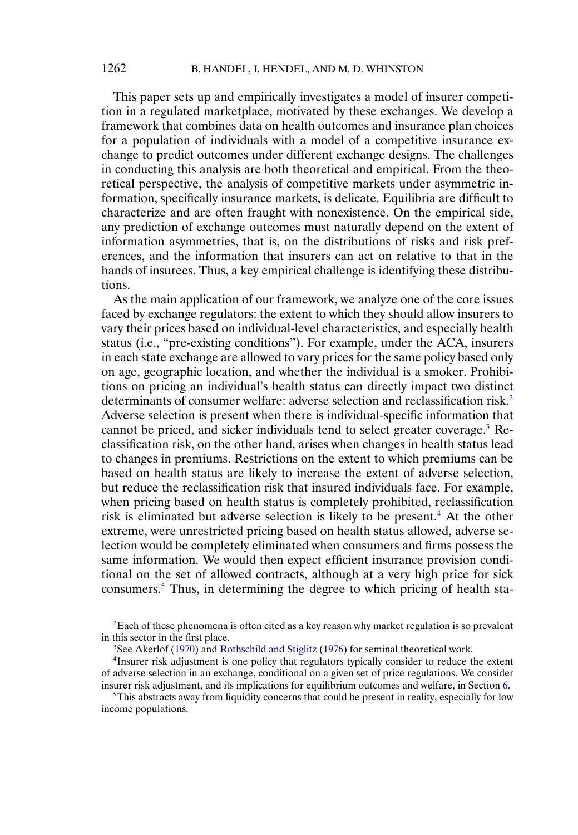<span id="page-2-0"></span>This paper sets up and empirically investigates a model of insurer competition in a regulated marketplace, motivated by these exchanges. We develop a framework that combines data on health outcomes and insurance plan choices for a population of individuals with a model of a competitive insurance exchange to predict outcomes under different exchange designs. The challenges in conducting this analysis are both theoretical and empirical. From the theoretical perspective, the analysis of competitive markets under asymmetric information, specifically insurance markets, is delicate. Equilibria are difficult to characterize and are often fraught with nonexistence. On the empirical side, any prediction of exchange outcomes must naturally depend on the extent of information asymmetries, that is, on the distributions of risks and risk preferences, and the information that insurers can act on relative to that in the hands of insurees. Thus, a key empirical challenge is identifying these distributions.

As the main application of our framework, we analyze one of the core issues faced by exchange regulators: the extent to which they should allow insurers to vary their prices based on individual-level characteristics, and especially health status (i.e., "pre-existing conditions"). For example, under the ACA, insurers in each state exchange are allowed to vary prices for the same policy based only on age, geographic location, and whether the individual is a smoker. Prohibitions on pricing an individual's health status can directly impact two distinct determinants of consumer welfare: adverse selection and reclassification risk.2 Adverse selection is present when there is individual-specific information that cannot be priced, and sicker individuals tend to select greater coverage.3 Reclassification risk, on the other hand, arises when changes in health status lead to changes in premiums. Restrictions on the extent to which premiums can be based on health status are likely to increase the extent of adverse selection, but reduce the reclassification risk that insured individuals face. For example, when pricing based on health status is completely prohibited, reclassification risk is eliminated but adverse selection is likely to be present.<sup>4</sup> At the other extreme, were unrestricted pricing based on health status allowed, adverse selection would be completely eliminated when consumers and firms possess the same information. We would then expect efficient insurance provision conditional on the set of allowed contracts, although at a very high price for sick consumers.5 Thus, in determining the degree to which pricing of health sta-

2Each of these phenomena is often cited as a key reason why market regulation is so prevalent in this sector in the first place.

<sup>3</sup>See Akerlof [\(1970\)](#page-51-0) and [Rothschild and Stiglitz](#page-53-0) [\(1976\)](#page-53-0) for seminal theoretical work.

<sup>4</sup>Insurer risk adjustment is one policy that regulators typically consider to reduce the extent of adverse selection in an exchange, conditional on a given set of price regulations. We consider insurer risk adjustment, and its implications for equilibrium outcomes and welfare, in Section [6.](#page-34-0)

 $<sup>5</sup>$ This abstracts away from liquidity concerns that could be present in reality, especially for low</sup> income populations.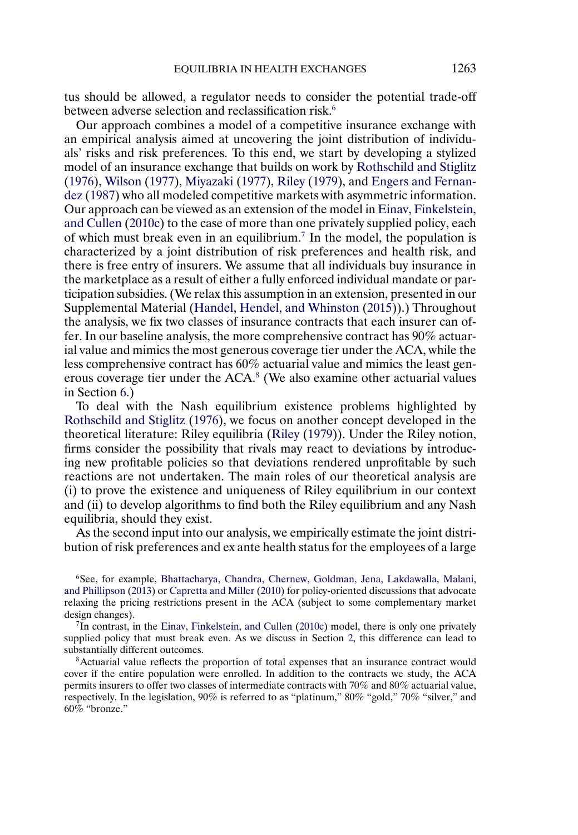<span id="page-3-0"></span>tus should be allowed, a regulator needs to consider the potential trade-off between adverse selection and reclassification risk.<sup>6</sup>

Our approach combines a model of a competitive insurance exchange with an empirical analysis aimed at uncovering the joint distribution of individuals' risks and risk preferences. To this end, we start by developing a stylized model of an insurance exchange that builds on work by [Rothschild and Stiglitz](#page-53-0) [\(1976\)](#page-53-0), [Wilson](#page-53-0) [\(1977\)](#page-53-0), [Miyazaki](#page-53-0) [\(1977\)](#page-53-0), [Riley](#page-53-0) [\(1979\)](#page-53-0), and [Engers and Fernan](#page-52-0)[dez](#page-52-0) [\(1987\)](#page-52-0) who all modeled competitive markets with asymmetric information. Our approach can be viewed as an extension of the model in [Einav, Finkelstein,](#page-52-0) [and Cullen](#page-52-0) [\(2010c\)](#page-52-0) to the case of more than one privately supplied policy, each of which must break even in an equilibrium.<sup>7</sup> In the model, the population is characterized by a joint distribution of risk preferences and health risk, and there is free entry of insurers. We assume that all individuals buy insurance in the marketplace as a result of either a fully enforced individual mandate or participation subsidies. (We relax this assumption in an extension, presented in our Supplemental Material [\(Handel, Hendel, and Whinston](#page-52-0) [\(2015\)](#page-52-0)).) Throughout the analysis, we fix two classes of insurance contracts that each insurer can offer. In our baseline analysis, the more comprehensive contract has 90% actuarial value and mimics the most generous coverage tier under the ACA, while the less comprehensive contract has 60% actuarial value and mimics the least generous coverage tier under the ACA.8 (We also examine other actuarial values in Section [6.](#page-34-0))

To deal with the Nash equilibrium existence problems highlighted by [Rothschild and Stiglitz](#page-53-0) [\(1976\)](#page-53-0), we focus on another concept developed in the theoretical literature: Riley equilibria [\(Riley](#page-53-0) [\(1979\)](#page-53-0)). Under the Riley notion, firms consider the possibility that rivals may react to deviations by introducing new profitable policies so that deviations rendered unprofitable by such reactions are not undertaken. The main roles of our theoretical analysis are (i) to prove the existence and uniqueness of Riley equilibrium in our context and (ii) to develop algorithms to find both the Riley equilibrium and any Nash equilibria, should they exist.

As the second input into our analysis, we empirically estimate the joint distribution of risk preferences and ex ante health status for the employees of a large

6See, for example, [Bhattacharya, Chandra, Chernew, Goldman, Jena, Lakdawalla, Malani,](#page-51-0) [and Phillipson](#page-51-0) [\(2013\)](#page-51-0) or [Capretta and Miller](#page-51-0) [\(2010\)](#page-51-0) for policy-oriented discussions that advocate relaxing the pricing restrictions present in the ACA (subject to some complementary market design changes).

7In contrast, in the [Einav, Finkelstein, and Cullen](#page-52-0) [\(2010c\)](#page-52-0) model, there is only one privately supplied policy that must break even. As we discuss in Section [2,](#page-7-0) this difference can lead to substantially different outcomes.

<sup>8</sup>Actuarial value reflects the proportion of total expenses that an insurance contract would cover if the entire population were enrolled. In addition to the contracts we study, the ACA permits insurers to offer two classes of intermediate contracts with 70% and 80% actuarial value, respectively. In the legislation, 90% is referred to as "platinum," 80% "gold," 70% "silver," and 60% "bronze."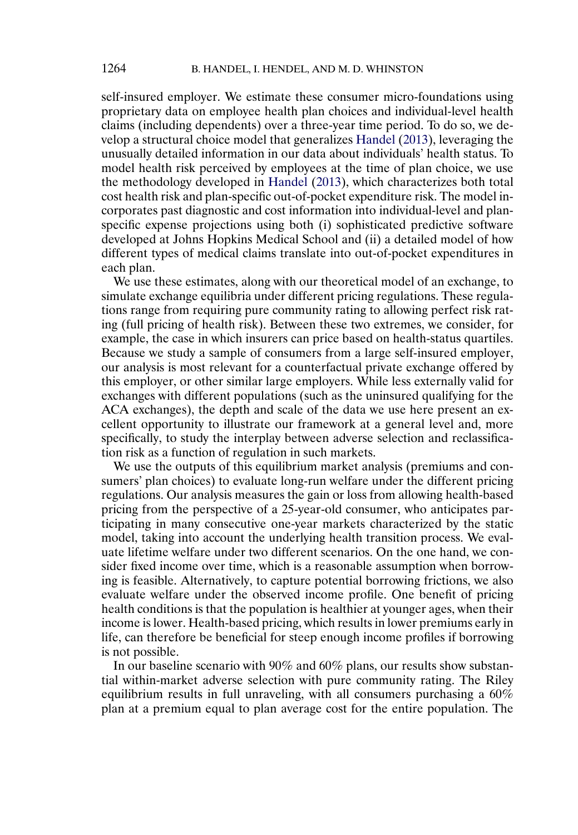<span id="page-4-0"></span>self-insured employer. We estimate these consumer micro-foundations using proprietary data on employee health plan choices and individual-level health claims (including dependents) over a three-year time period. To do so, we develop a structural choice model that generalizes [Handel](#page-52-0) [\(2013\)](#page-52-0), leveraging the unusually detailed information in our data about individuals' health status. To model health risk perceived by employees at the time of plan choice, we use the methodology developed in [Handel](#page-52-0) [\(2013\)](#page-52-0), which characterizes both total cost health risk and plan-specific out-of-pocket expenditure risk. The model incorporates past diagnostic and cost information into individual-level and planspecific expense projections using both (i) sophisticated predictive software developed at Johns Hopkins Medical School and (ii) a detailed model of how different types of medical claims translate into out-of-pocket expenditures in each plan.

We use these estimates, along with our theoretical model of an exchange, to simulate exchange equilibria under different pricing regulations. These regulations range from requiring pure community rating to allowing perfect risk rating (full pricing of health risk). Between these two extremes, we consider, for example, the case in which insurers can price based on health-status quartiles. Because we study a sample of consumers from a large self-insured employer, our analysis is most relevant for a counterfactual private exchange offered by this employer, or other similar large employers. While less externally valid for exchanges with different populations (such as the uninsured qualifying for the ACA exchanges), the depth and scale of the data we use here present an excellent opportunity to illustrate our framework at a general level and, more specifically, to study the interplay between adverse selection and reclassification risk as a function of regulation in such markets.

We use the outputs of this equilibrium market analysis (premiums and consumers' plan choices) to evaluate long-run welfare under the different pricing regulations. Our analysis measures the gain or loss from allowing health-based pricing from the perspective of a 25-year-old consumer, who anticipates participating in many consecutive one-year markets characterized by the static model, taking into account the underlying health transition process. We evaluate lifetime welfare under two different scenarios. On the one hand, we consider fixed income over time, which is a reasonable assumption when borrowing is feasible. Alternatively, to capture potential borrowing frictions, we also evaluate welfare under the observed income profile. One benefit of pricing health conditions is that the population is healthier at younger ages, when their income is lower. Health-based pricing, which results in lower premiums early in life, can therefore be beneficial for steep enough income profiles if borrowing is not possible.

In our baseline scenario with 90% and 60% plans, our results show substantial within-market adverse selection with pure community rating. The Riley equilibrium results in full unraveling, with all consumers purchasing a 60% plan at a premium equal to plan average cost for the entire population. The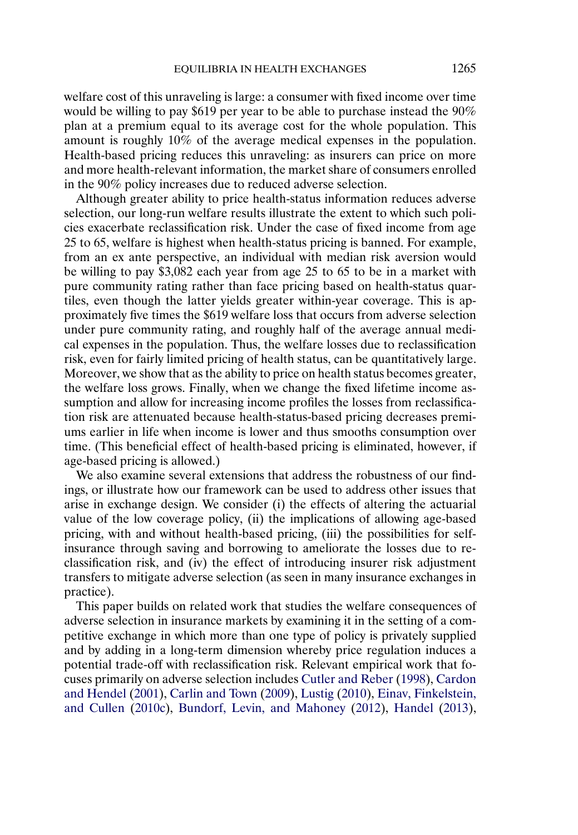<span id="page-5-0"></span>welfare cost of this unraveling is large: a consumer with fixed income over time would be willing to pay \$619 per year to be able to purchase instead the 90% plan at a premium equal to its average cost for the whole population. This amount is roughly 10% of the average medical expenses in the population. Health-based pricing reduces this unraveling: as insurers can price on more and more health-relevant information, the market share of consumers enrolled in the 90% policy increases due to reduced adverse selection.

Although greater ability to price health-status information reduces adverse selection, our long-run welfare results illustrate the extent to which such policies exacerbate reclassification risk. Under the case of fixed income from age 25 to 65, welfare is highest when health-status pricing is banned. For example, from an ex ante perspective, an individual with median risk aversion would be willing to pay \$3,082 each year from age 25 to 65 to be in a market with pure community rating rather than face pricing based on health-status quartiles, even though the latter yields greater within-year coverage. This is approximately five times the \$619 welfare loss that occurs from adverse selection under pure community rating, and roughly half of the average annual medical expenses in the population. Thus, the welfare losses due to reclassification risk, even for fairly limited pricing of health status, can be quantitatively large. Moreover, we show that as the ability to price on health status becomes greater, the welfare loss grows. Finally, when we change the fixed lifetime income assumption and allow for increasing income profiles the losses from reclassification risk are attenuated because health-status-based pricing decreases premiums earlier in life when income is lower and thus smooths consumption over time. (This beneficial effect of health-based pricing is eliminated, however, if age-based pricing is allowed.)

We also examine several extensions that address the robustness of our findings, or illustrate how our framework can be used to address other issues that arise in exchange design. We consider (i) the effects of altering the actuarial value of the low coverage policy, (ii) the implications of allowing age-based pricing, with and without health-based pricing, (iii) the possibilities for selfinsurance through saving and borrowing to ameliorate the losses due to reclassification risk, and (iv) the effect of introducing insurer risk adjustment transfers to mitigate adverse selection (as seen in many insurance exchanges in practice).

This paper builds on related work that studies the welfare consequences of adverse selection in insurance markets by examining it in the setting of a competitive exchange in which more than one type of policy is privately supplied and by adding in a long-term dimension whereby price regulation induces a potential trade-off with reclassification risk. Relevant empirical work that focuses primarily on adverse selection includes [Cutler and Reber](#page-51-0) [\(1998\)](#page-51-0), [Cardon](#page-51-0) [and Hendel](#page-51-0) [\(2001\)](#page-51-0), [Carlin and Town](#page-51-0) [\(2009\)](#page-51-0), [Lustig](#page-52-0) [\(2010\)](#page-52-0), [Einav, Finkelstein,](#page-52-0) [and Cullen](#page-52-0) [\(2010c\)](#page-52-0), [Bundorf, Levin, and Mahoney](#page-51-0) [\(2012\)](#page-51-0), [Handel](#page-52-0) [\(2013\)](#page-52-0),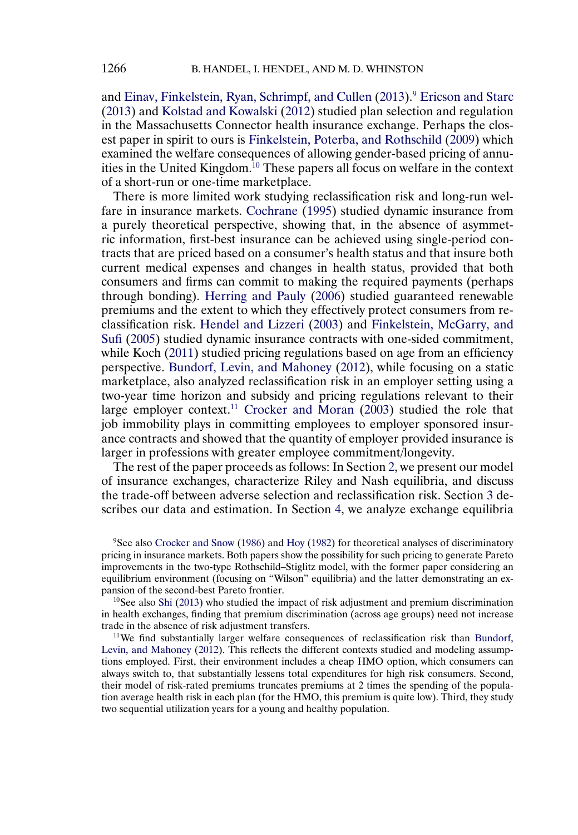<span id="page-6-0"></span>and [Einav, Finkelstein, Ryan, Schrimpf, and Cullen](#page-52-0)  $(2013)$ .<sup>9</sup> Ericson and Starc [\(2013\)](#page-52-0) and [Kolstad and Kowalski](#page-52-0) [\(2012\)](#page-52-0) studied plan selection and regulation in the Massachusetts Connector health insurance exchange. Perhaps the clos-est paper in spirit to ours is [Finkelstein, Poterba, and Rothschild](#page-52-0) [\(2009\)](#page-52-0) which examined the welfare consequences of allowing gender-based pricing of annuities in the United Kingdom.<sup>10</sup> These papers all focus on welfare in the context of a short-run or one-time marketplace.

There is more limited work studying reclassification risk and long-run welfare in insurance markets. [Cochrane](#page-51-0) [\(1995\)](#page-51-0) studied dynamic insurance from a purely theoretical perspective, showing that, in the absence of asymmetric information, first-best insurance can be achieved using single-period contracts that are priced based on a consumer's health status and that insure both current medical expenses and changes in health status, provided that both consumers and firms can commit to making the required payments (perhaps through bonding). [Herring and Pauly](#page-52-0) [\(2006\)](#page-52-0) studied guaranteed renewable premiums and the extent to which they effectively protect consumers from reclassification risk. [Hendel and Lizzeri](#page-52-0) [\(2003\)](#page-52-0) and [Finkelstein, McGarry, and](#page-52-0) [Sufi](#page-52-0) [\(2005\)](#page-52-0) studied dynamic insurance contracts with one-sided commitment, while Koch [\(2011\)](#page-52-0) studied pricing regulations based on age from an efficiency perspective. [Bundorf, Levin, and Mahoney](#page-51-0) [\(2012\)](#page-51-0), while focusing on a static marketplace, also analyzed reclassification risk in an employer setting using a two-year time horizon and subsidy and pricing regulations relevant to their large employer context.<sup>11</sup> [Crocker and Moran](#page-51-0)  $(2003)$  studied the role that job immobility plays in committing employees to employer sponsored insurance contracts and showed that the quantity of employer provided insurance is larger in professions with greater employee commitment/longevity.

The rest of the paper proceeds as follows: In Section [2,](#page-7-0) we present our model of insurance exchanges, characterize Riley and Nash equilibria, and discuss the trade-off between adverse selection and reclassification risk. Section [3](#page-15-0) describes our data and estimation. In Section [4,](#page-25-0) we analyze exchange equilibria

<sup>9</sup>See also [Crocker and Snow](#page-51-0) [\(1986\)](#page-51-0) and [Hoy](#page-52-0) [\(1982\)](#page-52-0) for theoretical analyses of discriminatory pricing in insurance markets. Both papers show the possibility for such pricing to generate Pareto improvements in the two-type Rothschild–Stiglitz model, with the former paper considering an equilibrium environment (focusing on "Wilson" equilibria) and the latter demonstrating an expansion of the second-best Pareto frontier.

 $10$ See also [Shi](#page-53-0) [\(2013\)](#page-53-0) who studied the impact of risk adjustment and premium discrimination in health exchanges, finding that premium discrimination (across age groups) need not increase trade in the absence of risk adjustment transfers.

11We find substantially larger welfare consequences of reclassification risk than [Bundorf,](#page-51-0) [Levin, and Mahoney](#page-51-0) [\(2012\)](#page-51-0). This reflects the different contexts studied and modeling assumptions employed. First, their environment includes a cheap HMO option, which consumers can always switch to, that substantially lessens total expenditures for high risk consumers. Second, their model of risk-rated premiums truncates premiums at 2 times the spending of the population average health risk in each plan (for the HMO, this premium is quite low). Third, they study two sequential utilization years for a young and healthy population.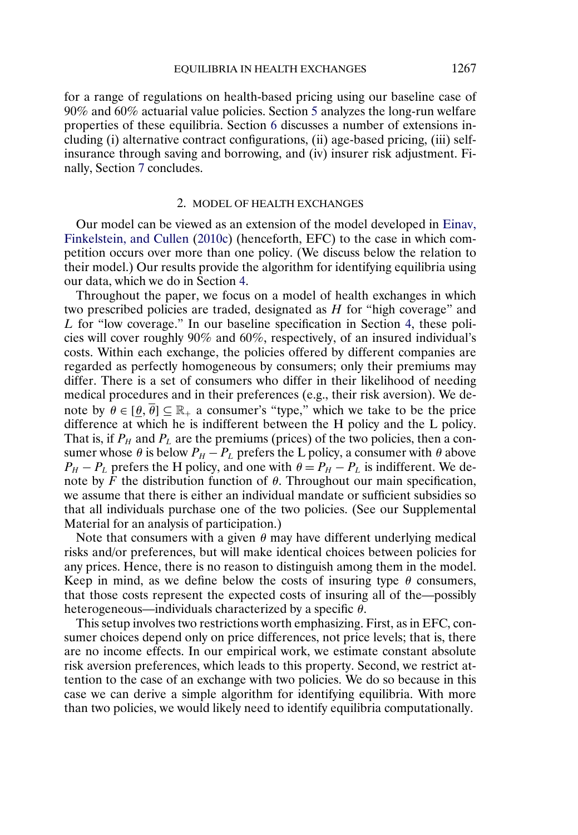<span id="page-7-0"></span>for a range of regulations on health-based pricing using our baseline case of 90% and 60% actuarial value policies. Section [5](#page-31-0) analyzes the long-run welfare properties of these equilibria. Section [6](#page-34-0) discusses a number of extensions including (i) alternative contract configurations, (ii) age-based pricing, (iii) selfinsurance through saving and borrowing, and (iv) insurer risk adjustment. Finally, Section [7](#page-43-0) concludes.

#### 2. MODEL OF HEALTH EXCHANGES

Our model can be viewed as an extension of the model developed in [Einav,](#page-52-0) [Finkelstein, and Cullen](#page-52-0) [\(2010c\)](#page-52-0) (henceforth, EFC) to the case in which competition occurs over more than one policy. (We discuss below the relation to their model.) Our results provide the algorithm for identifying equilibria using our data, which we do in Section [4.](#page-25-0)

Throughout the paper, we focus on a model of health exchanges in which two prescribed policies are traded, designated as H for "high coverage" and L for "low coverage." In our baseline specification in Section [4,](#page-25-0) these policies will cover roughly 90% and 60%, respectively, of an insured individual's costs. Within each exchange, the policies offered by different companies are regarded as perfectly homogeneous by consumers; only their premiums may differ. There is a set of consumers who differ in their likelihood of needing medical procedures and in their preferences (e.g., their risk aversion). We denote by  $\theta \in [\theta, \overline{\theta}] \subseteq \mathbb{R}_+$  a consumer's "type," which we take to be the price difference at which he is indifferent between the H policy and the L policy. That is, if  $P_H$  and  $P_L$  are the premiums (prices) of the two policies, then a consumer whose  $\theta$  is below  $P_H - P_L$  prefers the L policy, a consumer with  $\theta$  above  $P_H - P_L$  prefers the H policy, and one with  $\theta = P_H - P_L$  is indifferent. We denote by *F* the distribution function of *θ*. Throughout our main specification, we assume that there is either an individual mandate or sufficient subsidies so that all individuals purchase one of the two policies. (See our Supplemental Material for an analysis of participation.)

Note that consumers with a given  $\theta$  may have different underlying medical risks and/or preferences, but will make identical choices between policies for any prices. Hence, there is no reason to distinguish among them in the model. Keep in mind, as we define below the costs of insuring type  $\theta$  consumers, that those costs represent the expected costs of insuring all of the—possibly heterogeneous—individuals characterized by a specific  $\theta$ .

This setup involves two restrictions worth emphasizing. First, as in EFC, consumer choices depend only on price differences, not price levels; that is, there are no income effects. In our empirical work, we estimate constant absolute risk aversion preferences, which leads to this property. Second, we restrict attention to the case of an exchange with two policies. We do so because in this case we can derive a simple algorithm for identifying equilibria. With more than two policies, we would likely need to identify equilibria computationally.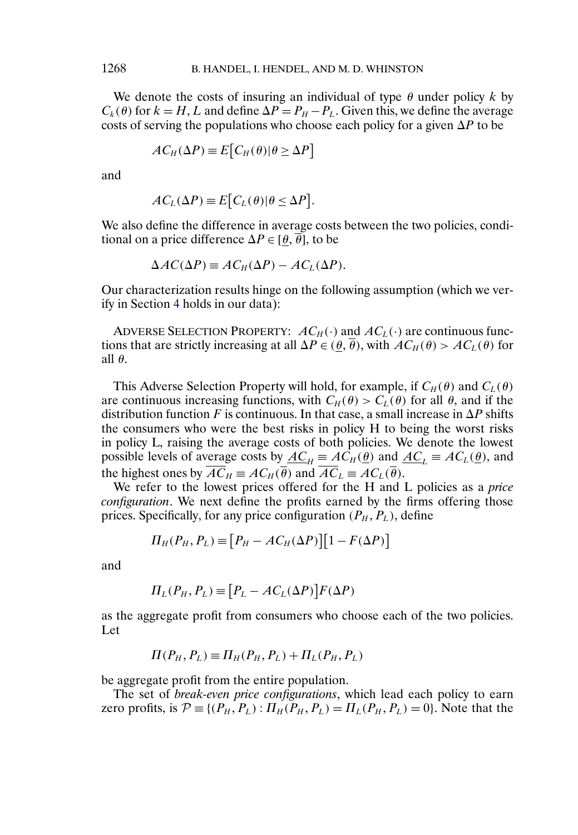We denote the costs of insuring an individual of type  $\theta$  under policy k by  $C_k(\theta)$  for  $k = H, L$  and define  $\Delta P = P_H - P_L$ . Given this, we define the average costs of serving the populations who choose each policy for a given  $\Delta P$  to be

$$
AC_H(\Delta P) \equiv E[C_H(\theta)|\theta \ge \Delta P]
$$

and

$$
AC_L(\Delta P) \equiv E[C_L(\theta)|\theta \le \Delta P].
$$

We also define the difference in average costs between the two policies, conditional on a price difference  $\Delta P \in [\theta, \overline{\theta}]$ , to be

$$
\Delta AC(\Delta P) \equiv AC_H(\Delta P) - AC_L(\Delta P).
$$

Our characterization results hinge on the following assumption (which we verify in Section [4](#page-25-0) holds in our data):

ADVERSE SELECTION PROPERTY:  $AC_H(\cdot)$  and  $AC_L(\cdot)$  are continuous functions that are strictly increasing at all  $\Delta P \in (\theta, \overline{\theta})$ , with  $AC_H(\theta) > AC_L(\theta)$  for all  $\theta$ .

This Adverse Selection Property will hold, for example, if  $C_H(\theta)$  and  $C_L(\theta)$ are continuous increasing functions, with  $C_H(\theta) > C_L(\theta)$  for all  $\theta$ , and if the distribution function F is continuous. In that case, a small increase in  $\Delta P$  shifts the consumers who were the best risks in policy H to being the worst risks in policy L, raising the average costs of both policies. We denote the lowest possible levels of average costs by  $\underline{AC}_H \equiv \overline{AC}_H(\underline{\theta})$  and  $\underline{AC}_L \equiv \overline{AC}_L(\underline{\theta})$ , and the highest ones by  $\overline{AC}_H \equiv AC_H(\overline{\theta})$  and  $\overline{AC}_L \equiv AC_L(\overline{\theta})$ .

We refer to the lowest prices offered for the H and L policies as a *price configuration*. We next define the profits earned by the firms offering those prices. Specifically, for any price configuration  $(P_H, P_L)$ , define

$$
\Pi_H(P_H, P_L) \equiv [P_H - AC_H(\Delta P)][1 - F(\Delta P)]
$$

and

$$
\Pi_L(P_H, P_L) \equiv [P_L - AC_L(\Delta P)]F(\Delta P)
$$

as the aggregate profit from consumers who choose each of the two policies. Let

$$
\Pi(P_H, P_L) \equiv \Pi_H(P_H, P_L) + \Pi_L(P_H, P_L)
$$

be aggregate profit from the entire population.

The set of *break-even price configurations*, which lead each policy to earn zero profits, is  $\mathcal{P} \equiv \{ (P_H, P_L) : \Pi_H(P_H, P_L) = \Pi_L(P_H, P_L) = 0 \}$ . Note that the

<span id="page-8-0"></span>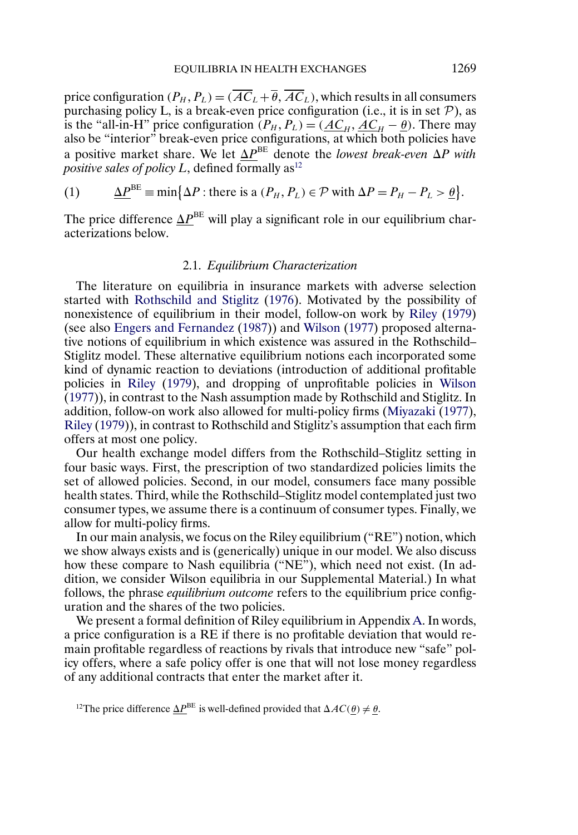<span id="page-9-0"></span>price configuration  $(P_H, P_L) = (\overline{AC}_L + \overline{\theta}, \overline{AC}_L)$ , which results in all consumers purchasing policy L, is a break-even price configuration (i.e., it is in set  $P$ ), as is the "all-in-H" price configuration  $(P_H, P_L) = (AC_H, AC_H - \theta)$ . There may also be "interior" break-even price configurations, at which both policies have a positive market share. We let  $\Delta P^{\text{BE}}$  denote the *lowest break-even*  $\Delta P$  *with positive sales of policy L*, defined formally  $as^{12}$ 

(1) 
$$
\underline{\Delta P}^{\text{BE}} \equiv \min \{ \Delta P : \text{there is a } (P_H, P_L) \in \mathcal{P} \text{ with } \Delta P = P_H - P_L > \underline{\theta} \}.
$$

The price difference  $\Delta P^{\text{BE}}$  will play a significant role in our equilibrium characterizations below.

## 2.1. *Equilibrium Characterization*

The literature on equilibria in insurance markets with adverse selection started with [Rothschild and Stiglitz](#page-53-0) [\(1976\)](#page-53-0). Motivated by the possibility of nonexistence of equilibrium in their model, follow-on work by [Riley](#page-53-0) [\(1979\)](#page-53-0) (see also [Engers and Fernandez](#page-52-0) [\(1987\)](#page-52-0)) and [Wilson](#page-53-0) [\(1977\)](#page-53-0) proposed alternative notions of equilibrium in which existence was assured in the Rothschild– Stiglitz model. These alternative equilibrium notions each incorporated some kind of dynamic reaction to deviations (introduction of additional profitable policies in [Riley](#page-53-0) [\(1979\)](#page-53-0), and dropping of unprofitable policies in [Wilson](#page-53-0) [\(1977\)](#page-53-0)), in contrast to the Nash assumption made by Rothschild and Stiglitz. In addition, follow-on work also allowed for multi-policy firms [\(Miyazaki](#page-53-0) [\(1977\)](#page-53-0), [Riley](#page-53-0) [\(1979\)](#page-53-0)), in contrast to Rothschild and Stiglitz's assumption that each firm offers at most one policy.

Our health exchange model differs from the Rothschild–Stiglitz setting in four basic ways. First, the prescription of two standardized policies limits the set of allowed policies. Second, in our model, consumers face many possible health states. Third, while the Rothschild–Stiglitz model contemplated just two consumer types, we assume there is a continuum of consumer types. Finally, we allow for multi-policy firms.

In our main analysis, we focus on the Riley equilibrium ("RE") notion, which we show always exists and is (generically) unique in our model. We also discuss how these compare to Nash equilibria ("NE"), which need not exist. (In addition, we consider Wilson equilibria in our Supplemental Material.) In what follows, the phrase *equilibrium outcome* refers to the equilibrium price configuration and the shares of the two policies.

We present a formal definition of Riley equilibrium in Appendix [A.](#page-44-0) In words, a price configuration is a RE if there is no profitable deviation that would remain profitable regardless of reactions by rivals that introduce new "safe" policy offers, where a safe policy offer is one that will not lose money regardless of any additional contracts that enter the market after it.

<sup>&</sup>lt;sup>12</sup>The price difference  $\Delta P^{\text{BE}}$  is well-defined provided that  $\Delta AC(\theta) \neq \theta$ .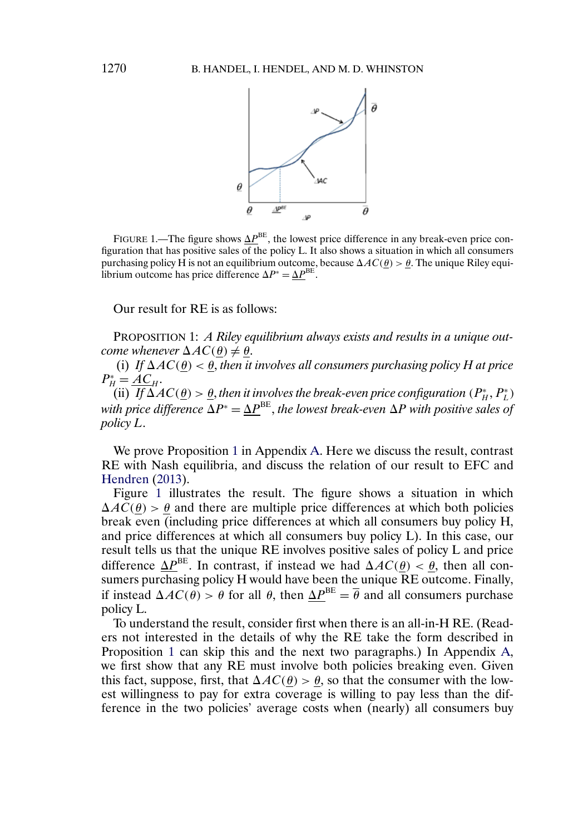<span id="page-10-0"></span>

FIGURE 1.—The figure shows  $\Delta P^{\text{BE}}$ , the lowest price difference in any break-even price configuration that has positive sales of the policy L. It also shows a situation in which all consumers purchasing policy H is not an equilibrium outcome, because  $\Delta AC(\theta) > \theta$ . The unique Riley equilibrium outcome has price difference  $\Delta P^* = \Delta P^{\text{BE}}$ .

Our result for RE is as follows:

PROPOSITION 1: *A Riley equilibrium always exists and results in a unique outcome whenever*  $\Delta AC(\theta) \neq \theta$ .

(i) If  $\Delta AC(\theta) < \theta$ , then it involves all consumers purchasing policy H at price  $P_H^* = \underline{AC}_H.$ 

(ii) *If*  $\Delta AC(\underline{\theta}) > \underline{\theta}$ , *then it involves the break-even price configuration*  $(P_H^*, P_L^*)$ *with price difference*  $\overline{\Delta}P^* = \Delta P^{\text{BE}}$ , *the lowest break-even*  $\Delta P$  *with positive sales of policy L*.

We prove Proposition 1 in Appendix [A.](#page-44-0) Here we discuss the result, contrast RE with Nash equilibria, and discuss the relation of our result to EFC and [Hendren](#page-52-0) [\(2013\)](#page-52-0).

Figure 1 illustrates the result. The figure shows a situation in which  $\Delta AC(\theta) > \theta$  and there are multiple price differences at which both policies break even (including price differences at which all consumers buy policy H, and price differences at which all consumers buy policy L). In this case, our result tells us that the unique RE involves positive sales of policy L and price difference  $\Delta P^{\text{BE}}$ . In contrast, if instead we had  $\Delta AC(\theta) < \theta$ , then all consumers purchasing policy H would have been the unique RE outcome. Finally, if instead  $\Delta AC(\theta) > \theta$  for all  $\theta$ , then  $\Delta P^{\text{BE}} = \overline{\theta}$  and all consumers purchase policy L.

To understand the result, consider first when there is an all-in-H RE. (Readers not interested in the details of why the RE take the form described in Proposition 1 can skip this and the next two paragraphs.) In Appendix [A,](#page-44-0) we first show that any RE must involve both policies breaking even. Given this fact, suppose, first, that  $\Delta AC(\theta) > \theta$ , so that the consumer with the lowest willingness to pay for extra coverage is willing to pay less than the difference in the two policies' average costs when (nearly) all consumers buy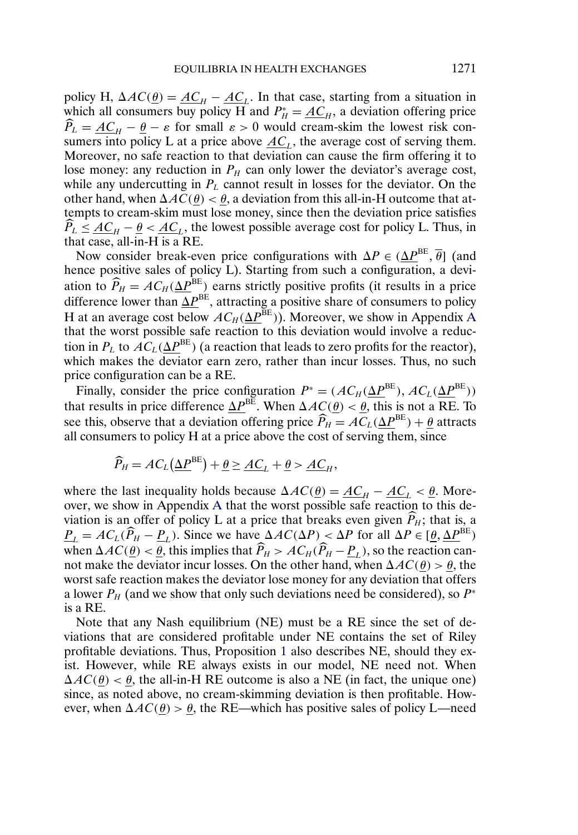<span id="page-11-0"></span>policy H,  $\Delta AC(\underline{\theta}) = \underline{AC}_H - \underline{AC}_L$ . In that case, starting from a situation in which all consumers buy policy H and  $P_H^* = \underline{AC}_H$ , a deviation offering price  $P_L = AC_H - \theta - \epsilon$  for small  $\varepsilon > 0$  would cream-skim the lowest risk con-<br>example into a slime. Let a major shows  $AC$  the suggest as of saming them. sumers into policy L at a price above  $AC<sub>L</sub>$ , the average cost of serving them. Moreover, no safe reaction to that deviation can cause the firm offering it to lose money: any reduction in  $P_H$  can only lower the deviator's average cost, while any undercutting in  $P<sub>L</sub>$  cannot result in losses for the deviator. On the other hand, when  $\Delta AC(\theta) < \theta$ , a deviation from this all-in-H outcome that attempts to cream-skim must lose money, since then the deviation price satisfies  $P_L \leq \underline{AC}_H - \underline{\theta} < \underline{AC}_L$ , the lowest possible average cost for policy L. Thus, in that case, all-in-H is a RE.

Now consider break-even price configurations with  $\Delta P \in (\underline{\Delta P}^{\text{BE}}, \overline{\theta}]$  (and hence positive sales of policy L). Starting from such a configuration, a deviation to  $\widehat{P}_H = AC_H(\underline{\Delta P}^{BE})$  earns strictly positive profits (it results in a price difference lower than  $\Delta P^{\text{BE}}$ , attracting a positive share of consumers to policy H at an average cost below  $AC_H(\underline{\Delta P}^{BE})$  $AC_H(\underline{\Delta P}^{BE})$ ). Moreover, we show in Appendix A that the worst possible safe reaction to this deviation would involve a reduction in  $P_L$  to  $\widehat{AC}_L(\Delta P^{\text{BE}})$  (a reaction that leads to zero profits for the reactor), which makes the deviator earn zero, rather than incur losses. Thus, no such price configuration can be a RE.

Finally, consider the price configuration  $P^* = (AC_H(\Delta P^{\text{BE}}), AC_L(\Delta P^{\text{BE}}))$ that results in price difference  $\Delta P^{\text{BE}}$ . When  $\Delta AC(\theta) < \theta$ , this is not a RE. To see this, observe that a deviation offering price  $\widehat{P}_H = AC_L(\Delta P^{\text{BE}}) + \theta$  attracts all consumers to policy H at a price above the cost of serving them, since

$$
\widehat{P}_H = AC_L(\underline{\Delta P}^{BE}) + \underline{\theta} \ge \underline{AC}_L + \underline{\theta} > \underline{AC}_H,
$$

where the last inequality holds because  $\Delta AC(\theta) = AC_H - AC_L < \theta$ . Moreover, we show in Appendix [A](#page-44-0) that the worst possible safe reaction to this deviation is an offer of policy L at a price that breaks even given  $P_H$ ; that is, a  $\underline{P}_L = AC_L(\widehat{P}_H - \underline{P}_L)$ . Since we have  $\Delta AC(\Delta P) < \Delta P$  for all  $\Delta P \in [\underline{\theta}, \underline{\Delta P}^{BE})$ when  $\Delta AC(\theta) < \theta$ , this implies that  $\hat{P}_H > AC_H(\hat{P}_H - P_L)$ , so the reaction cannot make the deviator incur losses. On the other hand, when  $\Delta AC(\theta) > \theta$ , the worst safe reaction makes the deviator lose money for any deviation that offers a lower  $P_H$  (and we show that only such deviations need be considered), so  $P^*$ is a RE.

Note that any Nash equilibrium (NE) must be a RE since the set of deviations that are considered profitable under NE contains the set of Riley profitable deviations. Thus, Proposition [1](#page-10-0) also describes NE, should they exist. However, while RE always exists in our model, NE need not. When  $\Delta AC(\theta) < \theta$ , the all-in-H RE outcome is also a NE (in fact, the unique one) since, as noted above, no cream-skimming deviation is then profitable. However, when  $\Delta AC(\theta) > \theta$ , the RE—which has positive sales of policy L—need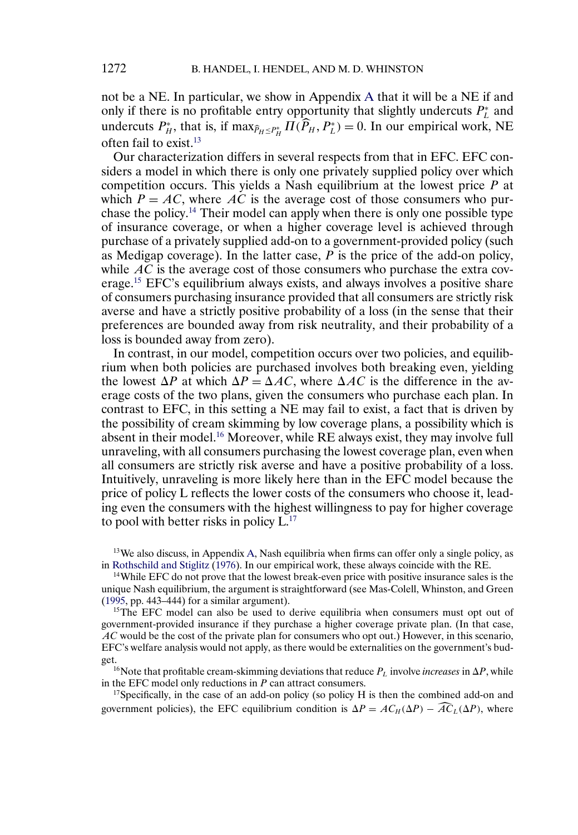<span id="page-12-0"></span>not be a NE. In particular, we show in Appendix [A](#page-44-0) that it will be a NE if and only if there is no profitable entry opportunity that slightly undercuts  $P_L^*$  and undercuts  $P_{H}^*$ , that is, if  $\max_{\widehat{P}_H \leq P_H^*} \Pi(\widehat{P}_H, P_L^*) = 0$ . In our empirical work, NE often fail to exist.13

Our characterization differs in several respects from that in EFC. EFC considers a model in which there is only one privately supplied policy over which competition occurs. This yields a Nash equilibrium at the lowest price  $P$  at which  $P = AC$ , where AC is the average cost of those consumers who purchase the policy.14 Their model can apply when there is only one possible type of insurance coverage, or when a higher coverage level is achieved through purchase of a privately supplied add-on to a government-provided policy (such as Medigap coverage). In the latter case,  $P$  is the price of the add-on policy, while  $\overline{AC}$  is the average cost of those consumers who purchase the extra coverage.15 EFC's equilibrium always exists, and always involves a positive share of consumers purchasing insurance provided that all consumers are strictly risk averse and have a strictly positive probability of a loss (in the sense that their preferences are bounded away from risk neutrality, and their probability of a loss is bounded away from zero).

In contrast, in our model, competition occurs over two policies, and equilibrium when both policies are purchased involves both breaking even, yielding the lowest  $\Delta P$  at which  $\Delta P = \Delta AC$ , where  $\Delta AC$  is the difference in the average costs of the two plans, given the consumers who purchase each plan. In contrast to EFC, in this setting a NE may fail to exist, a fact that is driven by the possibility of cream skimming by low coverage plans, a possibility which is absent in their model.16 Moreover, while RE always exist, they may involve full unraveling, with all consumers purchasing the lowest coverage plan, even when all consumers are strictly risk averse and have a positive probability of a loss. Intuitively, unraveling is more likely here than in the EFC model because the price of policy L reflects the lower costs of the consumers who choose it, leading even the consumers with the highest willingness to pay for higher coverage to pool with better risks in policy  $L^{17}$ 

<sup>13</sup>We also discuss, in Appendix [A,](#page-44-0) Nash equilibria when firms can offer only a single policy, as in [Rothschild and Stiglitz](#page-53-0) [\(1976\)](#page-53-0). In our empirical work, these always coincide with the RE.

<sup>14</sup>While EFC do not prove that the lowest break-even price with positive insurance sales is the unique Nash equilibrium, the argument is straightforward (see Mas-Colell, Whinston, and Green [\(1995,](#page-53-0) pp. 443–444) for a similar argument).

<sup>15</sup>The EFC model can also be used to derive equilibria when consumers must opt out of government-provided insurance if they purchase a higher coverage private plan. (In that case, AC would be the cost of the private plan for consumers who opt out.) However, in this scenario, EFC's welfare analysis would not apply, as there would be externalities on the government's bud-

<sup>16</sup>Note that profitable cream-skimming deviations that reduce  $P<sub>L</sub>$  involve *increases* in  $\Delta P$ , while in the EFC model only reductions in  $P$  can attract consumers.

<sup>17</sup>Specifically, in the case of an add-on policy (so policy H is then the combined add-on and government policies), the EFC equilibrium condition is  $\Delta P = AC_H(\Delta P) - \widehat{AC}_L(\Delta P)$ , where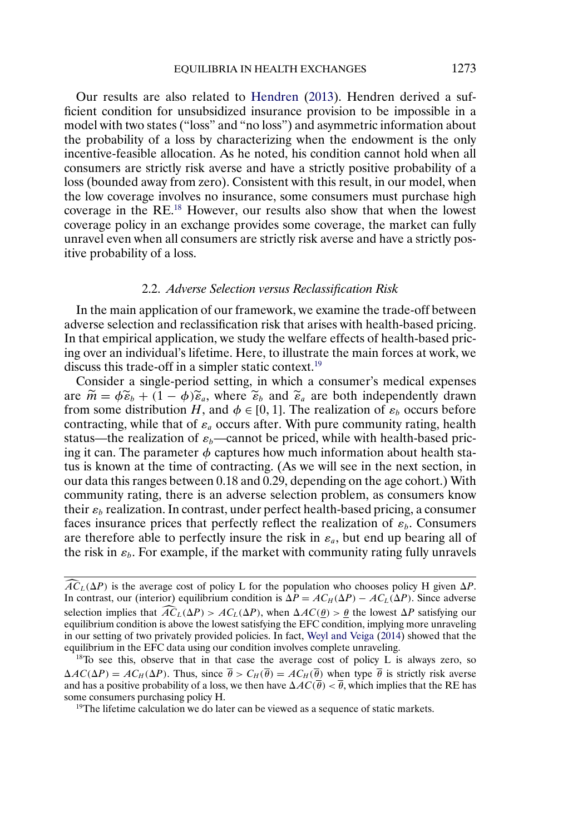<span id="page-13-0"></span>Our results are also related to [Hendren](#page-52-0) [\(2013\)](#page-52-0). Hendren derived a sufficient condition for unsubsidized insurance provision to be impossible in a model with two states ("loss" and "no loss") and asymmetric information about the probability of a loss by characterizing when the endowment is the only incentive-feasible allocation. As he noted, his condition cannot hold when all consumers are strictly risk averse and have a strictly positive probability of a loss (bounded away from zero). Consistent with this result, in our model, when the low coverage involves no insurance, some consumers must purchase high coverage in the RE.18 However, our results also show that when the lowest coverage policy in an exchange provides some coverage, the market can fully unravel even when all consumers are strictly risk averse and have a strictly positive probability of a loss.

## 2.2. *Adverse Selection versus Reclassification Risk*

In the main application of our framework, we examine the trade-off between adverse selection and reclassification risk that arises with health-based pricing. In that empirical application, we study the welfare effects of health-based pricing over an individual's lifetime. Here, to illustrate the main forces at work, we discuss this trade-off in a simpler static context.<sup>19</sup>

Consider a single-period setting, in which a consumer's medical expenses are  $\widetilde{m} = \phi \widetilde{\epsilon}_b + (1 - \phi) \widetilde{\epsilon}_a$ , where  $\widetilde{\epsilon}_b$  and  $\widetilde{\epsilon}_a$  are both independently drawn<br>from some distribution H and  $\phi \in [0, 1]$ . The realization of  $\epsilon_1$  occurs before from some distribution H, and  $\phi \in [0, 1]$ . The realization of  $\varepsilon_b$  occurs before contracting, while that of  $\varepsilon_a$  occurs after. With pure community rating, health status—the realization of  $\varepsilon_b$ —cannot be priced, while with health-based pricing it can. The parameter  $\phi$  captures how much information about health status is known at the time of contracting. (As we will see in the next section, in our data this ranges between 0.18 and 0.29, depending on the age cohort.) With community rating, there is an adverse selection problem, as consumers know their  $\varepsilon_b$  realization. In contrast, under perfect health-based pricing, a consumer faces insurance prices that perfectly reflect the realization of  $\varepsilon_b$ . Consumers are therefore able to perfectly insure the risk in  $\varepsilon_a$ , but end up bearing all of the risk in  $\varepsilon_b$ . For example, if the market with community rating fully unravels

 $\widehat{AC}_L(\Delta P)$  is the average cost of policy L for the population who chooses policy H given  $\Delta P$ . In contrast, our (interior) equilibrium condition is  $\Delta P = AC_H(\Delta P) - AC_L(\Delta P)$ . Since adverse selection implies that  $\widehat{AC}_L(\Delta P) > AC_L(\Delta P)$ , when  $\Delta AC(\theta) > \theta$  the lowest  $\Delta P$  satisfying our equilibrium condition is above the lowest satisfying the EFC condition, implying more unraveling in our setting of two privately provided policies. In fact, [Weyl and Veiga](#page-53-0) [\(2014\)](#page-53-0) showed that the equilibrium in the EFC data using our condition involves complete unraveling.

 $18$ To see this, observe that in that case the average cost of policy L is always zero, so  $\Delta AC(\Delta P) = AC_H(\Delta P)$ . Thus, since  $\overline{\theta} > C_H(\overline{\theta}) = AC_H(\overline{\theta})$  when type  $\overline{\theta}$  is strictly risk averse and has a positive probability of a loss, we then have  $\Delta AC(\overline{\theta}) < \overline{\theta}$ , which implies that the RE has some consumers purchasing policy H.

<sup>&</sup>lt;sup>19</sup>The lifetime calculation we do later can be viewed as a sequence of static markets.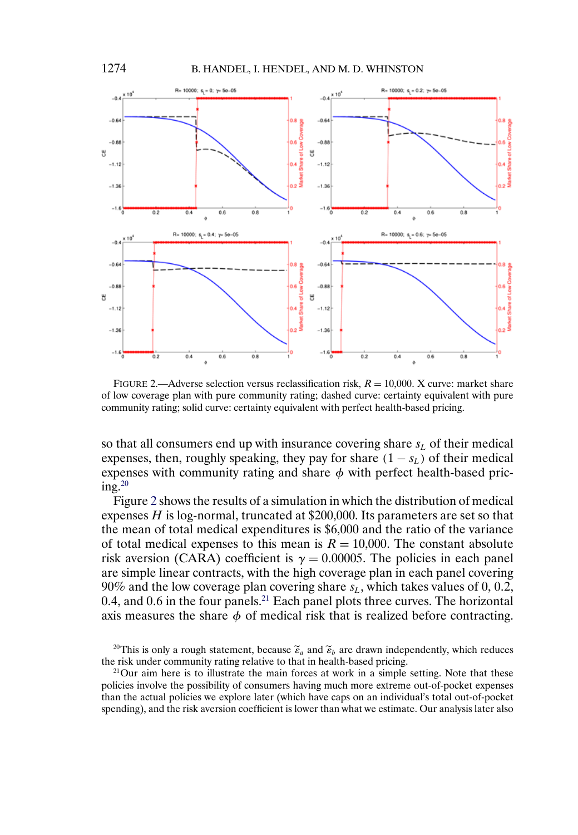<span id="page-14-0"></span>

FIGURE 2.—Adverse selection versus reclassification risk,  $R = 10,000$ . X curve: market share of low coverage plan with pure community rating; dashed curve: certainty equivalent with pure community rating; solid curve: certainty equivalent with perfect health-based pricing.

so that all consumers end up with insurance covering share  $s_L$  of their medical expenses, then, roughly speaking, they pay for share  $(1 - s_L)$  of their medical expenses with community rating and share  $\phi$  with perfect health-based pric $in_{\mathbb{Z}}^2$ <sub>20</sub>

Figure 2 shows the results of a simulation in which the distribution of medical expenses  $H$  is log-normal, truncated at \$200,000. Its parameters are set so that the mean of total medical expenditures is \$6,000 and the ratio of the variance of total medical expenses to this mean is  $R = 10,000$ . The constant absolute risk aversion (CARA) coefficient is  $\gamma = 0.00005$ . The policies in each panel are simple linear contracts, with the high coverage plan in each panel covering 90% and the low coverage plan covering share  $s_L$ , which takes values of 0, 0.2, 0.4, and 0.6 in the four panels.<sup>21</sup> Each panel plots three curves. The horizontal axis measures the share  $\phi$  of medical risk that is realized before contracting.

<sup>20</sup>This is only a rough statement, because  $\tilde{\epsilon}_a$  and  $\tilde{\epsilon}_b$  are drawn independently, which reduces<br>trisk under community rating relative to that in health-based pricing the risk under community rating relative to that in health-based pricing.

<sup>21</sup>Our aim here is to illustrate the main forces at work in a simple setting. Note that these policies involve the possibility of consumers having much more extreme out-of-pocket expenses than the actual policies we explore later (which have caps on an individual's total out-of-pocket spending), and the risk aversion coefficient is lower than what we estimate. Our analysis later also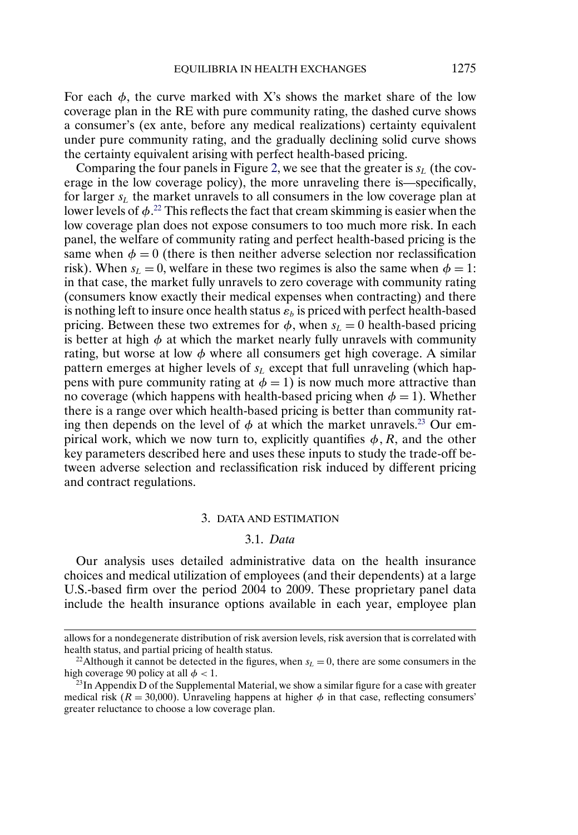<span id="page-15-0"></span>For each  $\phi$ , the curve marked with X's shows the market share of the low coverage plan in the RE with pure community rating, the dashed curve shows a consumer's (ex ante, before any medical realizations) certainty equivalent under pure community rating, and the gradually declining solid curve shows the certainty equivalent arising with perfect health-based pricing.

Comparing the four panels in Figure [2,](#page-14-0) we see that the greater is  $s_L$  (the coverage in the low coverage policy), the more unraveling there is—specifically, for larger  $s_L$  the market unravels to all consumers in the low coverage plan at lower levels of  $\phi$ <sup>22</sup>. This reflects the fact that cream skimming is easier when the low coverage plan does not expose consumers to too much more risk. In each panel, the welfare of community rating and perfect health-based pricing is the same when  $\phi = 0$  (there is then neither adverse selection nor reclassification risk). When  $s_L = 0$ , welfare in these two regimes is also the same when  $\phi = 1$ : in that case, the market fully unravels to zero coverage with community rating (consumers know exactly their medical expenses when contracting) and there is nothing left to insure once health status  $\varepsilon_b$  is priced with perfect health-based pricing. Between these two extremes for  $\phi$ , when  $s_L = 0$  health-based pricing is better at high  $\phi$  at which the market nearly fully unravels with community rating, but worse at low  $\phi$  where all consumers get high coverage. A similar pattern emerges at higher levels of  $s<sub>L</sub>$  except that full unraveling (which happens with pure community rating at  $\phi = 1$ ) is now much more attractive than no coverage (which happens with health-based pricing when  $\phi = 1$ ). Whether there is a range over which health-based pricing is better than community rating then depends on the level of  $\phi$  at which the market unravels.<sup>23</sup> Our empirical work, which we now turn to, explicitly quantifies  $\phi$ , R, and the other key parameters described here and uses these inputs to study the trade-off between adverse selection and reclassification risk induced by different pricing and contract regulations.

## 3. DATA AND ESTIMATION

# 3.1. *Data*

Our analysis uses detailed administrative data on the health insurance choices and medical utilization of employees (and their dependents) at a large U.S.-based firm over the period 2004 to 2009. These proprietary panel data include the health insurance options available in each year, employee plan

allows for a nondegenerate distribution of risk aversion levels, risk aversion that is correlated with health status, and partial pricing of health status.

<sup>&</sup>lt;sup>22</sup>Although it cannot be detected in the figures, when  $s_L = 0$ , there are some consumers in the high coverage 90 policy at all  $\phi$  < 1.

 $^{23}$ In Appendix D of the Supplemental Material, we show a similar figure for a case with greater medical risk ( $R = 30,000$ ). Unraveling happens at higher  $\phi$  in that case, reflecting consumers' greater reluctance to choose a low coverage plan.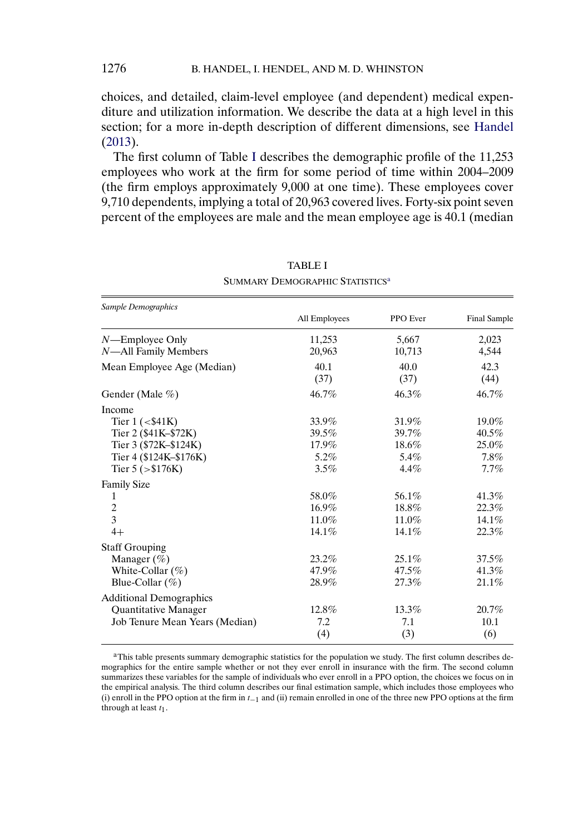# <span id="page-16-0"></span>1276 B. HANDEL, I. HENDEL, AND M. D. WHINSTON

choices, and detailed, claim-level employee (and dependent) medical expenditure and utilization information. We describe the data at a high level in this section; for a more in-depth description of different dimensions, see [Handel](#page-52-0) [\(2013\)](#page-52-0).

The first column of Table I describes the demographic profile of the 11,253 employees who work at the firm for some period of time within 2004–2009 (the firm employs approximately 9,000 at one time). These employees cover 9,710 dependents, implying a total of 20,963 covered lives. Forty-six point seven percent of the employees are male and the mean employee age is 40.1 (median

| Sample Demographics                                                                                                    |                                            |                                            |                                                     |
|------------------------------------------------------------------------------------------------------------------------|--------------------------------------------|--------------------------------------------|-----------------------------------------------------|
|                                                                                                                        | All Employees                              | PPO Ever                                   | Final Sample                                        |
| $N$ —Employee Only<br>N-All Family Members                                                                             | 11,253<br>20,963                           | 5,667<br>10,713                            | 2,023<br>4,544                                      |
| Mean Employee Age (Median)                                                                                             | 40.1<br>(37)                               | 40.0<br>(37)                               | 42.3<br>(44)                                        |
| Gender (Male %)                                                                                                        | 46.7%                                      | 46.3%                                      | 46.7%                                               |
| Income                                                                                                                 |                                            |                                            |                                                     |
| Tier $1 (-\$41K)$<br>Tier 2 (\$41K-\$72K)<br>Tier 3 (\$72K-\$124K)<br>Tier 4 (\$124K-\$176K)<br>Tier $5$ ( $> $176K$ ) | 33.9%<br>39.5%<br>17.9%<br>5.2%<br>$3.5\%$ | 31.9%<br>39.7%<br>18.6%<br>5.4%<br>$4.4\%$ | $19.0\%$<br>$40.5\%$<br>$25.0\%$<br>7.8%<br>$7.7\%$ |
| <b>Family Size</b><br>1                                                                                                | 58.0%                                      | 56.1%                                      | 41.3%                                               |
| $\frac{2}{3}$                                                                                                          | 16.9%                                      | 18.8%                                      | 22.3%                                               |
|                                                                                                                        | 11.0%                                      | 11.0%                                      | 14.1%                                               |
| $4+$                                                                                                                   | 14.1%                                      | 14.1%                                      | 22.3%                                               |
| <b>Staff Grouping</b><br>Manager (%)<br>White-Collar $(\%)$<br>Blue-Collar $(\%)$                                      | $23.2\%$<br>47.9%<br>28.9%                 | $25.1\%$<br>47.5%<br>27.3%                 | $37.5\%$<br>41.3%<br>21.1%                          |
| <b>Additional Demographics</b><br>Quantitative Manager<br>Job Tenure Mean Years (Median)                               | 12.8%<br>7.2<br>(4)                        | $13.3\%$<br>7.1<br>(3)                     | $20.7\%$<br>10.1<br>(6)                             |

TABLE I SUMMARY DEMOGRAPHIC STATISTICS<sup>a</sup>

aThis table presents summary demographic statistics for the population we study. The first column describes demographics for the entire sample whether or not they ever enroll in insurance with the firm. The second column summarizes these variables for the sample of individuals who ever enroll in a PPO option, the choices we focus on in the empirical analysis. The third column describes our final estimation sample, which includes those employees who (i) enroll in the PPO option at the firm in  $t_{-1}$  and (ii) remain enrolled in one of the three new PPO options at the firm through at least  $t_1$ .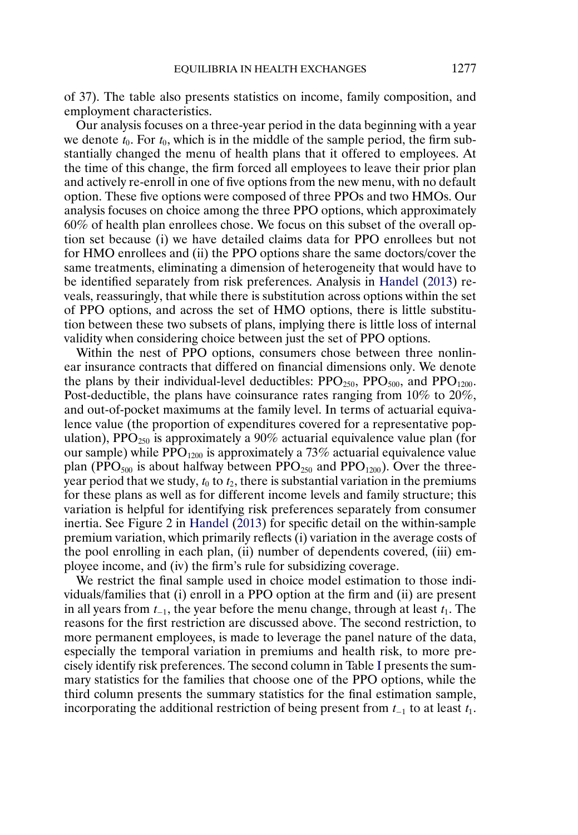<span id="page-17-0"></span>of 37). The table also presents statistics on income, family composition, and employment characteristics.

Our analysis focuses on a three-year period in the data beginning with a year we denote  $t_0$ . For  $t_0$ , which is in the middle of the sample period, the firm substantially changed the menu of health plans that it offered to employees. At the time of this change, the firm forced all employees to leave their prior plan and actively re-enroll in one of five options from the new menu, with no default option. These five options were composed of three PPOs and two HMOs. Our analysis focuses on choice among the three PPO options, which approximately 60% of health plan enrollees chose. We focus on this subset of the overall option set because (i) we have detailed claims data for PPO enrollees but not for HMO enrollees and (ii) the PPO options share the same doctors/cover the same treatments, eliminating a dimension of heterogeneity that would have to be identified separately from risk preferences. Analysis in [Handel](#page-52-0) [\(2013\)](#page-52-0) reveals, reassuringly, that while there is substitution across options within the set of PPO options, and across the set of HMO options, there is little substitution between these two subsets of plans, implying there is little loss of internal validity when considering choice between just the set of PPO options.

Within the nest of PPO options, consumers chose between three nonlinear insurance contracts that differed on financial dimensions only. We denote the plans by their individual-level deductibles:  $\text{PPO}_{250}$ ,  $\text{PPO}_{500}$ , and  $\text{PPO}_{1200}$ . Post-deductible, the plans have coinsurance rates ranging from 10% to 20%, and out-of-pocket maximums at the family level. In terms of actuarial equivalence value (the proportion of expenditures covered for a representative population), PPO<sub>250</sub> is approximately a 90% actuarial equivalence value plan (for our sample) while  $PPO_{1200}$  is approximately a 73% actuarial equivalence value plan (PPO<sub>500</sub> is about halfway between PPO<sub>250</sub> and PPO<sub>1200</sub>). Over the threeyear period that we study,  $t_0$  to  $t_2$ , there is substantial variation in the premiums for these plans as well as for different income levels and family structure; this variation is helpful for identifying risk preferences separately from consumer inertia. See Figure 2 in [Handel](#page-52-0) [\(2013\)](#page-52-0) for specific detail on the within-sample premium variation, which primarily reflects (i) variation in the average costs of the pool enrolling in each plan, (ii) number of dependents covered, (iii) employee income, and (iv) the firm's rule for subsidizing coverage.

We restrict the final sample used in choice model estimation to those individuals/families that (i) enroll in a PPO option at the firm and (ii) are present in all years from  $t_{-1}$ , the year before the menu change, through at least  $t_1$ . The reasons for the first restriction are discussed above. The second restriction, to more permanent employees, is made to leverage the panel nature of the data, especially the temporal variation in premiums and health risk, to more precisely identify risk preferences. The second column in Table [I](#page-16-0) presents the summary statistics for the families that choose one of the PPO options, while the third column presents the summary statistics for the final estimation sample, incorporating the additional restriction of being present from  $t_{-1}$  to at least  $t_1$ .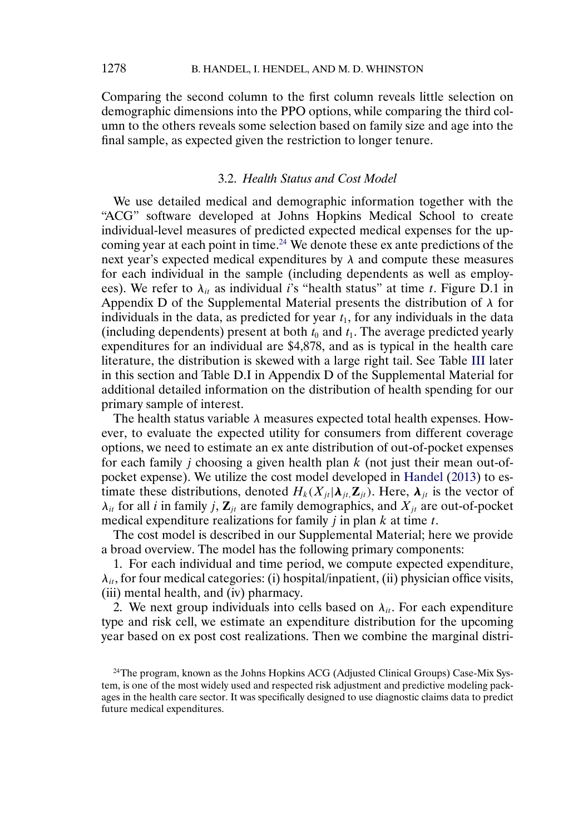<span id="page-18-0"></span>Comparing the second column to the first column reveals little selection on demographic dimensions into the PPO options, while comparing the third column to the others reveals some selection based on family size and age into the final sample, as expected given the restriction to longer tenure.

## 3.2. *Health Status and Cost Model*

We use detailed medical and demographic information together with the "ACG" software developed at Johns Hopkins Medical School to create individual-level measures of predicted expected medical expenses for the upcoming year at each point in time.<sup>24</sup> We denote these ex ante predictions of the next year's expected medical expenditures by  $\lambda$  and compute these measures for each individual in the sample (including dependents as well as employees). We refer to  $\lambda_{it}$  as individual i's "health status" at time t. Figure D.1 in Appendix D of the Supplemental Material presents the distribution of  $\lambda$  for individuals in the data, as predicted for year  $t_1$ , for any individuals in the data (including dependents) present at both  $t_0$  and  $t_1$ . The average predicted yearly expenditures for an individual are \$4,878, and as is typical in the health care literature, the distribution is skewed with a large right tail. See Table [III](#page-25-0) later in this section and Table D.I in Appendix D of the Supplemental Material for additional detailed information on the distribution of health spending for our primary sample of interest.

The health status variable  $\lambda$  measures expected total health expenses. However, to evaluate the expected utility for consumers from different coverage options, we need to estimate an ex ante distribution of out-of-pocket expenses for each family *j* choosing a given health plan  $k$  (not just their mean out-ofpocket expense). We utilize the cost model developed in [Handel](#page-52-0) [\(2013\)](#page-52-0) to estimate these distributions, denoted  $H_k(X_{jt}|\lambda_{jt}, \mathbf{Z}_{jt})$ . Here,  $\lambda_{jt}$  is the vector of  $\lambda_{it}$  for all *i* in family *j*,  $\mathbf{Z}_{it}$  are family demographics, and  $X_{it}$  are out-of-pocket medical expenditure realizations for family  $j$  in plan  $k$  at time  $t$ .

The cost model is described in our Supplemental Material; here we provide a broad overview. The model has the following primary components:

1. For each individual and time period, we compute expected expenditure,  $\lambda_{it}$ , for four medical categories: (i) hospital/inpatient, (ii) physician office visits, (iii) mental health, and (iv) pharmacy.

2. We next group individuals into cells based on  $\lambda_{it}$ . For each expenditure type and risk cell, we estimate an expenditure distribution for the upcoming year based on ex post cost realizations. Then we combine the marginal distri-

<sup>&</sup>lt;sup>24</sup>The program, known as the Johns Hopkins ACG (Adjusted Clinical Groups) Case-Mix System, is one of the most widely used and respected risk adjustment and predictive modeling packages in the health care sector. It was specifically designed to use diagnostic claims data to predict future medical expenditures.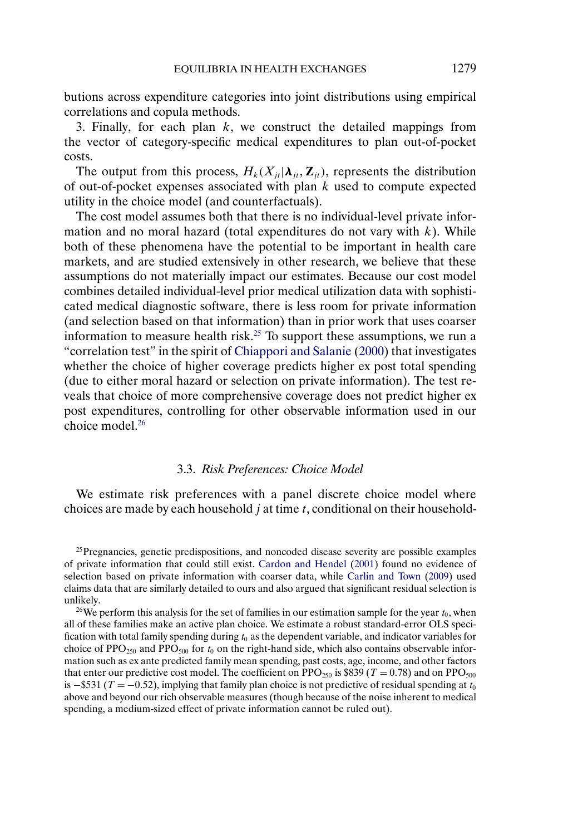<span id="page-19-0"></span>butions across expenditure categories into joint distributions using empirical correlations and copula methods.

3. Finally, for each plan  $k$ , we construct the detailed mappings from the vector of category-specific medical expenditures to plan out-of-pocket costs.

The output from this process,  $H_k(X_{it}|\lambda_{it}, \mathbf{Z}_{it})$ , represents the distribution of out-of-pocket expenses associated with plan  $k$  used to compute expected utility in the choice model (and counterfactuals).

The cost model assumes both that there is no individual-level private information and no moral hazard (total expenditures do not vary with  $k$ ). While both of these phenomena have the potential to be important in health care markets, and are studied extensively in other research, we believe that these assumptions do not materially impact our estimates. Because our cost model combines detailed individual-level prior medical utilization data with sophisticated medical diagnostic software, there is less room for private information (and selection based on that information) than in prior work that uses coarser information to measure health risk.<sup>25</sup> To support these assumptions, we run a "correlation test" in the spirit of [Chiappori and Salanie](#page-51-0) [\(2000\)](#page-51-0) that investigates whether the choice of higher coverage predicts higher ex post total spending (due to either moral hazard or selection on private information). The test reveals that choice of more comprehensive coverage does not predict higher ex post expenditures, controlling for other observable information used in our choice model.26

## 3.3. *Risk Preferences: Choice Model*

We estimate risk preferences with a panel discrete choice model where choices are made by each household  $i$  at time  $t$ , conditional on their household-

<sup>25</sup>Pregnancies, genetic predispositions, and noncoded disease severity are possible examples of private information that could still exist. [Cardon and Hendel](#page-51-0) [\(2001\)](#page-51-0) found no evidence of selection based on private information with coarser data, while [Carlin and Town](#page-51-0) [\(2009\)](#page-51-0) used claims data that are similarly detailed to ours and also argued that significant residual selection is unlikely.

<sup>&</sup>lt;sup>26</sup>We perform this analysis for the set of families in our estimation sample for the year  $t_0$ , when all of these families make an active plan choice. We estimate a robust standard-error OLS specification with total family spending during  $t_0$  as the dependent variable, and indicator variables for choice of PPO<sub>250</sub> and PPO<sub>500</sub> for  $t_0$  on the right-hand side, which also contains observable information such as ex ante predicted family mean spending, past costs, age, income, and other factors that enter our predictive cost model. The coefficient on PPO<sub>250</sub> is \$839 ( $T = 0.78$ ) and on PPO<sub>500</sub> is –\$531 ( $T = -0.52$ ), implying that family plan choice is not predictive of residual spending at  $t_0$ above and beyond our rich observable measures (though because of the noise inherent to medical spending, a medium-sized effect of private information cannot be ruled out).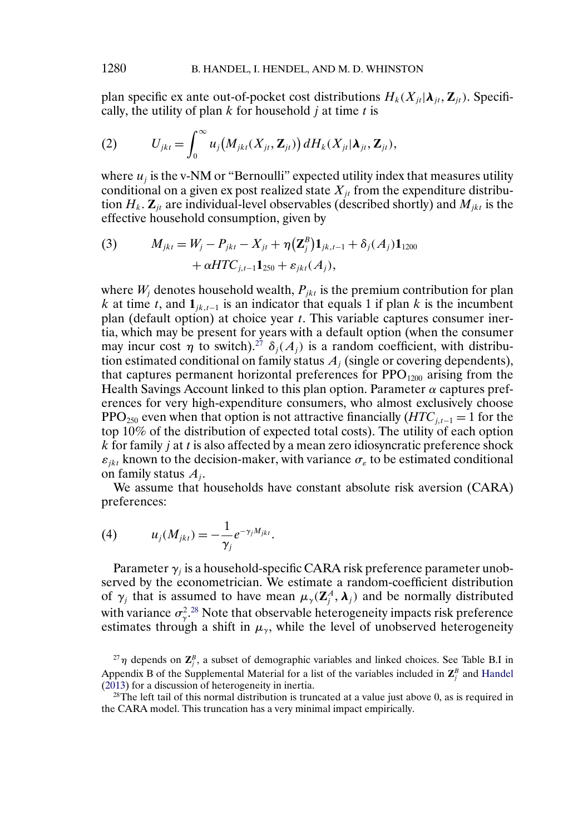plan specific ex ante out-of-pocket cost distributions  $H_k(X_{it}|\lambda_{it}, \mathbf{Z}_{it})$ . Specifically, the utility of plan  $k$  for household  $j$  at time  $t$  is

(2) 
$$
U_{jkt} = \int_0^\infty u_j\big(M_{jkt}(X_{jt},\mathbf{Z}_{jt})\big) dH_k(X_{jt}|\lambda_{jt},\mathbf{Z}_{jt}),
$$

where  $u_i$  is the v-NM or "Bernoulli" expected utility index that measures utility conditional on a given ex post realized state  $X_{it}$  from the expenditure distribution  $H_k$ .  $\mathbf{Z}_{jt}$  are individual-level observables (described shortly) and  $M_{jkt}$  is the effective household consumption, given by

(3) 
$$
M_{jkt} = W_j - P_{jkt} - X_{jt} + \eta \left( \mathbf{Z}_j^B \right) \mathbf{1}_{jk,t-1} + \delta_j \left( A_j \right) \mathbf{1}_{1200} + \alpha HTC_{j,t-1} \mathbf{1}_{250} + \varepsilon_{jkt} \left( A_j \right),
$$

where  $W_i$  denotes household wealth,  $P_{ikt}$  is the premium contribution for plan k at time t, and  $\mathbf{1}_{ik,t-1}$  is an indicator that equals 1 if plan k is the incumbent plan (default option) at choice year t. This variable captures consumer inertia, which may be present for years with a default option (when the consumer may incur cost  $\eta$  to switch).<sup>27</sup>  $\delta_i(A_i)$  is a random coefficient, with distribution estimated conditional on family status  $A_i$  (single or covering dependents), that captures permanent horizontal preferences for  $PPO<sub>1200</sub>$  arising from the Health Savings Account linked to this plan option. Parameter  $\alpha$  captures preferences for very high-expenditure consumers, who almost exclusively choose PPO<sub>250</sub> even when that option is not attractive financially ( $HTC_{i,t-1} = 1$  for the top 10% of the distribution of expected total costs). The utility of each option k for family j at t is also affected by a mean zero idiosyncratic preference shock  $\varepsilon_{ikt}$  known to the decision-maker, with variance  $\sigma_{\varepsilon}$  to be estimated conditional on family status  $A_i$ .

We assume that households have constant absolute risk aversion (CARA) preferences:

$$
(4) \t u_j(M_{jkt})=-\frac{1}{\gamma_j}e^{-\gamma_jM_{jkt}}.
$$

Parameter  $\gamma_j$  is a household-specific CARA risk preference parameter unobserved by the econometrician. We estimate a random-coefficient distribution of  $\gamma_j$  that is assumed to have mean  $\mu_\gamma(\mathbf{Z}_j^A, \lambda_j)$  and be normally distributed with variance  $\sigma_{\gamma}^2$ .<sup>28</sup> Note that observable heterogeneity impacts risk preference estimates through a shift in  $\mu_{\gamma}$ , while the level of unobserved heterogeneity

<span id="page-20-0"></span>

<sup>&</sup>lt;sup>27</sup>η depends on  $\mathbb{Z}_j^B$ , a subset of demographic variables and linked choices. See Table B.I in Appendix B of the Supplemental Material for a list of the variables included in  $\mathbb{Z}_{j}^{B}$  and [Handel](#page-52-0) [\(2013\)](#page-52-0) for a discussion of heterogeneity in inertia.

 $28$ The left tail of this normal distribution is truncated at a value just above 0, as is required in the CARA model. This truncation has a very minimal impact empirically.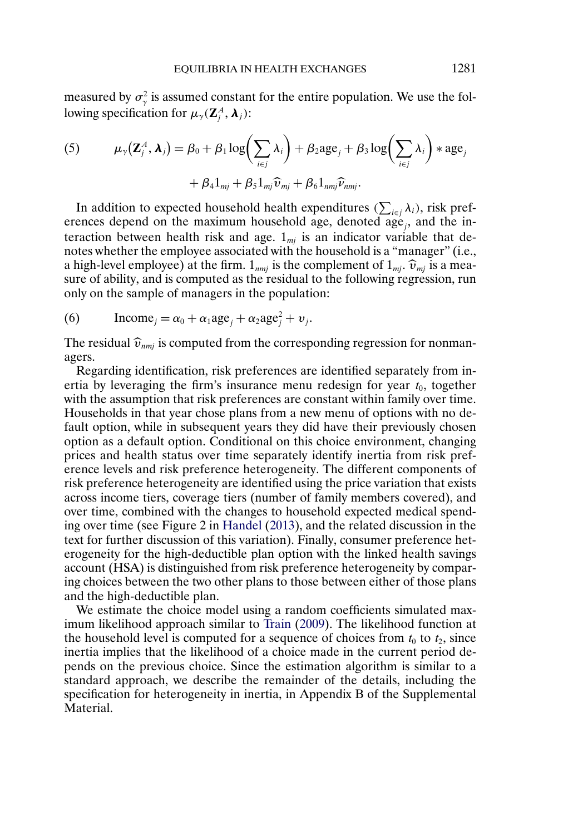<span id="page-21-0"></span>measured by  $\sigma_{\gamma}^2$  is assumed constant for the entire population. We use the following specification for  $\mu_\gamma(\mathbf{Z}_j^A,\boldsymbol{\lambda}_j)$ :

(5) 
$$
\mu_{\gamma}(\mathbf{Z}_{j}^{A}, \boldsymbol{\lambda}_{j}) = \beta_{0} + \beta_{1} \log \left( \sum_{i \in j} \lambda_{i} \right) + \beta_{2} \text{age}_{j} + \beta_{3} \log \left( \sum_{i \in j} \lambda_{i} \right) * \text{age}_{j} + \beta_{4} \mathbb{1}_{mj} + \beta_{5} \mathbb{1}_{mj} \widehat{v}_{mj} + \beta_{6} \mathbb{1}_{nmj} \widehat{v}_{nmj}.
$$

In addition to expected household health expenditures ( $\sum_{i \in j} \lambda_i$ ), risk preferences depend on the maximum household age, denoted age<sub>i</sub>, and the interaction between health risk and age.  $1_{mi}$  is an indicator variable that denotes whether the employee associated with the household is a "manager" (i.e., a high-level employee) at the firm.  $1_{nmi}$  is the complement of  $1_{mi}$ .  $\hat{v}_{mi}$  is a measure of ability, and is computed as the residual to the following regression, run only on the sample of managers in the population:

(6) 
$$
\text{Income}_j = \alpha_0 + \alpha_1 \text{age}_j + \alpha_2 \text{age}_j^2 + \nu_j.
$$

The residual  $\hat{v}_{nmj}$  is computed from the corresponding regression for nonmanagers.

Regarding identification, risk preferences are identified separately from inertia by leveraging the firm's insurance menu redesign for year  $t_0$ , together with the assumption that risk preferences are constant within family over time. Households in that year chose plans from a new menu of options with no default option, while in subsequent years they did have their previously chosen option as a default option. Conditional on this choice environment, changing prices and health status over time separately identify inertia from risk preference levels and risk preference heterogeneity. The different components of risk preference heterogeneity are identified using the price variation that exists across income tiers, coverage tiers (number of family members covered), and over time, combined with the changes to household expected medical spending over time (see Figure 2 in [Handel](#page-52-0) [\(2013\)](#page-52-0), and the related discussion in the text for further discussion of this variation). Finally, consumer preference heterogeneity for the high-deductible plan option with the linked health savings account (HSA) is distinguished from risk preference heterogeneity by comparing choices between the two other plans to those between either of those plans and the high-deductible plan.

We estimate the choice model using a random coefficients simulated maximum likelihood approach similar to [Train](#page-53-0) [\(2009\)](#page-53-0). The likelihood function at the household level is computed for a sequence of choices from  $t_0$  to  $t_2$ , since inertia implies that the likelihood of a choice made in the current period depends on the previous choice. Since the estimation algorithm is similar to a standard approach, we describe the remainder of the details, including the specification for heterogeneity in inertia, in Appendix B of the Supplemental Material.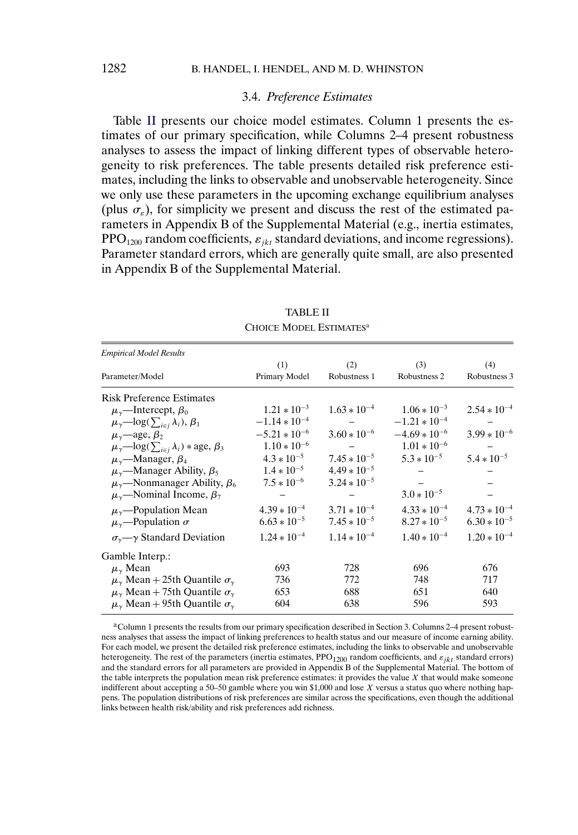# 3.4. *Preference Estimates*

<span id="page-22-0"></span>Table II presents our choice model estimates. Column 1 presents the estimates of our primary specification, while Columns 2–4 present robustness analyses to assess the impact of linking different types of observable heterogeneity to risk preferences. The table presents detailed risk preference estimates, including the links to observable and unobservable heterogeneity. Since we only use these parameters in the upcoming exchange equilibrium analyses (plus  $\sigma_{\epsilon}$ ), for simplicity we present and discuss the rest of the estimated parameters in Appendix B of the Supplemental Material (e.g., inertia estimates,  $PPO<sub>1200</sub>$  random coefficients,  $\varepsilon_{ikt}$  standard deviations, and income regressions). Parameter standard errors, which are generally quite small, are also presented in Appendix B of the Supplemental Material.

| <b>Empirical Model Results</b>                                     |                   |                  |                   |                  |
|--------------------------------------------------------------------|-------------------|------------------|-------------------|------------------|
|                                                                    | (1)               | (2)              | (3)               | (4)              |
| Parameter/Model                                                    | Primary Model     | Robustness 1     | Robustness 2      | Robustness 3     |
| <b>Risk Preference Estimates</b>                                   |                   |                  |                   |                  |
| $\mu_{\gamma}$ —Intercept, $\beta_0$                               | $1.21 * 10^{-3}$  | $1.63 * 10^{-4}$ | $1.06 * 10^{-3}$  | $2.54 * 10^{-4}$ |
| $\mu_{\gamma}$ — $\log(\sum_{i \in i} \lambda_i), \beta_1$         | $-1.14 * 10^{-4}$ |                  | $-1.21 * 10^{-4}$ |                  |
| $\mu_{\nu}$ —age, $\beta_2$                                        | $-5.21 * 10^{-6}$ | $3.60 * 10^{-6}$ | $-4.69 * 10^{-6}$ | $3.99 * 10^{-6}$ |
| $\mu_{\gamma}$ —log( $\sum_{i \in j} \lambda_i$ ) * age, $\beta_3$ | $1.10 * 10^{-6}$  |                  | $1.01 * 10^{-6}$  |                  |
| $\mu_{\gamma}$ —Manager, $\beta_4$                                 | $4.3 * 10^{-5}$   | $7.45 * 10^{-5}$ | $5.3 * 10^{-5}$   | $5.4 * 10^{-5}$  |
| $\mu_{\gamma}$ —Manager Ability, $\beta_5$                         | $1.4 * 10^{-5}$   | $4.49 * 10^{-5}$ |                   |                  |
| $\mu_{\gamma}$ —Nonmanager Ability, $\beta_6$                      | $7.5 * 10^{-6}$   | $3.24 * 10^{-5}$ |                   |                  |
| $\mu_{\gamma}$ —Nominal Income, $\beta_{7}$                        |                   |                  | $3.0 * 10^{-5}$   |                  |
| $\mu_{\gamma}$ —Population Mean                                    | $4.39 * 10^{-4}$  | $3.71 * 10^{-4}$ | $4.33 * 10^{-4}$  | $4.73 * 10^{-4}$ |
| $\mu_{\gamma}$ —Population $\sigma$                                | $6.63 * 10^{-5}$  | $7.45 * 10^{-5}$ | $8.27 * 10^{-5}$  | $6.30 * 10^{-5}$ |
| $\sigma_{\gamma}$ Standard Deviation                               | $1.24 * 10^{-4}$  | $1.14 * 10^{-4}$ | $1.40 * 10^{-4}$  | $1.20 * 10^{-4}$ |
| Gamble Interp.:                                                    |                   |                  |                   |                  |
| $\mu_{\gamma}$ Mean                                                | 693               | 728              | 696               | 676              |
| $\mu_{\gamma}$ Mean + 25th Quantile $\sigma_{\gamma}$              | 736               | 772              | 748               | 717              |
| $\mu_{\gamma}$ Mean + 75th Quantile $\sigma_{\gamma}$              | 653               | 688              | 651               | 640              |
| $\mu_{\gamma}$ Mean + 95th Quantile $\sigma_{\gamma}$              | 604               | 638              | 596               | 593              |

TABLE II CHOICE MODEL ESTIMATES<sup>a</sup>

aColumn 1 presents the results from our primary specification described in Section [3.](#page-15-0) Columns 2-4 present robustness analyses that assess the impact of linking preferences to health status and our measure of income earning ability. For each model, we present the detailed risk preference estimates, including the links to observable and unobservable heterogeneity. The rest of the parameters (inertia estimates, PPO<sub>1200</sub> random coefficients, and  $\varepsilon_{ik}$  standard errors) and the standard errors for all parameters are provided in Appendix B of the Supplemental Material. The bottom of the table interprets the population mean risk preference estimates: it provides the value  $X$  that would make someone indifferent about accepting a 50–50 gamble where you win \$1,000 and lose X versus a status quo where nothing happens. The population distributions of risk preferences are similar across the specifications, even though the additional links between health risk/ability and risk preferences add richness.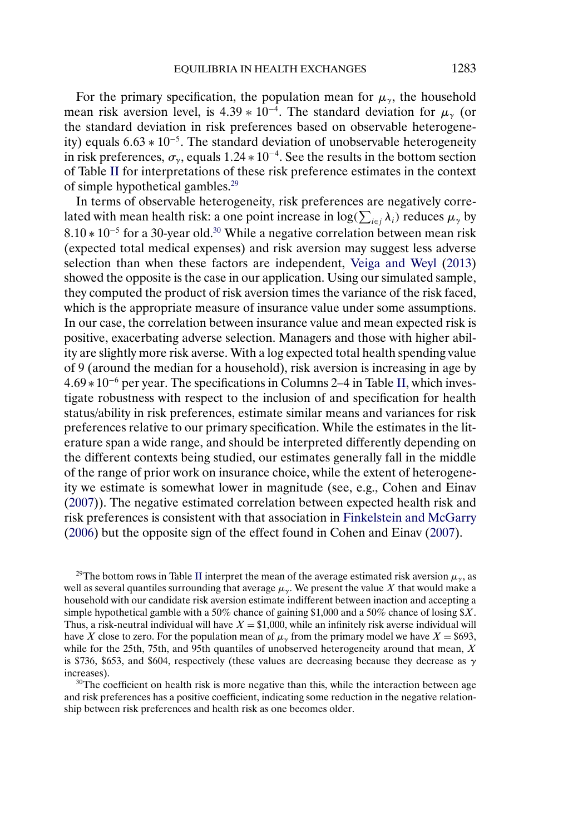For the primary specification, the population mean for  $\mu_{\gamma}$ , the household mean risk aversion level, is  $4.39 \times 10^{-4}$ . The standard deviation for  $\mu_{\gamma}$  (or the standard deviation in risk preferences based on observable heterogeneity) equals  $6.63 \times 10^{-5}$ . The standard deviation of unobservable heterogeneity in risk preferences,  $\sigma_{\gamma}$ , equals 1.24  $*$  10<sup>-4</sup>. See the results in the bottom section of Table [II](#page-22-0) for interpretations of these risk preference estimates in the context of simple hypothetical gambles.29

In terms of observable heterogeneity, risk preferences are negatively correlated with mean health risk: a one point increase in log( $\sum_{i\in j}\lambda_i$ ) reduces  $\mu_\gamma$  by 810 ∗ 10<sup>−</sup><sup>5</sup> for a 30-year old.30 While a negative correlation between mean risk (expected total medical expenses) and risk aversion may suggest less adverse selection than when these factors are independent, [Veiga and Weyl](#page-53-0) [\(2013\)](#page-53-0) showed the opposite is the case in our application. Using our simulated sample, they computed the product of risk aversion times the variance of the risk faced, which is the appropriate measure of insurance value under some assumptions. In our case, the correlation between insurance value and mean expected risk is positive, exacerbating adverse selection. Managers and those with higher ability are slightly more risk averse. With a log expected total health spending value of 9 (around the median for a household), risk aversion is increasing in age by 469 ∗ 10<sup>−</sup><sup>6</sup> per year. The specifications in Columns 2–4 in Table [II,](#page-22-0) which investigate robustness with respect to the inclusion of and specification for health status/ability in risk preferences, estimate similar means and variances for risk preferences relative to our primary specification. While the estimates in the literature span a wide range, and should be interpreted differently depending on the different contexts being studied, our estimates generally fall in the middle of the range of prior work on insurance choice, while the extent of heterogeneity we estimate is somewhat lower in magnitude (see, e.g., Cohen and Einav [\(2007\)](#page-51-0)). The negative estimated correlation between expected health risk and risk preferences is consistent with that association in [Finkelstein and McGarry](#page-52-0) [\(2006\)](#page-52-0) but the opposite sign of the effect found in Cohen and Einav [\(2007\)](#page-51-0).

<sup>29</sup>The bottom rows in Table [II](#page-22-0) interpret the mean of the average estimated risk aversion  $\mu_{\gamma}$ , as well as several quantiles surrounding that average  $\mu_{\gamma}$ . We present the value X that would make a household with our candidate risk aversion estimate indifferent between inaction and accepting a simple hypothetical gamble with a 50% chance of gaining \$1,000 and a 50% chance of losing  $X$ . Thus, a risk-neutral individual will have  $X = $1,000$ , while an infinitely risk averse individual will have X close to zero. For the population mean of  $\mu_{\gamma}$  from the primary model we have  $X = $693$ , while for the 25th, 75th, and 95th quantiles of unobserved heterogeneity around that mean, X is \$736, \$653, and \$604, respectively (these values are decreasing because they decrease as  $\gamma$ increases).

 $30$ The coefficient on health risk is more negative than this, while the interaction between age and risk preferences has a positive coefficient, indicating some reduction in the negative relationship between risk preferences and health risk as one becomes older.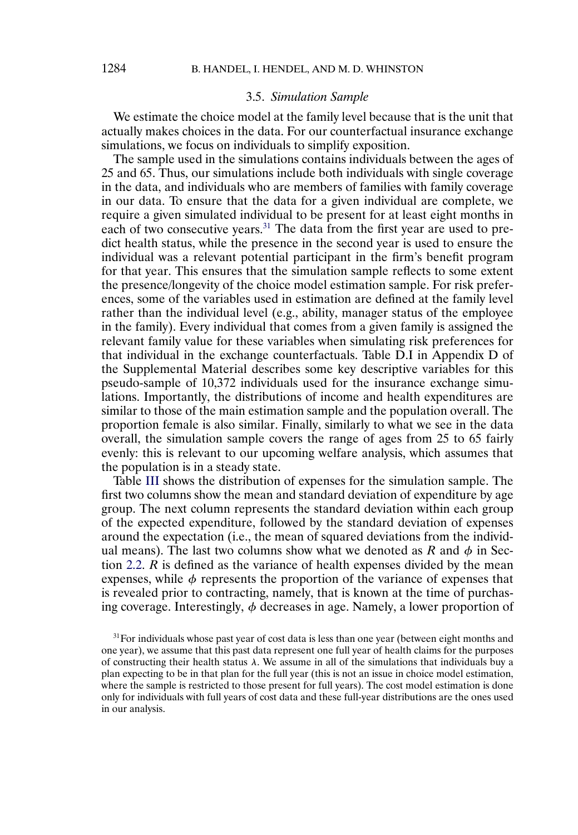# <span id="page-24-0"></span>1284 B. HANDEL, I. HENDEL, AND M. D. WHINSTON

# 3.5. *Simulation Sample*

We estimate the choice model at the family level because that is the unit that actually makes choices in the data. For our counterfactual insurance exchange simulations, we focus on individuals to simplify exposition.

The sample used in the simulations contains individuals between the ages of 25 and 65. Thus, our simulations include both individuals with single coverage in the data, and individuals who are members of families with family coverage in our data. To ensure that the data for a given individual are complete, we require a given simulated individual to be present for at least eight months in each of two consecutive years.<sup>31</sup> The data from the first year are used to predict health status, while the presence in the second year is used to ensure the individual was a relevant potential participant in the firm's benefit program for that year. This ensures that the simulation sample reflects to some extent the presence/longevity of the choice model estimation sample. For risk preferences, some of the variables used in estimation are defined at the family level rather than the individual level (e.g., ability, manager status of the employee in the family). Every individual that comes from a given family is assigned the relevant family value for these variables when simulating risk preferences for that individual in the exchange counterfactuals. Table D.I in Appendix D of the Supplemental Material describes some key descriptive variables for this pseudo-sample of 10,372 individuals used for the insurance exchange simulations. Importantly, the distributions of income and health expenditures are similar to those of the main estimation sample and the population overall. The proportion female is also similar. Finally, similarly to what we see in the data overall, the simulation sample covers the range of ages from 25 to 65 fairly evenly: this is relevant to our upcoming welfare analysis, which assumes that the population is in a steady state.

Table [III](#page-25-0) shows the distribution of expenses for the simulation sample. The first two columns show the mean and standard deviation of expenditure by age group. The next column represents the standard deviation within each group of the expected expenditure, followed by the standard deviation of expenses around the expectation (i.e., the mean of squared deviations from the individual means). The last two columns show what we denoted as R and  $\phi$  in Section [2.2.](#page-13-0) R is defined as the variance of health expenses divided by the mean expenses, while  $\phi$  represents the proportion of the variance of expenses that is revealed prior to contracting, namely, that is known at the time of purchasing coverage. Interestingly,  $\phi$  decreases in age. Namely, a lower proportion of

<sup>&</sup>lt;sup>31</sup>For individuals whose past year of cost data is less than one year (between eight months and one year), we assume that this past data represent one full year of health claims for the purposes of constructing their health status  $\lambda$ . We assume in all of the simulations that individuals buy a plan expecting to be in that plan for the full year (this is not an issue in choice model estimation, where the sample is restricted to those present for full years). The cost model estimation is done only for individuals with full years of cost data and these full-year distributions are the ones used in our analysis.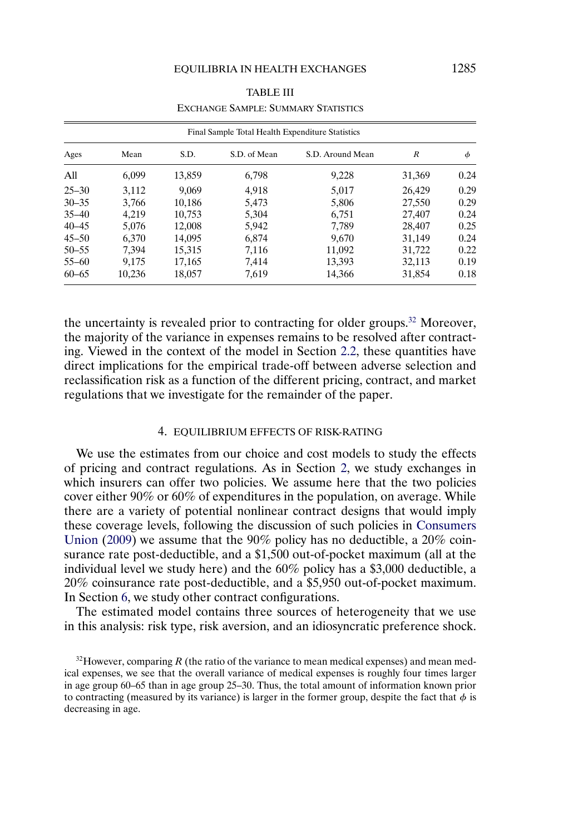<span id="page-25-0"></span>

| Final Sample Total Health Expenditure Statistics |        |        |              |                  |        |        |  |  |
|--------------------------------------------------|--------|--------|--------------|------------------|--------|--------|--|--|
| Ages                                             | Mean   | S.D.   | S.D. of Mean | S.D. Around Mean | R      | $\phi$ |  |  |
| All                                              | 6,099  | 13,859 | 6,798        | 9,228            | 31,369 | 0.24   |  |  |
| $25 - 30$                                        | 3,112  | 9,069  | 4,918        | 5,017            | 26.429 | 0.29   |  |  |
| $30 - 35$                                        | 3,766  | 10,186 | 5,473        | 5,806            | 27,550 | 0.29   |  |  |
| $35 - 40$                                        | 4.219  | 10.753 | 5,304        | 6.751            | 27,407 | 0.24   |  |  |
| $40 - 45$                                        | 5,076  | 12,008 | 5,942        | 7,789            | 28,407 | 0.25   |  |  |
| $45 - 50$                                        | 6.370  | 14.095 | 6,874        | 9.670            | 31.149 | 0.24   |  |  |
| $50 - 55$                                        | 7,394  | 15,315 | 7,116        | 11,092           | 31,722 | 0.22   |  |  |
| $55 - 60$                                        | 9,175  | 17,165 | 7,414        | 13,393           | 32,113 | 0.19   |  |  |
| $60 - 65$                                        | 10,236 | 18,057 | 7,619        | 14,366           | 31,854 | 0.18   |  |  |

TABLE III EXCHANGE SAMPLE: SUMMARY STATISTICS

the uncertainty is revealed prior to contracting for older groups.<sup>32</sup> Moreover, the majority of the variance in expenses remains to be resolved after contracting. Viewed in the context of the model in Section [2.2,](#page-13-0) these quantities have direct implications for the empirical trade-off between adverse selection and reclassification risk as a function of the different pricing, contract, and market regulations that we investigate for the remainder of the paper.

# 4. EQUILIBRIUM EFFECTS OF RISK-RATING

We use the estimates from our choice and cost models to study the effects of pricing and contract regulations. As in Section [2,](#page-7-0) we study exchanges in which insurers can offer two policies. We assume here that the two policies cover either 90% or 60% of expenditures in the population, on average. While there are a variety of potential nonlinear contract designs that would imply these coverage levels, following the discussion of such policies in [Consumers](#page-51-0) [Union](#page-51-0) [\(2009\)](#page-51-0) we assume that the 90% policy has no deductible, a 20% coinsurance rate post-deductible, and a \$1,500 out-of-pocket maximum (all at the individual level we study here) and the 60% policy has a \$3,000 deductible, a 20% coinsurance rate post-deductible, and a \$5,950 out-of-pocket maximum. In Section [6,](#page-34-0) we study other contract configurations.

The estimated model contains three sources of heterogeneity that we use in this analysis: risk type, risk aversion, and an idiosyncratic preference shock.

 $32$ However, comparing R (the ratio of the variance to mean medical expenses) and mean medical expenses, we see that the overall variance of medical expenses is roughly four times larger in age group 60–65 than in age group 25–30. Thus, the total amount of information known prior to contracting (measured by its variance) is larger in the former group, despite the fact that  $\phi$  is decreasing in age.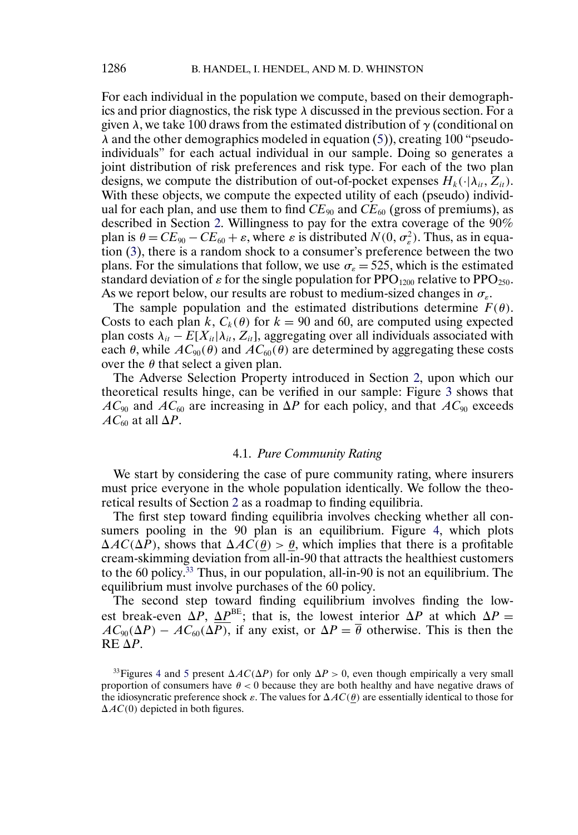For each individual in the population we compute, based on their demographics and prior diagnostics, the risk type  $\lambda$  discussed in the previous section. For a given  $\lambda$ , we take 100 draws from the estimated distribution of  $\gamma$  (conditional on  $\lambda$  and the other demographics modeled in equation [\(5\)](#page-21-0)), creating 100 "pseudoindividuals" for each actual individual in our sample. Doing so generates a joint distribution of risk preferences and risk type. For each of the two plan designs, we compute the distribution of out-of-pocket expenses  $H_k(\cdot|\lambda_{it}, Z_{it})$ . With these objects, we compute the expected utility of each (pseudo) individual for each plan, and use them to find  $CE_{90}$  and  $CE_{60}$  (gross of premiums), as described in Section [2.](#page-7-0) Willingness to pay for the extra coverage of the 90% plan is  $\theta = CE_{90} - CE_{60} + \varepsilon$ , where  $\varepsilon$  is distributed  $N(0, \sigma_{\varepsilon}^2)$ . Thus, as in equation [\(3\)](#page-20-0), there is a random shock to a consumer's preference between the two plans. For the simulations that follow, we use  $\sigma_{\epsilon} = 525$ , which is the estimated standard deviation of  $\varepsilon$  for the single population for PPO<sub>1200</sub> relative to PPO<sub>250</sub>. As we report below, our results are robust to medium-sized changes in  $\sigma_{\varepsilon}$ .

The sample population and the estimated distributions determine  $F(\theta)$ . Costs to each plan k,  $C_k(\theta)$  for  $k = 90$  and 60, are computed using expected plan costs  $\lambda_{it} - E[X_{it} | \lambda_{it}, Z_{it}]$ , aggregating over all individuals associated with each  $\theta$ , while  $AC_{90}(\theta)$  and  $AC_{60}(\theta)$  are determined by aggregating these costs over the  $\theta$  that select a given plan.

The Adverse Selection Property introduced in Section [2,](#page-7-0) upon which our theoretical results hinge, can be verified in our sample: Figure [3](#page-27-0) shows that  $AC_{90}$  and  $AC_{60}$  are increasing in  $\Delta P$  for each policy, and that  $AC_{90}$  exceeds  $AC_{60}$  at all  $\Delta P$ .

## 4.1. *Pure Community Rating*

We start by considering the case of pure community rating, where insurers must price everyone in the whole population identically. We follow the theoretical results of Section [2](#page-7-0) as a roadmap to finding equilibria.

The first step toward finding equilibria involves checking whether all con-sumers pooling in the 90 plan is an equilibrium. Figure [4,](#page-28-0) which plots  $\Delta AC(\Delta P)$ , shows that  $\Delta AC(\theta) > \theta$ , which implies that there is a profitable cream-skimming deviation from all-in-90 that attracts the healthiest customers to the 60 policy.<sup>33</sup> Thus, in our population, all-in-90 is not an equilibrium. The equilibrium must involve purchases of the 60 policy.

The second step toward finding equilibrium involves finding the lowest break-even  $\Delta P$ ,  $\Delta P^{\text{BE}}$ ; that is, the lowest interior  $\Delta P$  at which  $\Delta P$  =  $AC_{90}(\Delta P) - AC_{60}(\Delta P)$ , if any exist, or  $\Delta P = \overline{\theta}$  otherwise. This is then the  $RE \Delta P$ .

<sup>&</sup>lt;sup>33</sup> Figures [4](#page-28-0) and [5](#page-29-0) present  $\Delta AC(\Delta P)$  for only  $\Delta P > 0$ , even though empirically a very small proportion of consumers have  $\theta$  < 0 because they are both healthy and have negative draws of the idiosyncratic preference shock  $\varepsilon$ . The values for  $\Delta AC(\theta)$  are essentially identical to those for  $\Delta AC(0)$  depicted in both figures.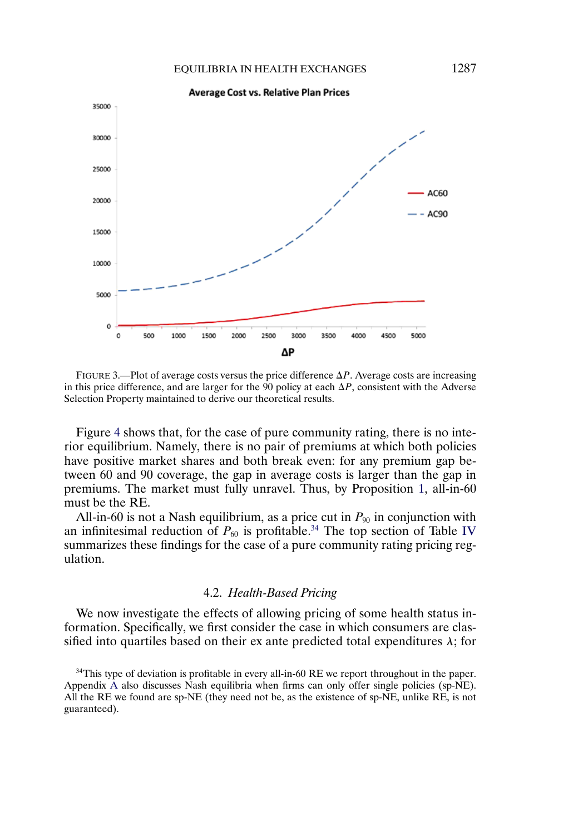<span id="page-27-0"></span>

FIGURE 3.—Plot of average costs versus the price difference  $\Delta P$ . Average costs are increasing in this price difference, and are larger for the 90 policy at each  $\Delta P$ , consistent with the Adverse Selection Property maintained to derive our theoretical results.

Figure [4](#page-28-0) shows that, for the case of pure community rating, there is no interior equilibrium. Namely, there is no pair of premiums at which both policies have positive market shares and both break even: for any premium gap between 60 and 90 coverage, the gap in average costs is larger than the gap in premiums. The market must fully unravel. Thus, by Proposition [1,](#page-10-0) all-in-60 must be the RE.

All-in-60 is not a Nash equilibrium, as a price cut in  $P_{90}$  in conjunction with an infinitesimal reduction of  $P_{60}$  is profitable.<sup>34</sup> The top section of Table [IV](#page-28-0) summarizes these findings for the case of a pure community rating pricing regulation.

## 4.2. *Health-Based Pricing*

We now investigate the effects of allowing pricing of some health status information. Specifically, we first consider the case in which consumers are classified into quartiles based on their ex ante predicted total expenditures  $\lambda$ ; for

<sup>34</sup>This type of deviation is profitable in every all-in-60 RE we report throughout in the paper. Appendix [A](#page-44-0) also discusses Nash equilibria when firms can only offer single policies (sp-NE). All the RE we found are sp-NE (they need not be, as the existence of sp-NE, unlike RE, is not guaranteed).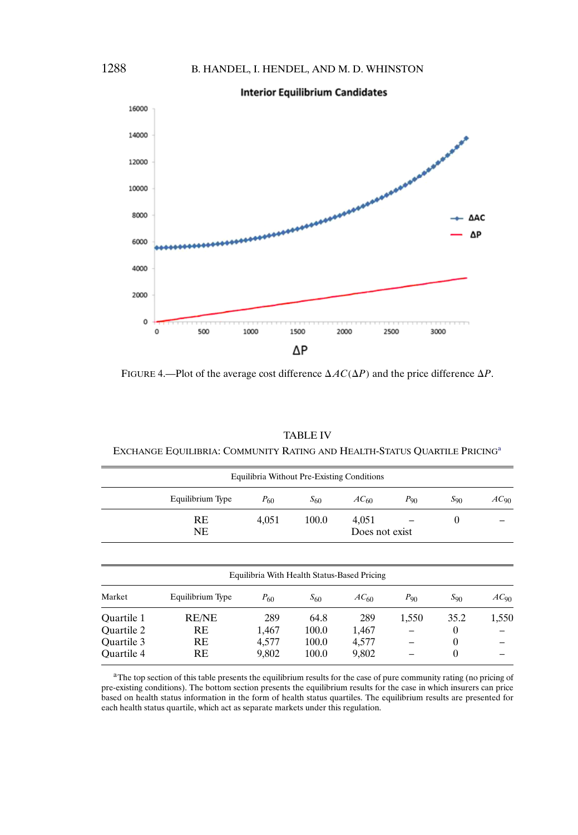<span id="page-28-0"></span>

FIGURE 4.—Plot of the average cost difference  $\Delta AC(\Delta P)$  and the price difference  $\Delta P$ .

TABLE IV EXCHANGE EQUILIBRIA: COMMUNITY RATING AND HEALTH-STATUS QUARTILE PRICINGa

|                                                             |                                |                                | Equilibria Without Pre-Existing Conditions |                                             |          |                                    |           |
|-------------------------------------------------------------|--------------------------------|--------------------------------|--------------------------------------------|---------------------------------------------|----------|------------------------------------|-----------|
|                                                             | Equilibrium Type               | $P_{60}$                       | $S_{60}$                                   | $AC_{60}$                                   | $P_{90}$ | $S_{90}$                           | $AC_{90}$ |
|                                                             | RE<br>NE                       | 4,051                          | 100.0                                      | 4,051<br>Does not exist                     |          | $\boldsymbol{0}$                   |           |
|                                                             |                                |                                |                                            | Equilibria With Health Status-Based Pricing |          |                                    |           |
| Market                                                      | Equilibrium Type               | $P_{60}$                       | $S_{60}$                                   | $AC_{60}$                                   | $P_{90}$ | $S_{90}$                           | $AC_{90}$ |
| Ouartile 1<br>Ouartile 2<br>Ouartile 3<br><b>Ouartile 4</b> | <b>RE/NE</b><br>RE<br>RE<br>RE | 289<br>1,467<br>4,577<br>9,802 | 64.8<br>100.0<br>100.0<br>100.0            | 289<br>1,467<br>4,577<br>9,802              | 1,550    | 35.2<br>0<br>$\boldsymbol{0}$<br>0 | 1,550     |

aThe top section of this table presents the equilibrium results for the case of pure community rating (no pricing of pre-existing conditions). The bottom section presents the equilibrium results for the case in which insurers can price based on health status information in the form of health status quartiles. The equilibrium results are presented for each health status quartile, which act as separate markets under this regulation.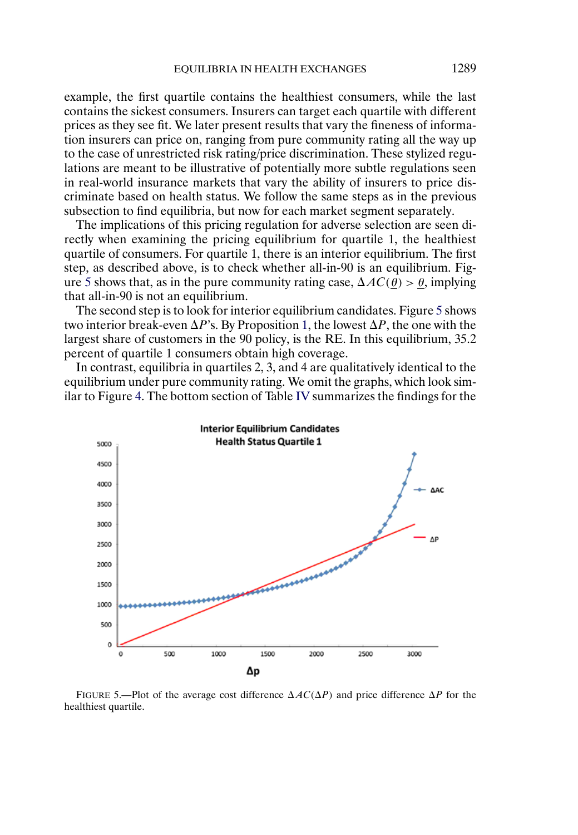<span id="page-29-0"></span>example, the first quartile contains the healthiest consumers, while the last contains the sickest consumers. Insurers can target each quartile with different prices as they see fit. We later present results that vary the fineness of information insurers can price on, ranging from pure community rating all the way up to the case of unrestricted risk rating/price discrimination. These stylized regulations are meant to be illustrative of potentially more subtle regulations seen in real-world insurance markets that vary the ability of insurers to price discriminate based on health status. We follow the same steps as in the previous subsection to find equilibria, but now for each market segment separately.

The implications of this pricing regulation for adverse selection are seen directly when examining the pricing equilibrium for quartile 1, the healthiest quartile of consumers. For quartile 1, there is an interior equilibrium. The first step, as described above, is to check whether all-in-90 is an equilibrium. Figure 5 shows that, as in the pure community rating case,  $\Delta AC(\theta) > \theta$ , implying that all-in-90 is not an equilibrium.

The second step is to look for interior equilibrium candidates. Figure 5 shows two interior break-even  $\Delta P$ 's. By Proposition [1,](#page-10-0) the lowest  $\Delta P$ , the one with the largest share of customers in the 90 policy, is the RE. In this equilibrium, 35.2 percent of quartile 1 consumers obtain high coverage.

In contrast, equilibria in quartiles 2, 3, and 4 are qualitatively identical to the equilibrium under pure community rating. We omit the graphs, which look similar to Figure [4.](#page-28-0) The bottom section of Table [IV](#page-28-0) summarizes the findings for the



FIGURE 5.—Plot of the average cost difference  $\Delta AC(\Delta P)$  and price difference  $\Delta P$  for the healthiest quartile.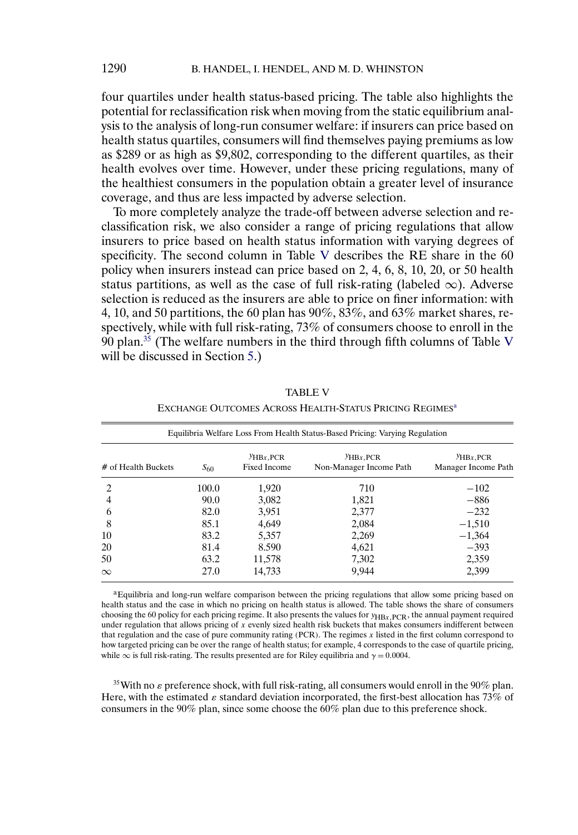<span id="page-30-0"></span>four quartiles under health status-based pricing. The table also highlights the potential for reclassification risk when moving from the static equilibrium analysis to the analysis of long-run consumer welfare: if insurers can price based on health status quartiles, consumers will find themselves paying premiums as low as \$289 or as high as \$9,802, corresponding to the different quartiles, as their health evolves over time. However, under these pricing regulations, many of the healthiest consumers in the population obtain a greater level of insurance coverage, and thus are less impacted by adverse selection.

To more completely analyze the trade-off between adverse selection and reclassification risk, we also consider a range of pricing regulations that allow insurers to price based on health status information with varying degrees of specificity. The second column in Table V describes the RE share in the 60 policy when insurers instead can price based on 2, 4, 6, 8, 10, 20, or 50 health status partitions, as well as the case of full risk-rating (labeled  $\infty$ ). Adverse selection is reduced as the insurers are able to price on finer information: with 4, 10, and 50 partitions, the 60 plan has 90%, 83%, and 63% market shares, respectively, while with full risk-rating, 73% of consumers choose to enroll in the  $90$  plan.<sup>35</sup> (The welfare numbers in the third through fifth columns of Table V will be discussed in Section [5.](#page-31-0))

| Equilibria Welfare Loss From Health Status-Based Pricing: Varying Regulation |          |                                                    |                                                        |                                      |  |  |  |
|------------------------------------------------------------------------------|----------|----------------------------------------------------|--------------------------------------------------------|--------------------------------------|--|--|--|
| $#$ of Health Buckets                                                        | $S_{60}$ | $Y_{\text{HB}x,\text{PCR}}$<br><b>Fixed Income</b> | $Y_{\text{HB}x,\text{PCR}}$<br>Non-Manager Income Path | $YH Bx$ , PCR<br>Manager Income Path |  |  |  |
| $\mathcal{L}$                                                                | 100.0    | 1,920                                              | 710                                                    | $-102$                               |  |  |  |
| $\overline{4}$                                                               | 90.0     | 3,082                                              | 1,821                                                  | $-886$                               |  |  |  |
| 6                                                                            | 82.0     | 3,951                                              | 2,377                                                  | $-232$                               |  |  |  |
| 8                                                                            | 85.1     | 4,649                                              | 2,084                                                  | $-1,510$                             |  |  |  |
| 10                                                                           | 83.2     | 5,357                                              | 2,269                                                  | $-1,364$                             |  |  |  |
| 20                                                                           | 81.4     | 8.590                                              | 4,621                                                  | $-393$                               |  |  |  |
| 50                                                                           | 63.2     | 11,578                                             | 7,302                                                  | 2,359                                |  |  |  |
| $\infty$                                                                     | 27.0     | 14,733                                             | 9.944                                                  | 2,399                                |  |  |  |

TABLE V EXCHANGE OUTCOMES ACROSS HEALTH-STATUS PRICING REGIMES<sup>a</sup>

<sup>a</sup>Equilibria and long-run welfare comparison between the pricing regulations that allow some pricing based on health status and the case in which no pricing on health status is allowed. The table shows the share of consumers choosing the 60 policy for each pricing regime. It also presents the values for  $y_{HBx,PCR}$ , the annual payment required under regulation that allows pricing of x evenly sized health risk buckets that makes consumers indifferent between that regulation and the case of pure community rating (PCR). The regimes  $x$  listed in the first column correspond to how targeted pricing can be over the range of health status; for example, 4 corresponds to the case of quartile pricing, while  $\infty$  is full risk-rating. The results presented are for Riley equilibria and  $\gamma = 0.0004$ .

<sup>35</sup>With no  $\varepsilon$  preference shock, with full risk-rating, all consumers would enroll in the 90% plan. Here, with the estimated  $\varepsilon$  standard deviation incorporated, the first-best allocation has 73% of consumers in the 90% plan, since some choose the 60% plan due to this preference shock.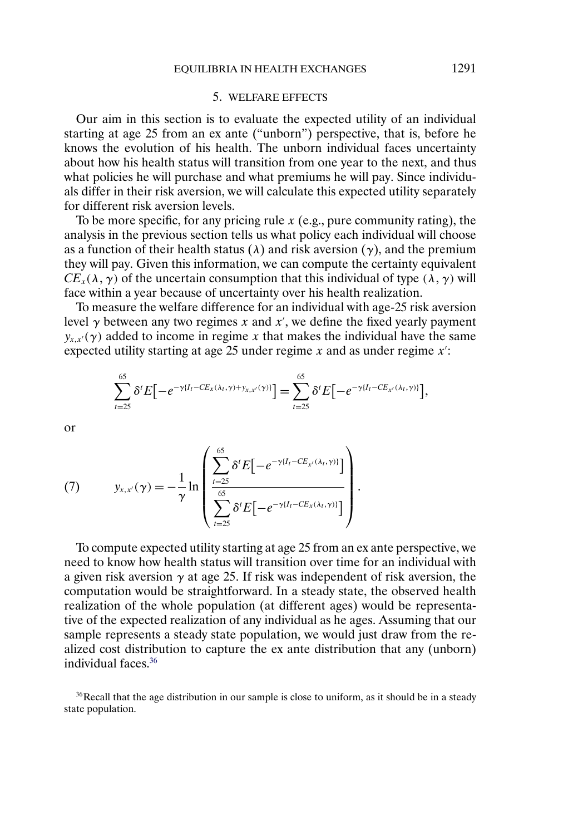# 5. WELFARE EFFECTS

<span id="page-31-0"></span>Our aim in this section is to evaluate the expected utility of an individual starting at age 25 from an ex ante ("unborn") perspective, that is, before he knows the evolution of his health. The unborn individual faces uncertainty about how his health status will transition from one year to the next, and thus what policies he will purchase and what premiums he will pay. Since individuals differ in their risk aversion, we will calculate this expected utility separately for different risk aversion levels.

To be more specific, for any pricing rule  $x$  (e.g., pure community rating), the analysis in the previous section tells us what policy each individual will choose as a function of their health status ( $\lambda$ ) and risk aversion ( $\gamma$ ), and the premium they will pay. Given this information, we can compute the certainty equivalent  $CE_x(\lambda, \gamma)$  of the uncertain consumption that this individual of type  $(\lambda, \gamma)$  will face within a year because of uncertainty over his health realization.

To measure the welfare difference for an individual with age-25 risk aversion level  $\gamma$  between any two regimes x and x', we define the fixed yearly payment  $y_{x,x'}(\gamma)$  added to income in regime x that makes the individual have the same expected utility starting at age 25 under regime  $x$  and as under regime  $x'$ :

$$
\sum_{t=25}^{65} \delta^t E\big[-e^{-\gamma\{I_t-CE_x(\lambda_t,\gamma)+y_{x,x'}(\gamma)\}}\big]=\sum_{t=25}^{65} \delta^t E\big[-e^{-\gamma\{I_t-CE_{x'}(\lambda_t,\gamma)\}}\big],
$$

or

(7) 
$$
y_{x,x'}(\gamma) = -\frac{1}{\gamma} \ln \left( \frac{\sum_{t=25}^{65} \delta^t E\left[-e^{-\gamma \{I_t-CE_{x'}(\lambda_t,\gamma)\}}\right]}{\sum_{t=25}^{65} \delta^t E\left[-e^{-\gamma \{I_t-CE_x(\lambda_t,\gamma)\}}\right]}\right).
$$

To compute expected utility starting at age 25 from an ex ante perspective, we need to know how health status will transition over time for an individual with a given risk aversion  $\gamma$  at age 25. If risk was independent of risk aversion, the computation would be straightforward. In a steady state, the observed health realization of the whole population (at different ages) would be representative of the expected realization of any individual as he ages. Assuming that our sample represents a steady state population, we would just draw from the realized cost distribution to capture the ex ante distribution that any (unborn) individual faces 36

 $36$ Recall that the age distribution in our sample is close to uniform, as it should be in a steady state population.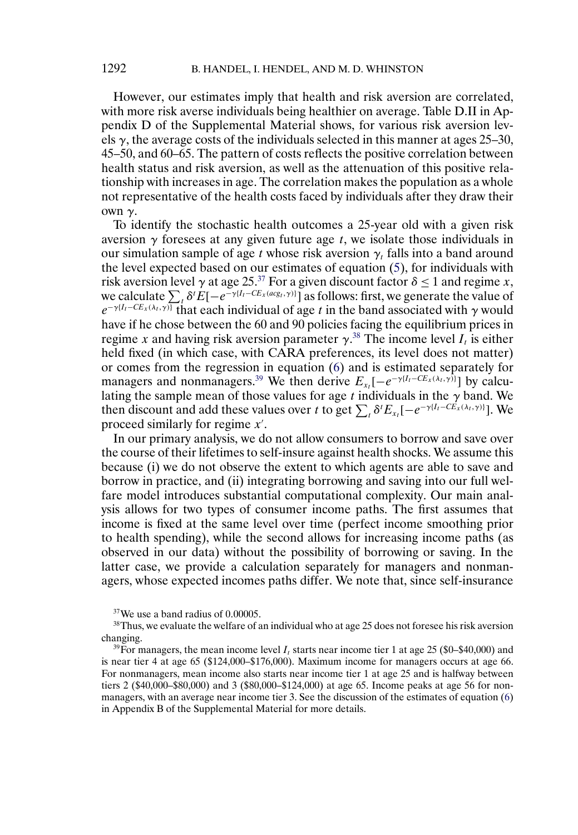<span id="page-32-0"></span>However, our estimates imply that health and risk aversion are correlated, with more risk averse individuals being healthier on average. Table D.II in Appendix D of the Supplemental Material shows, for various risk aversion levels  $\gamma$ , the average costs of the individuals selected in this manner at ages 25–30, 45–50, and 60–65. The pattern of costs reflects the positive correlation between health status and risk aversion, as well as the attenuation of this positive relationship with increases in age. The correlation makes the population as a whole not representative of the health costs faced by individuals after they draw their own γ.

To identify the stochastic health outcomes a 25-year old with a given risk aversion  $\gamma$  foresees at any given future age t, we isolate those individuals in our simulation sample of age t whose risk aversion  $\gamma_t$  falls into a band around the level expected based on our estimates of equation [\(5\)](#page-21-0), for individuals with risk aversion level  $\gamma$  at age 25.<sup>37</sup> For a given discount factor  $\delta \leq 1$  and regime x, we calculate  $\sum_{i} \delta^i E[-e^{-\gamma(I_i - CE_x(acg_i, \gamma)})]$  as follows: first, we generate the value of  $e^{-\gamma[I_t - CE_x(\lambda_t, \gamma)]}$  that each individual of age t in the band associated with  $\gamma$  would have if he chose between the 60 and 90 policies facing the equilibrium prices in regime x and having risk aversion parameter  $\gamma$ .<sup>38</sup> The income level  $I_t$  is either held fixed (in which case, with CARA preferences, its level does not matter) or comes from the regression in equation [\(6\)](#page-21-0) and is estimated separately for managers and nonmanagers.<sup>39</sup> We then derive  $E_{x_t}[-e^{-\gamma(I_t-CE_x(\lambda_t,\gamma))}]$  by calculating the sample mean of those values for age t individuals in the  $\gamma$  band. We then discount and add these values over t to get  $\sum_{t} \delta^t E_{x_t}[-e^{-\gamma(I_t - CE_x(\lambda_t, \gamma))}].$  We proceed similarly for regime x'.

In our primary analysis, we do not allow consumers to borrow and save over the course of their lifetimes to self-insure against health shocks. We assume this because (i) we do not observe the extent to which agents are able to save and borrow in practice, and (ii) integrating borrowing and saving into our full welfare model introduces substantial computational complexity. Our main analysis allows for two types of consumer income paths. The first assumes that income is fixed at the same level over time (perfect income smoothing prior to health spending), while the second allows for increasing income paths (as observed in our data) without the possibility of borrowing or saving. In the latter case, we provide a calculation separately for managers and nonmanagers, whose expected incomes paths differ. We note that, since self-insurance

 $37$ We use a band radius of 0.00005.

<sup>&</sup>lt;sup>38</sup>Thus, we evaluate the welfare of an individual who at age 25 does not foresee his risk aversion changing.

<sup>&</sup>lt;sup>39</sup>For managers, the mean income level  $I_t$  starts near income tier 1 at age 25 (\$0–\$40,000) and is near tier 4 at age 65 (\$124,000–\$176,000). Maximum income for managers occurs at age 66. For nonmanagers, mean income also starts near income tier 1 at age 25 and is halfway between tiers 2 (\$40,000–\$80,000) and 3 (\$80,000–\$124,000) at age 65. Income peaks at age 56 for nonmanagers, with an average near income tier 3. See the discussion of the estimates of equation [\(6\)](#page-21-0) in Appendix B of the Supplemental Material for more details.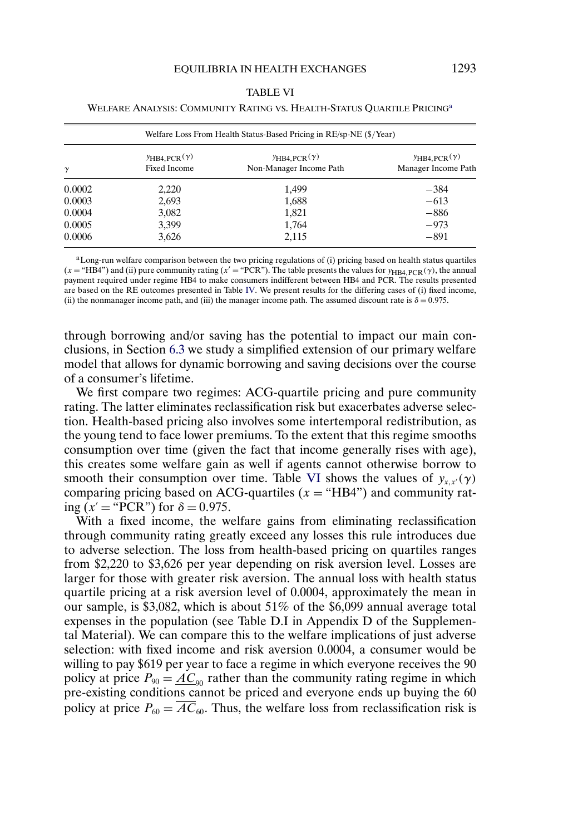#### TABLE VI

|          | Welfare Loss From Health Status-Based Pricing in RE/sp-NE (\$/Year) |                                        |                                    |  |  |  |  |
|----------|---------------------------------------------------------------------|----------------------------------------|------------------------------------|--|--|--|--|
| $\gamma$ | YHB4,PCR(Y)<br>Fixed Income                                         | YHB4,PCR(Y)<br>Non-Manager Income Path | YHB4,PCR(Y)<br>Manager Income Path |  |  |  |  |
| 0.0002   | 2,220                                                               | 1,499                                  | $-384$                             |  |  |  |  |
| 0.0003   | 2,693                                                               | 1,688                                  | $-613$                             |  |  |  |  |
| 0.0004   | 3,082                                                               | 1,821                                  | $-886$                             |  |  |  |  |
| 0.0005   | 3,399                                                               | 1,764                                  | $-973$                             |  |  |  |  |
| 0.0006   | 3,626                                                               | 2,115                                  | $-891$                             |  |  |  |  |

## <span id="page-33-0"></span>WELFARE ANALYSIS: COMMUNITY RATING VS. HEALTH-STATUS QUARTILE PRICINGa

<sup>a</sup>Long-run welfare comparison between the two pricing regulations of (i) pricing based on health status quartiles  $(x = "HB4")$  and (ii) pure community rating  $(x' = "PCR")$ . The table presents the values for  $y_{HB4,PCR}(y)$ , the annual payment required under regime HB4 to make consumers indifferent between HB4 and PCR. The results presented are based on the RE outcomes presented in Table [IV.](#page-28-0) We present results for the differing cases of (i) fixed income, (ii) the nonmanager income path, and (iii) the manager income path. The assumed discount rate is  $\delta = 0.975$ .

through borrowing and/or saving has the potential to impact our main conclusions, in Section [6.3](#page-39-0) we study a simplified extension of our primary welfare model that allows for dynamic borrowing and saving decisions over the course of a consumer's lifetime.

We first compare two regimes: ACG-quartile pricing and pure community rating. The latter eliminates reclassification risk but exacerbates adverse selection. Health-based pricing also involves some intertemporal redistribution, as the young tend to face lower premiums. To the extent that this regime smooths consumption over time (given the fact that income generally rises with age), this creates some welfare gain as well if agents cannot otherwise borrow to smooth their consumption over time. Table VI shows the values of  $y_{x,x'}(\gamma)$ comparing pricing based on ACG-quartiles ( $x =$  "HB4") and community rating ( $x' =$  "PCR") for  $\delta = 0.975$ .

With a fixed income, the welfare gains from eliminating reclassification through community rating greatly exceed any losses this rule introduces due to adverse selection. The loss from health-based pricing on quartiles ranges from \$2,220 to \$3,626 per year depending on risk aversion level. Losses are larger for those with greater risk aversion. The annual loss with health status quartile pricing at a risk aversion level of 0.0004, approximately the mean in our sample, is \$3,082, which is about 51% of the \$6,099 annual average total expenses in the population (see Table D.I in Appendix D of the Supplemental Material). We can compare this to the welfare implications of just adverse selection: with fixed income and risk aversion 0.0004, a consumer would be willing to pay \$619 per year to face a regime in which everyone receives the 90 policy at price  $P_{90} = \underline{AC}_{90}$  rather than the community rating regime in which pre-existing conditions cannot be priced and everyone ends up buying the 60 policy at price  $P_{60} = \overline{AC}_{60}$ . Thus, the welfare loss from reclassification risk is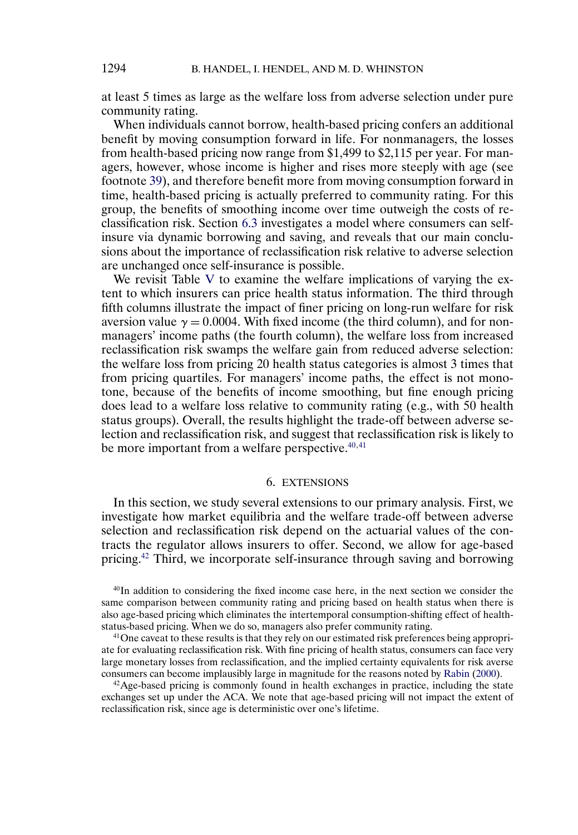<span id="page-34-0"></span>at least 5 times as large as the welfare loss from adverse selection under pure community rating.

When individuals cannot borrow, health-based pricing confers an additional benefit by moving consumption forward in life. For nonmanagers, the losses from health-based pricing now range from \$1,499 to \$2,115 per year. For managers, however, whose income is higher and rises more steeply with age (see footnote [39\)](#page-32-0), and therefore benefit more from moving consumption forward in time, health-based pricing is actually preferred to community rating. For this group, the benefits of smoothing income over time outweigh the costs of reclassification risk. Section [6.3](#page-39-0) investigates a model where consumers can selfinsure via dynamic borrowing and saving, and reveals that our main conclusions about the importance of reclassification risk relative to adverse selection are unchanged once self-insurance is possible.

We revisit Table [V](#page-30-0) to examine the welfare implications of varying the extent to which insurers can price health status information. The third through fifth columns illustrate the impact of finer pricing on long-run welfare for risk aversion value  $\gamma = 0.0004$ . With fixed income (the third column), and for nonmanagers' income paths (the fourth column), the welfare loss from increased reclassification risk swamps the welfare gain from reduced adverse selection: the welfare loss from pricing 20 health status categories is almost 3 times that from pricing quartiles. For managers' income paths, the effect is not monotone, because of the benefits of income smoothing, but fine enough pricing does lead to a welfare loss relative to community rating (e.g., with 50 health status groups). Overall, the results highlight the trade-off between adverse selection and reclassification risk, and suggest that reclassification risk is likely to be more important from a welfare perspective. $40,41$ 

## 6. EXTENSIONS

In this section, we study several extensions to our primary analysis. First, we investigate how market equilibria and the welfare trade-off between adverse selection and reclassification risk depend on the actuarial values of the contracts the regulator allows insurers to offer. Second, we allow for age-based pricing.42 Third, we incorporate self-insurance through saving and borrowing

<sup>40</sup>In addition to considering the fixed income case here, in the next section we consider the same comparison between community rating and pricing based on health status when there is also age-based pricing which eliminates the intertemporal consumption-shifting effect of healthstatus-based pricing. When we do so, managers also prefer community rating.

<sup>41</sup>One caveat to these results is that they rely on our estimated risk preferences being appropriate for evaluating reclassification risk. With fine pricing of health status, consumers can face very large monetary losses from reclassification, and the implied certainty equivalents for risk averse consumers can become implausibly large in magnitude for the reasons noted by [Rabin](#page-53-0) [\(2000\)](#page-53-0).

 $42$ Age-based pricing is commonly found in health exchanges in practice, including the state exchanges set up under the ACA. We note that age-based pricing will not impact the extent of reclassification risk, since age is deterministic over one's lifetime.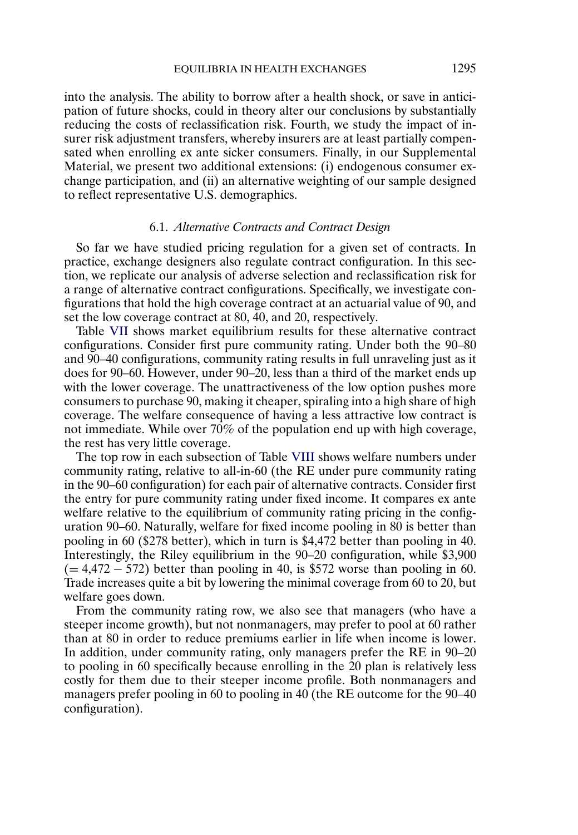<span id="page-35-0"></span>into the analysis. The ability to borrow after a health shock, or save in anticipation of future shocks, could in theory alter our conclusions by substantially reducing the costs of reclassification risk. Fourth, we study the impact of insurer risk adjustment transfers, whereby insurers are at least partially compensated when enrolling ex ante sicker consumers. Finally, in our Supplemental Material, we present two additional extensions: (i) endogenous consumer exchange participation, and (ii) an alternative weighting of our sample designed to reflect representative U.S. demographics.

## 6.1. *Alternative Contracts and Contract Design*

So far we have studied pricing regulation for a given set of contracts. In practice, exchange designers also regulate contract configuration. In this section, we replicate our analysis of adverse selection and reclassification risk for a range of alternative contract configurations. Specifically, we investigate configurations that hold the high coverage contract at an actuarial value of 90, and set the low coverage contract at 80, 40, and 20, respectively.

Table [VII](#page-36-0) shows market equilibrium results for these alternative contract configurations. Consider first pure community rating. Under both the 90–80 and 90–40 configurations, community rating results in full unraveling just as it does for 90–60. However, under 90–20, less than a third of the market ends up with the lower coverage. The unattractiveness of the low option pushes more consumers to purchase 90, making it cheaper, spiraling into a high share of high coverage. The welfare consequence of having a less attractive low contract is not immediate. While over 70% of the population end up with high coverage, the rest has very little coverage.

The top row in each subsection of Table [VIII](#page-37-0) shows welfare numbers under community rating, relative to all-in-60 (the RE under pure community rating in the 90–60 configuration) for each pair of alternative contracts. Consider first the entry for pure community rating under fixed income. It compares ex ante welfare relative to the equilibrium of community rating pricing in the configuration 90–60. Naturally, welfare for fixed income pooling in 80 is better than pooling in 60 (\$278 better), which in turn is \$4,472 better than pooling in 40. Interestingly, the Riley equilibrium in the 90–20 configuration, while \$3,900  $(= 4,472 - 572)$  better than pooling in 40, is \$572 worse than pooling in 60. Trade increases quite a bit by lowering the minimal coverage from 60 to 20, but welfare goes down.

From the community rating row, we also see that managers (who have a steeper income growth), but not nonmanagers, may prefer to pool at 60 rather than at 80 in order to reduce premiums earlier in life when income is lower. In addition, under community rating, only managers prefer the RE in 90–20 to pooling in 60 specifically because enrolling in the 20 plan is relatively less costly for them due to their steeper income profile. Both nonmanagers and managers prefer pooling in 60 to pooling in 40 (the RE outcome for the 90–40 configuration).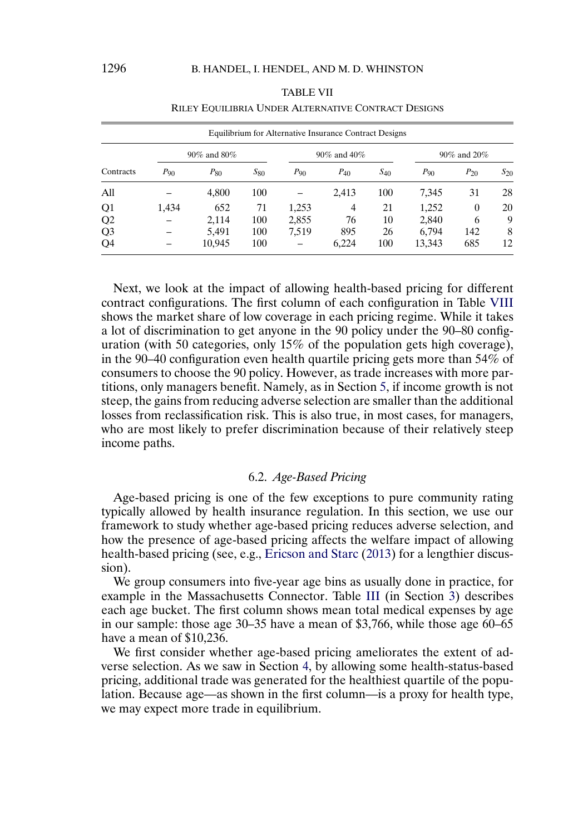<span id="page-36-0"></span>

|                |                            |          |          |          | Equilibrium for Alternative Insurance Contract Designs |          |             |          |          |
|----------------|----------------------------|----------|----------|----------|--------------------------------------------------------|----------|-------------|----------|----------|
|                | 90% and 80%<br>90% and 40% |          |          |          |                                                        |          | 90% and 20% |          |          |
| Contracts      | $P_{90}$                   | $P_{80}$ | $S_{80}$ | $P_{90}$ | $P_{40}$                                               | $S_{40}$ | $P_{90}$    | $P_{20}$ | $S_{20}$ |
| All            |                            | 4,800    | 100      |          | 2,413                                                  | 100      | 7.345       | 31       | 28       |
| O <sub>1</sub> | 1.434                      | 652      | 71       | 1,253    | 4                                                      | 21       | 1,252       | $\Omega$ | 20       |
| Q <sub>2</sub> |                            | 2,114    | 100      | 2,855    | 76                                                     | 10       | 2,840       | 6        | 9        |
| O <sub>3</sub> |                            | 5.491    | 100      | 7,519    | 895                                                    | 26       | 6.794       | 142      | 8        |
| O <sub>4</sub> |                            | 10,945   | 100      |          | 6.224                                                  | 100      | 13,343      | 685      | 12       |

| <b>TABLE VII</b>                                    |  |
|-----------------------------------------------------|--|
| RILEY EQUILIBRIA UNDER ALTERNATIVE CONTRACT DESIGNS |  |

Next, we look at the impact of allowing health-based pricing for different contract configurations. The first column of each configuration in Table [VIII](#page-37-0) shows the market share of low coverage in each pricing regime. While it takes a lot of discrimination to get anyone in the 90 policy under the 90–80 configuration (with 50 categories, only 15% of the population gets high coverage), in the 90–40 configuration even health quartile pricing gets more than 54% of consumers to choose the 90 policy. However, as trade increases with more partitions, only managers benefit. Namely, as in Section [5,](#page-31-0) if income growth is not steep, the gains from reducing adverse selection are smaller than the additional losses from reclassification risk. This is also true, in most cases, for managers, who are most likely to prefer discrimination because of their relatively steep income paths.

# 6.2. *Age-Based Pricing*

Age-based pricing is one of the few exceptions to pure community rating typically allowed by health insurance regulation. In this section, we use our framework to study whether age-based pricing reduces adverse selection, and how the presence of age-based pricing affects the welfare impact of allowing health-based pricing (see, e.g., [Ericson and Starc](#page-52-0) [\(2013\)](#page-52-0) for a lengthier discussion).

We group consumers into five-year age bins as usually done in practice, for example in the Massachusetts Connector. Table [III](#page-25-0) (in Section [3\)](#page-15-0) describes each age bucket. The first column shows mean total medical expenses by age in our sample: those age 30–35 have a mean of \$3,766, while those age 60–65 have a mean of \$10,236.

We first consider whether age-based pricing ameliorates the extent of adverse selection. As we saw in Section [4,](#page-25-0) by allowing some health-status-based pricing, additional trade was generated for the healthiest quartile of the population. Because age—as shown in the first column—is a proxy for health type, we may expect more trade in equilibrium.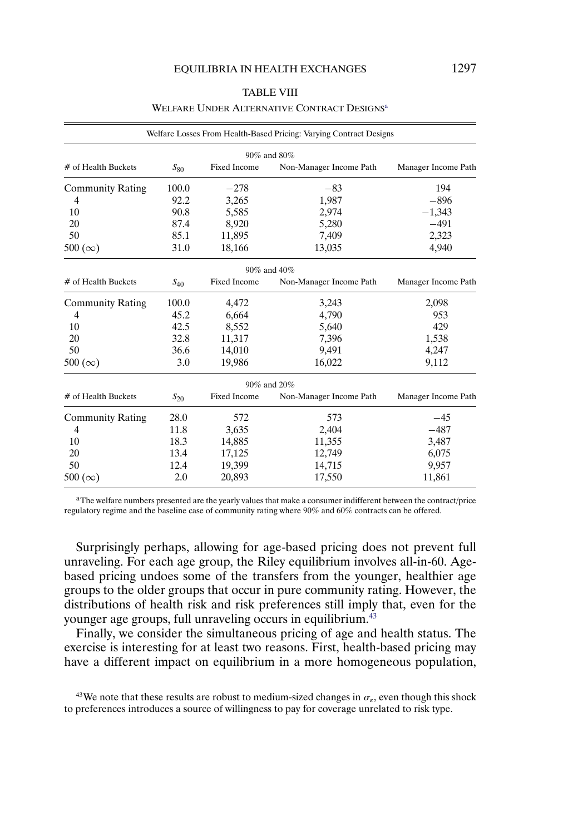#### TABLE VIII

<span id="page-37-0"></span>

| Welfare Losses From Health-Based Pricing: Varying Contract Designs |          |                     |                         |                     |  |  |  |
|--------------------------------------------------------------------|----------|---------------------|-------------------------|---------------------|--|--|--|
| 90% and 80%                                                        |          |                     |                         |                     |  |  |  |
| # of Health Buckets                                                | $S_{80}$ | <b>Fixed Income</b> | Non-Manager Income Path | Manager Income Path |  |  |  |
| <b>Community Rating</b>                                            | 100.0    | $-278$              | $-83$                   | 194                 |  |  |  |
| $\overline{4}$                                                     | 92.2     | 3,265               | 1,987                   | $-896$              |  |  |  |
| 10                                                                 | 90.8     | 5,585               | 2,974                   | $-1,343$            |  |  |  |
| 20                                                                 | 87.4     | 8,920               | 5,280                   | $-491$              |  |  |  |
| 50                                                                 | 85.1     | 11,895              | 7,409                   | 2,323               |  |  |  |
| 500 $(\infty)$                                                     | 31.0     | 18,166              | 13,035                  | 4,940               |  |  |  |
|                                                                    |          |                     | 90% and 40%             |                     |  |  |  |
| # of Health Buckets                                                | $S_{40}$ | Fixed Income        | Non-Manager Income Path | Manager Income Path |  |  |  |
| <b>Community Rating</b>                                            | 100.0    | 4,472               | 3,243                   | 2,098               |  |  |  |
| 4                                                                  | 45.2     | 6,664               | 4,790                   | 953                 |  |  |  |
| 10                                                                 | 42.5     | 8,552               | 5,640                   | 429                 |  |  |  |
| 20                                                                 | 32.8     | 11,317              | 7,396                   | 1,538               |  |  |  |
| 50                                                                 | 36.6     | 14.010              | 9,491                   | 4,247               |  |  |  |
| $500(\infty)$                                                      | 3.0      | 19,986              | 16,022                  | 9,112               |  |  |  |
|                                                                    |          |                     | 90% and 20%             |                     |  |  |  |
| # of Health Buckets                                                | $S_{20}$ | Fixed Income        | Non-Manager Income Path | Manager Income Path |  |  |  |
| <b>Community Rating</b>                                            | 28.0     | 572                 | 573                     | $-45$               |  |  |  |
| 4                                                                  | 11.8     | 3,635               | 2,404                   | $-487$              |  |  |  |
| 10                                                                 | 18.3     | 14,885              | 11,355                  | 3,487               |  |  |  |
| 20                                                                 | 13.4     | 17,125              | 12,749                  | 6,075               |  |  |  |
| 50                                                                 | 12.4     | 19,399              | 14,715                  | 9,957               |  |  |  |
| 500 $(\infty)$                                                     | 2.0      | 20,893              | 17,550                  | 11,861              |  |  |  |

#### WELFARE UNDER ALTERNATIVE CONTRACT DESIGNS<sup>a</sup>

aThe welfare numbers presented are the yearly values that make a consumer indifferent between the contract/price regulatory regime and the baseline case of community rating where 90% and 60% contracts can be offered.

Surprisingly perhaps, allowing for age-based pricing does not prevent full unraveling. For each age group, the Riley equilibrium involves all-in-60. Agebased pricing undoes some of the transfers from the younger, healthier age groups to the older groups that occur in pure community rating. However, the distributions of health risk and risk preferences still imply that, even for the younger age groups, full unraveling occurs in equilibrium.<sup>43</sup>

Finally, we consider the simultaneous pricing of age and health status. The exercise is interesting for at least two reasons. First, health-based pricing may have a different impact on equilibrium in a more homogeneous population,

<sup>43</sup>We note that these results are robust to medium-sized changes in  $\sigma_{\varepsilon}$ , even though this shock to preferences introduces a source of willingness to pay for coverage unrelated to risk type.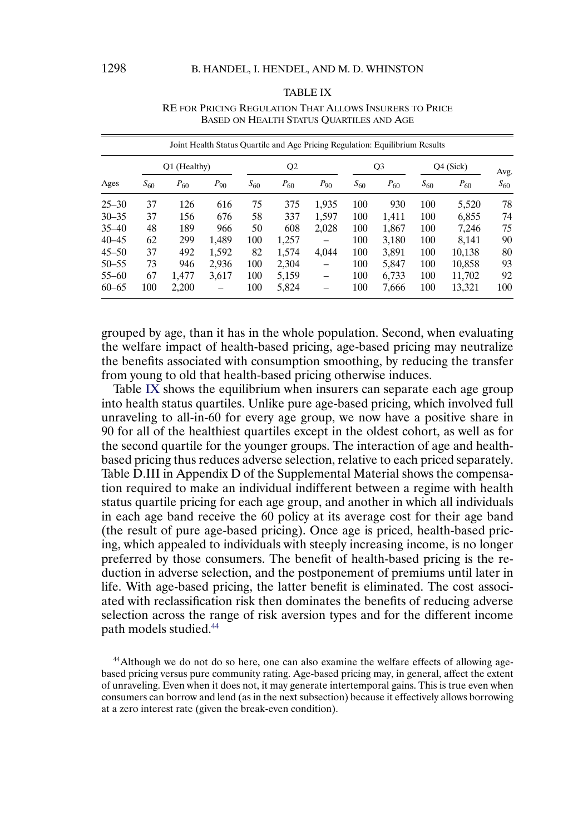| Q1 (Healthy) |          |          | Joint Health Status Quartile and Age Pricing Regulation: Equilibrium Results<br>O <sub>2</sub> |          |          | O <sub>3</sub>           |          | $Q4$ (Sick) |          |          |                  |
|--------------|----------|----------|------------------------------------------------------------------------------------------------|----------|----------|--------------------------|----------|-------------|----------|----------|------------------|
| Ages         | $S_{60}$ | $P_{60}$ | $P_{90}$                                                                                       | $S_{60}$ | $P_{60}$ | $P_{90}$                 | $S_{60}$ | $P_{60}$    | $S_{60}$ | $P_{60}$ | Avg.<br>$S_{60}$ |
| $25 - 30$    | 37       | 126      | 616                                                                                            | 75       | 375      | 1,935                    | 100      | 930         | 100      | 5,520    | 78               |
| $30 - 35$    | 37       | 156      | 676                                                                                            | 58       | 337      | 1,597                    | 100      | 1,411       | 100      | 6,855    | 74               |
| $35 - 40$    | 48       | 189      | 966                                                                                            | 50       | 608      | 2,028                    | 100      | 1,867       | 100      | 7,246    | 75               |
| $40 - 45$    | 62       | 299      | 1,489                                                                                          | 100      | 1,257    |                          | 100      | 3,180       | 100      | 8.141    | 90               |
| $45 - 50$    | 37       | 492      | 1,592                                                                                          | 82       | 1,574    | 4,044                    | 100      | 3,891       | 100      | 10.138   | 80               |
| $50 - 55$    | 73       | 946      | 2,936                                                                                          | 100      | 2,304    |                          | 100      | 5,847       | 100      | 10,858   | 93               |
| $55 - 60$    | 67       | 1.477    | 3,617                                                                                          | 100      | 5,159    | $\overline{\phantom{m}}$ | 100      | 6,733       | 100      | 11,702   | 92               |
| $60 - 65$    | 100      | 2,200    |                                                                                                | 100      | 5,824    |                          | 100      | 7,666       | 100      | 13,321   | 100              |

## TABLE IX RE FOR PRICING REGULATION THAT ALLOWS INSURERS TO PRICE BASED ON HEALTH STATUS QUARTILES AND AGE

grouped by age, than it has in the whole population. Second, when evaluating the welfare impact of health-based pricing, age-based pricing may neutralize the benefits associated with consumption smoothing, by reducing the transfer from young to old that health-based pricing otherwise induces.

Table IX shows the equilibrium when insurers can separate each age group into health status quartiles. Unlike pure age-based pricing, which involved full unraveling to all-in-60 for every age group, we now have a positive share in 90 for all of the healthiest quartiles except in the oldest cohort, as well as for the second quartile for the younger groups. The interaction of age and healthbased pricing thus reduces adverse selection, relative to each priced separately. Table D.III in Appendix D of the Supplemental Material shows the compensation required to make an individual indifferent between a regime with health status quartile pricing for each age group, and another in which all individuals in each age band receive the 60 policy at its average cost for their age band (the result of pure age-based pricing). Once age is priced, health-based pricing, which appealed to individuals with steeply increasing income, is no longer preferred by those consumers. The benefit of health-based pricing is the reduction in adverse selection, and the postponement of premiums until later in life. With age-based pricing, the latter benefit is eliminated. The cost associated with reclassification risk then dominates the benefits of reducing adverse selection across the range of risk aversion types and for the different income path models studied.44

<sup>44</sup>Although we do not do so here, one can also examine the welfare effects of allowing agebased pricing versus pure community rating. Age-based pricing may, in general, affect the extent of unraveling. Even when it does not, it may generate intertemporal gains. This is true even when consumers can borrow and lend (as in the next subsection) because it effectively allows borrowing at a zero interest rate (given the break-even condition).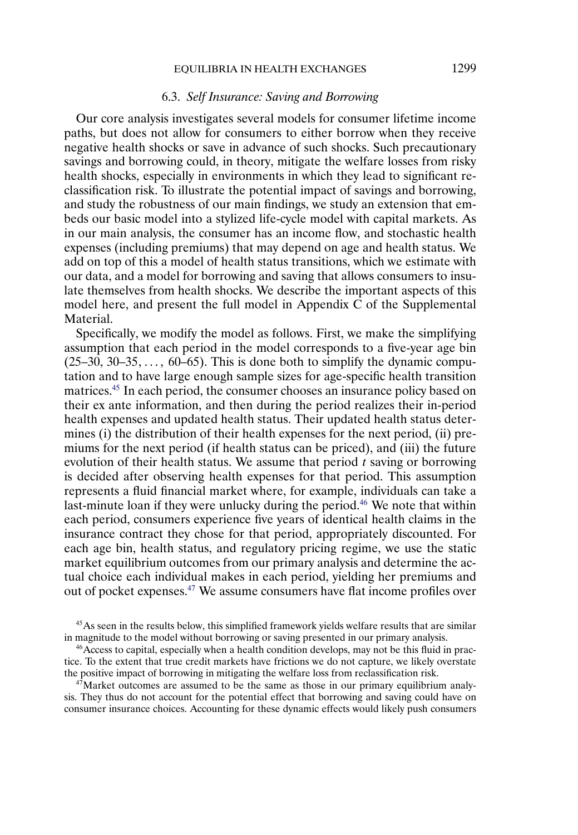# EQUILIBRIA IN HEALTH EXCHANGES 1299

# 6.3. *Self Insurance: Saving and Borrowing*

<span id="page-39-0"></span>Our core analysis investigates several models for consumer lifetime income paths, but does not allow for consumers to either borrow when they receive negative health shocks or save in advance of such shocks. Such precautionary savings and borrowing could, in theory, mitigate the welfare losses from risky health shocks, especially in environments in which they lead to significant reclassification risk. To illustrate the potential impact of savings and borrowing, and study the robustness of our main findings, we study an extension that embeds our basic model into a stylized life-cycle model with capital markets. As in our main analysis, the consumer has an income flow, and stochastic health expenses (including premiums) that may depend on age and health status. We add on top of this a model of health status transitions, which we estimate with our data, and a model for borrowing and saving that allows consumers to insulate themselves from health shocks. We describe the important aspects of this model here, and present the full model in Appendix C of the Supplemental Material.

Specifically, we modify the model as follows. First, we make the simplifying assumption that each period in the model corresponds to a five-year age bin  $(25-30, 30-35, \ldots, 60-65)$ . This is done both to simplify the dynamic computation and to have large enough sample sizes for age-specific health transition matrices.<sup>45</sup> In each period, the consumer chooses an insurance policy based on their ex ante information, and then during the period realizes their in-period health expenses and updated health status. Their updated health status determines (i) the distribution of their health expenses for the next period, (ii) premiums for the next period (if health status can be priced), and (iii) the future evolution of their health status. We assume that period  $t$  saving or borrowing is decided after observing health expenses for that period. This assumption represents a fluid financial market where, for example, individuals can take a last-minute loan if they were unlucky during the period.<sup>46</sup> We note that within each period, consumers experience five years of identical health claims in the insurance contract they chose for that period, appropriately discounted. For each age bin, health status, and regulatory pricing regime, we use the static market equilibrium outcomes from our primary analysis and determine the actual choice each individual makes in each period, yielding her premiums and out of pocket expenses.47 We assume consumers have flat income profiles over

 $47$ Market outcomes are assumed to be the same as those in our primary equilibrium analysis. They thus do not account for the potential effect that borrowing and saving could have on consumer insurance choices. Accounting for these dynamic effects would likely push consumers

<sup>&</sup>lt;sup>45</sup>As seen in the results below, this simplified framework yields welfare results that are similar in magnitude to the model without borrowing or saving presented in our primary analysis.

<sup>46</sup>Access to capital, especially when a health condition develops, may not be this fluid in practice. To the extent that true credit markets have frictions we do not capture, we likely overstate the positive impact of borrowing in mitigating the welfare loss from reclassification risk.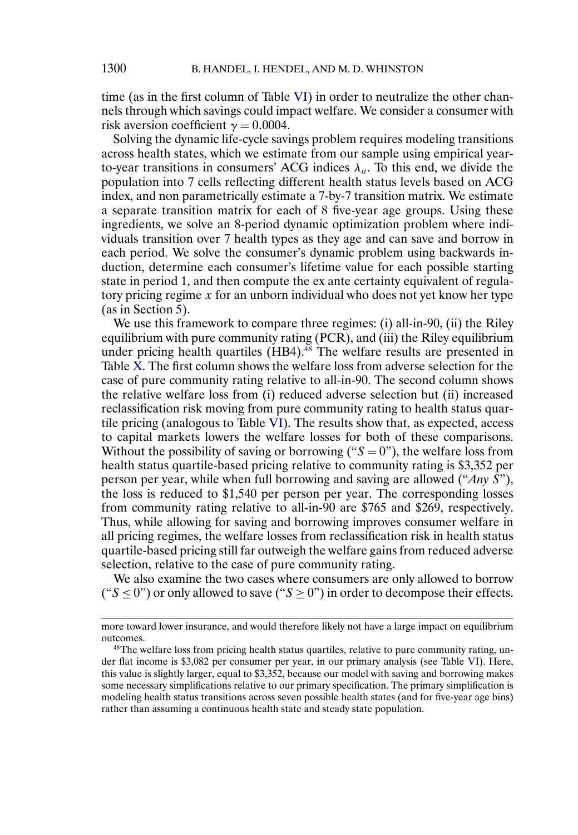<span id="page-40-0"></span>time (as in the first column of Table [VI\)](#page-33-0) in order to neutralize the other channels through which savings could impact welfare. We consider a consumer with risk aversion coefficient  $\gamma = 0.0004$ .

Solving the dynamic life-cycle savings problem requires modeling transitions across health states, which we estimate from our sample using empirical yearto-year transitions in consumers' ACG indices  $\lambda_{it}$ . To this end, we divide the population into 7 cells reflecting different health status levels based on ACG index, and non parametrically estimate a 7-by-7 transition matrix. We estimate a separate transition matrix for each of 8 five-year age groups. Using these ingredients, we solve an 8-period dynamic optimization problem where individuals transition over 7 health types as they age and can save and borrow in each period. We solve the consumer's dynamic problem using backwards induction, determine each consumer's lifetime value for each possible starting state in period 1, and then compute the ex ante certainty equivalent of regulatory pricing regime x for an unborn individual who does not yet know her type (as in Section [5\)](#page-31-0).

We use this framework to compare three regimes: (i) all-in-90, (ii) the Riley equilibrium with pure community rating (PCR), and (iii) the Riley equilibrium under pricing health quartiles  $(HB4)$ .<sup>48</sup> The welfare results are presented in Table [X.](#page-41-0) The first column shows the welfare loss from adverse selection for the case of pure community rating relative to all-in-90. The second column shows the relative welfare loss from (i) reduced adverse selection but (ii) increased reclassification risk moving from pure community rating to health status quartile pricing (analogous to Table [VI\)](#page-33-0). The results show that, as expected, access to capital markets lowers the welfare losses for both of these comparisons. Without the possibility of saving or borrowing (" $S = 0$ "), the welfare loss from health status quartile-based pricing relative to community rating is \$3,352 per person per year, while when full borrowing and saving are allowed ("*Any* S"), the loss is reduced to \$1,540 per person per year. The corresponding losses from community rating relative to all-in-90 are \$765 and \$269, respectively. Thus, while allowing for saving and borrowing improves consumer welfare in all pricing regimes, the welfare losses from reclassification risk in health status quartile-based pricing still far outweigh the welfare gains from reduced adverse selection, relative to the case of pure community rating.

We also examine the two cases where consumers are only allowed to borrow (" $S < 0$ ") or only allowed to save (" $S > 0$ ") in order to decompose their effects.

more toward lower insurance, and would therefore likely not have a large impact on equilibrium outcomes.

<sup>&</sup>lt;sup>48</sup>The welfare loss from pricing health status quartiles, relative to pure community rating, under flat income is \$3,082 per consumer per year, in our primary analysis (see Table [VI\)](#page-33-0). Here, this value is slightly larger, equal to \$3,352, because our model with saving and borrowing makes some necessary simplifications relative to our primary specification. The primary simplification is modeling health status transitions across seven possible health states (and for five-year age bins) rather than assuming a continuous health state and steady state population.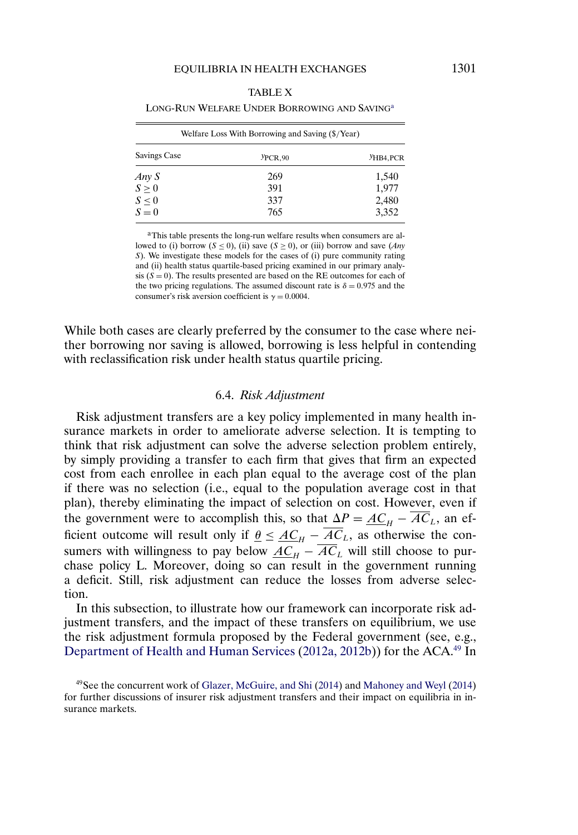#### TABLE X

| Welfare Loss With Borrowing and Saving (\$/Year) |         |                  |  |  |  |
|--------------------------------------------------|---------|------------------|--|--|--|
| Savings Case                                     | YPCR.90 | <b>YHB4, PCR</b> |  |  |  |
| Any S                                            | 269     | 1,540            |  |  |  |
| S > 0                                            | 391     | 1,977            |  |  |  |
| S<0                                              | 337     | 2,480            |  |  |  |
| $S=0$                                            | 765     | 3,352            |  |  |  |
|                                                  |         |                  |  |  |  |

<span id="page-41-0"></span>LONG-RUN WELFARE UNDER BORROWING AND SAVING<sup>a</sup>

aThis table presents the long-run welfare results when consumers are allowed to (i) borrow ( $S \le 0$ ), (ii) save ( $S \ge 0$ ), or (iii) borrow and save (*Any* S). We investigate these models for the cases of (i) pure community rating and (ii) health status quartile-based pricing examined in our primary analysis  $(S = 0)$ . The results presented are based on the RE outcomes for each of the two pricing regulations. The assumed discount rate is  $\delta = 0.975$  and the consumer's risk aversion coefficient is  $\gamma = 0.0004$ .

While both cases are clearly preferred by the consumer to the case where neither borrowing nor saving is allowed, borrowing is less helpful in contending with reclassification risk under health status quartile pricing.

## 6.4. *Risk Adjustment*

Risk adjustment transfers are a key policy implemented in many health insurance markets in order to ameliorate adverse selection. It is tempting to think that risk adjustment can solve the adverse selection problem entirely, by simply providing a transfer to each firm that gives that firm an expected cost from each enrollee in each plan equal to the average cost of the plan if there was no selection (i.e., equal to the population average cost in that plan), thereby eliminating the impact of selection on cost. However, even if the government were to accomplish this, so that  $\Delta P = AC_H - \overline{AC}_L$ , an efficient outcome will result only if  $\theta \le AC_H - \overline{AC}_L$ , as otherwise the consumers with willingness to pay below  $AC_H - \overline{AC}_L$  will still choose to purchase policy L. Moreover, doing so can result in the government running a deficit. Still, risk adjustment can reduce the losses from adverse selection.

In this subsection, to illustrate how our framework can incorporate risk adjustment transfers, and the impact of these transfers on equilibrium, we use the risk adjustment formula proposed by the Federal government (see, e.g., [Department of Health and Human Services](#page-51-0) [\(2012a, 2012b\)](#page-51-0)) for the ACA.<sup>49</sup> In

<sup>49</sup>See the concurrent work of [Glazer, McGuire, and Shi](#page-52-0) [\(2014\)](#page-52-0) and [Mahoney and Weyl](#page-52-0) [\(2014\)](#page-52-0) for further discussions of insurer risk adjustment transfers and their impact on equilibria in insurance markets.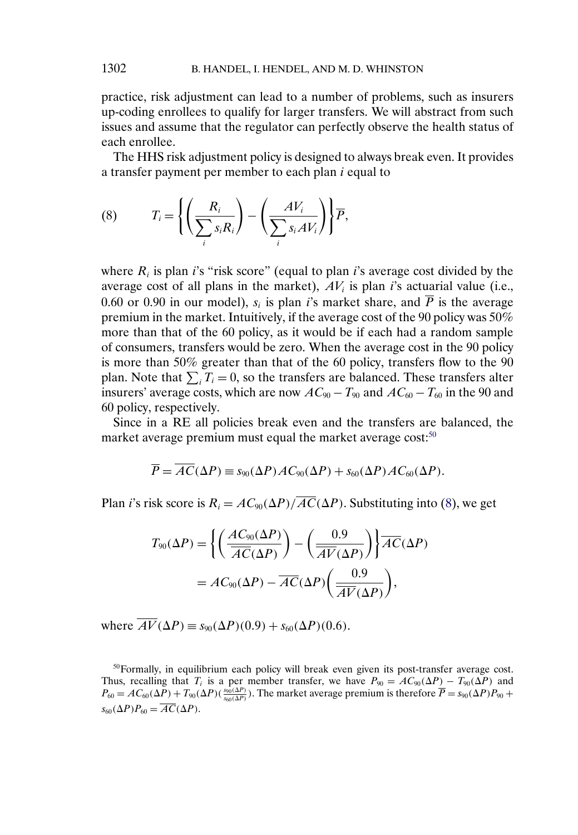practice, risk adjustment can lead to a number of problems, such as insurers up-coding enrollees to qualify for larger transfers. We will abstract from such issues and assume that the regulator can perfectly observe the health status of each enrollee.

The HHS risk adjustment policy is designed to always break even. It provides a transfer payment per member to each plan i equal to

(8) 
$$
T_i = \left\{ \left( \frac{R_i}{\sum_{i} s_i R_i} \right) - \left( \frac{AV_i}{\sum_{i} s_i AV_i} \right) \right\} \overline{P},
$$

where  $R_i$  is plan i's "risk score" (equal to plan i's average cost divided by the average cost of all plans in the market),  $AV_i$  is plan i's actuarial value (i.e., 0.60 or 0.90 in our model),  $s_i$  is plan i's market share, and  $\overline{P}$  is the average premium in the market. Intuitively, if the average cost of the 90 policy was 50% more than that of the 60 policy, as it would be if each had a random sample of consumers, transfers would be zero. When the average cost in the 90 policy is more than 50% greater than that of the 60 policy, transfers flow to the 90 plan. Note that  $\sum_i T_i = 0$ , so the transfers are balanced. These transfers alter insurers' average costs, which are now  $AC_{90} - T_{90}$  and  $AC_{60} - T_{60}$  in the 90 and 60 policy, respectively.

Since in a RE all policies break even and the transfers are balanced, the market average premium must equal the market average  $cost:50$ 

$$
\overline{P} = \overline{AC}(\Delta P) \equiv s_{90}(\Delta P)AC_{90}(\Delta P) + s_{60}(\Delta P)AC_{60}(\Delta P).
$$

Plan i's risk score is  $R_i = AC_{90}(\Delta P)/\overline{AC}(\Delta P)$ . Substituting into (8), we get

$$
T_{90}(\Delta P) = \left\{ \left( \frac{AC_{90}(\Delta P)}{\overline{AC}(\Delta P)} \right) - \left( \frac{0.9}{\overline{AV}(\Delta P)} \right) \right\} \overline{AC}(\Delta P)
$$

$$
= AC_{90}(\Delta P) - \overline{AC}(\Delta P) \left( \frac{0.9}{\overline{AV}(\Delta P)} \right),
$$

where  $\overline{AV}(\Delta P) \equiv s_{90}(\Delta P)(0.9) + s_{60}(\Delta P)(0.6)$ .

50Formally, in equilibrium each policy will break even given its post-transfer average cost. Thus, recalling that  $T_i$  is a per member transfer, we have  $P_{90} = AC_{90}(\Delta P) - T_{90}(\Delta P)$  and  $P_{60} = AC_{60}(\Delta P) + T_{90}(\Delta P)(\frac{s_{90}(\Delta P)}{s_{60}(\Delta P)})$ . The market average premium is therefore  $\overline{P} = s_{90}(\Delta P)P_{90} +$  $s_{60}(\Delta P)P_{60} = \overline{AC}(\Delta P).$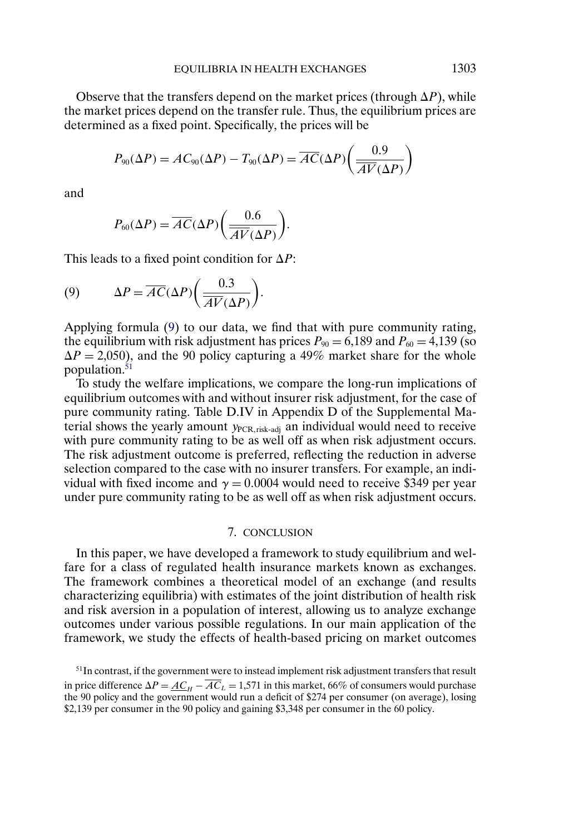<span id="page-43-0"></span>Observe that the transfers depend on the market prices (through  $\Delta P$ ), while the market prices depend on the transfer rule. Thus, the equilibrium prices are determined as a fixed point. Specifically, the prices will be

$$
P_{90}(\Delta P) = AC_{90}(\Delta P) - T_{90}(\Delta P) = \overline{AC}(\Delta P) \left(\frac{0.9}{\overline{AV}(\Delta P)}\right)
$$

and

$$
P_{60}(\Delta P) = \overline{AC}(\Delta P) \left( \frac{0.6}{\overline{AV}(\Delta P)} \right).
$$

This leads to a fixed point condition for  $\Delta P$ :

(9) 
$$
\Delta P = \overline{AC}(\Delta P) \left( \frac{0.3}{\overline{AV}(\Delta P)} \right).
$$

Applying formula (9) to our data, we find that with pure community rating, the equilibrium with risk adjustment has prices  $P_{90} = 6{,}189$  and  $P_{60} = 4{,}139$  (so  $\Delta P = 2{,}050$ , and the 90 policy capturing a 49% market share for the whole population.<sup>51</sup>

To study the welfare implications, we compare the long-run implications of equilibrium outcomes with and without insurer risk adjustment, for the case of pure community rating. Table D.IV in Appendix D of the Supplemental Material shows the yearly amount  $y_{PCR, risk-adj}$  an individual would need to receive with pure community rating to be as well off as when risk adjustment occurs. The risk adjustment outcome is preferred, reflecting the reduction in adverse selection compared to the case with no insurer transfers. For example, an individual with fixed income and  $\gamma = 0.0004$  would need to receive \$349 per year under pure community rating to be as well off as when risk adjustment occurs.

## 7. CONCLUSION

In this paper, we have developed a framework to study equilibrium and welfare for a class of regulated health insurance markets known as exchanges. The framework combines a theoretical model of an exchange (and results characterizing equilibria) with estimates of the joint distribution of health risk and risk aversion in a population of interest, allowing us to analyze exchange outcomes under various possible regulations. In our main application of the framework, we study the effects of health-based pricing on market outcomes

<sup>&</sup>lt;sup>51</sup>In contrast, if the government were to instead implement risk adjustment transfers that result in price difference  $\Delta P = AC_H - \overline{AC}_L = 1,571$  in this market, 66% of consumers would purchase the 90 policy and the government would run a deficit of \$274 per consumer (on average), losing \$2,139 per consumer in the 90 policy and gaining \$3,348 per consumer in the 60 policy.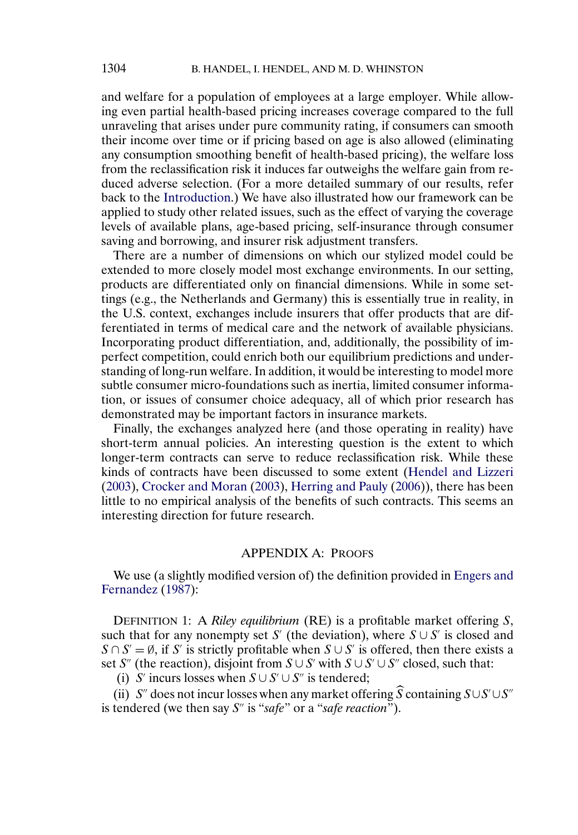<span id="page-44-0"></span>and welfare for a population of employees at a large employer. While allowing even partial health-based pricing increases coverage compared to the full unraveling that arises under pure community rating, if consumers can smooth their income over time or if pricing based on age is also allowed (eliminating any consumption smoothing benefit of health-based pricing), the welfare loss from the reclassification risk it induces far outweighs the welfare gain from reduced adverse selection. (For a more detailed summary of our results, refer back to the [Introduction.](#page-1-0)) We have also illustrated how our framework can be applied to study other related issues, such as the effect of varying the coverage levels of available plans, age-based pricing, self-insurance through consumer saving and borrowing, and insurer risk adjustment transfers.

There are a number of dimensions on which our stylized model could be extended to more closely model most exchange environments. In our setting, products are differentiated only on financial dimensions. While in some settings (e.g., the Netherlands and Germany) this is essentially true in reality, in the U.S. context, exchanges include insurers that offer products that are differentiated in terms of medical care and the network of available physicians. Incorporating product differentiation, and, additionally, the possibility of imperfect competition, could enrich both our equilibrium predictions and understanding of long-run welfare. In addition, it would be interesting to model more subtle consumer micro-foundations such as inertia, limited consumer information, or issues of consumer choice adequacy, all of which prior research has demonstrated may be important factors in insurance markets.

Finally, the exchanges analyzed here (and those operating in reality) have short-term annual policies. An interesting question is the extent to which longer-term contracts can serve to reduce reclassification risk. While these kinds of contracts have been discussed to some extent [\(Hendel and Lizzeri](#page-52-0) [\(2003\)](#page-52-0), [Crocker and Moran](#page-51-0) [\(2003\)](#page-51-0), [Herring and Pauly](#page-52-0) [\(2006\)](#page-52-0)), there has been little to no empirical analysis of the benefits of such contracts. This seems an interesting direction for future research.

# APPENDIX A: PROOFS

We use (a slightly modified version of) the definition provided in [Engers and](#page-52-0) [Fernandez](#page-52-0) [\(1987\)](#page-52-0):

DEFINITION 1: A *Riley equilibrium* (RE) is a profitable market offering S, such that for any nonempty set S' (the deviation), where  $S \cup S'$  is closed and  $S \cap S' = \emptyset$ , if S' is strictly profitable when  $S \cup S'$  is offered, then there exists a set S'' (the reaction), disjoint from  $S \cup S'$  with  $S \cup S' \cup S''$  closed, such that:

(i) S' incurs losses when  $S \cup S' \cup S''$  is tendered;

(ii) S'' does not incur losses when any market offering  $\hat{S}$  containing  $S \cup S' \cup S''$ is tendered (we then say S is "*safe*" or a "*safe reaction*").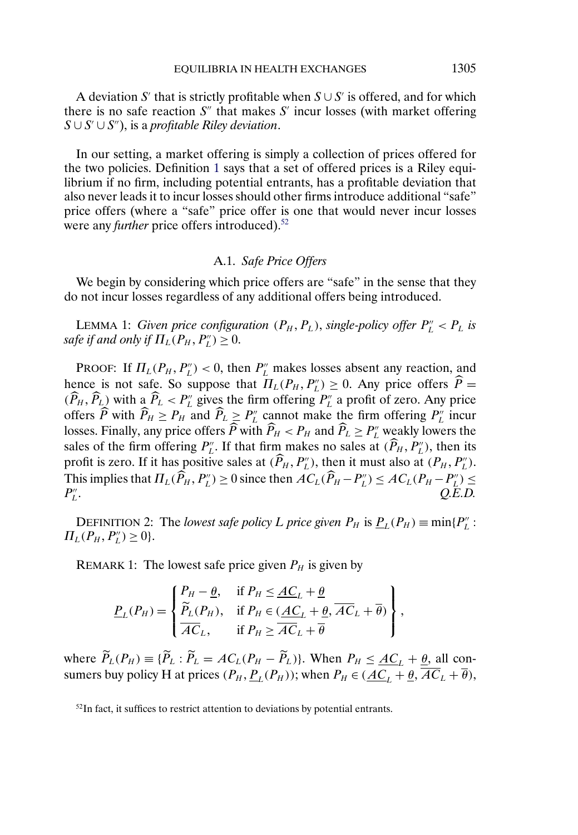<span id="page-45-0"></span>A deviation S' that is strictly profitable when  $S \cup S'$  is offered, and for which there is no safe reaction  $S''$  that makes  $S'$  incur losses (with market offering  $S \cup S' \cup S''$ ), is a *profitable Riley deviation*.

In our setting, a market offering is simply a collection of prices offered for the two policies. Definition [1](#page-44-0) says that a set of offered prices is a Riley equilibrium if no firm, including potential entrants, has a profitable deviation that also never leads it to incur losses should other firms introduce additional "safe" price offers (where a "safe" price offer is one that would never incur losses were any *further* price offers introduced).<sup>52</sup>

## A.1. *Safe Price Offers*

We begin by considering which price offers are "safe" in the sense that they do not incur losses regardless of any additional offers being introduced.

LEMMA 1: *Given price configuration*  $(P_H, P_L)$ , *single-policy offer*  $P_L^{\prime\prime} < P_L$  *is* safe if and only if  $\Pi_L(P_H, P''_L) \geq 0$ .

PROOF: If  $\Pi_L(P_H, P''_L) < 0$ , then  $P''_L$  makes losses absent any reaction, and hence is not safe. So suppose that  $\Pi_L(P_H, P_L'') \geq 0$ . Any price offers  $\widehat{P} =$  $(\widehat{P}_H, \widehat{P}_L)$  with a  $\widehat{P}_L < P''_L$  gives the firm offering  $P''_L$  a profit of zero. Any price offers  $\widehat{P}$  with  $\widehat{P}_H \geq P_H$  and  $\widehat{P}_L \geq P''_L$  cannot make the firm offering  $P''_L$  incur losses. Finally, any price offers  $\widehat{P}$  with  $\widehat{P}_H < P_H$  and  $\widehat{P}_L \ge P''_L$  weakly lowers the sales of the firm offering  $P_L^{\prime\prime}$ . If that firm makes no sales at  $(\widehat{P}_H, P_L^{\prime\prime})$ , then its profit is zero. If it has positive sales at  $(\widehat{P}_H, P_L'')$ , then it must also at  $(P_H, P_L'')$ . This implies that  $\Pi_L(\widehat{P}_H, P_L'') \ge 0$  since then  $AC_L(\widehat{P}_H - P_L'') \le AC_L(P_H - P_L'') \le BC_L P_L$  $P''_L$  $Q.E.D.$ 

DEFINITION 2: The *lowest safe policy L price given*  $P_H$  is  $\underline{P}_L(P_H) \equiv \min\{P_L^{\prime\prime}:$  $\Pi_L(P_H, P''_L) \geq 0$ .

REMARK 1: The lowest safe price given  $P_H$  is given by

$$
\underline{P}_L(P_H) = \begin{cases} P_H - \underline{\theta}, & \text{if } P_H \leq \underline{AC}_L + \underline{\theta} \\ \widetilde{P}_L(P_H), & \text{if } P_H \in (\underline{AC}_L + \underline{\theta}, \overline{AC}_L + \overline{\theta}) \\ \overline{AC}_L, & \text{if } P_H \geq \overline{AC}_L + \overline{\theta} \end{cases},
$$

where  $\overline{P}_L(P_H) \equiv \{P_L : P_L = AC_L(P_H - P_L)\}\.$  When  $P_H \leq \underline{AC}_L + \underline{\underline{\theta}}$ , all consumers buy policy H at prices  $(P_H, \underline{P}_L(P_H))$ ; when  $P_H \in (\underline{AC}_L + \underline{\theta}, \overline{AC}_L + \overline{\theta})$ ,

 $52$ In fact, it suffices to restrict attention to deviations by potential entrants.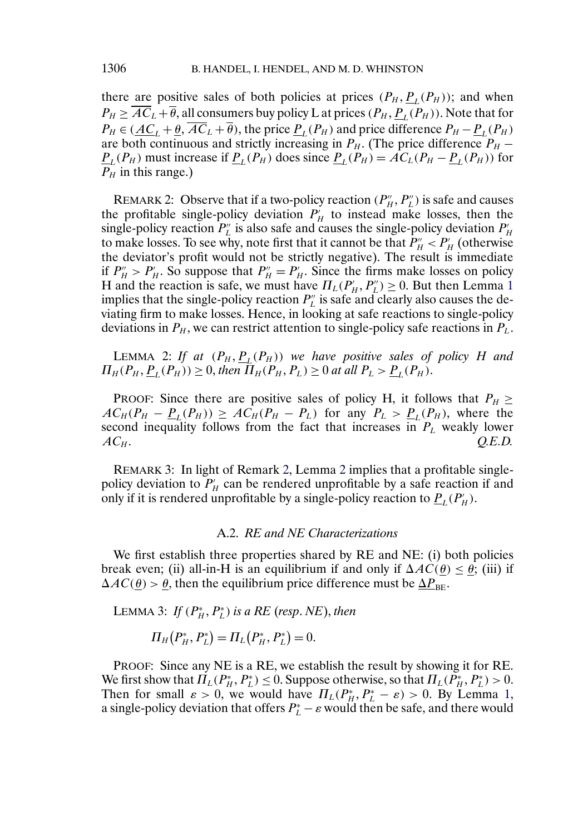<span id="page-46-0"></span>there are positive sales of both policies at prices  $(P_H, P_I(P_H))$ ; and when  $P_H \geq \overline{AC}_L + \overline{\theta}$ , all consumers buy policy L at prices  $(P_H, \underline{P}_L(P_H))$ . Note that for  $P_H \in (\underline{AC}_L + \underline{\theta}, \overline{AC}_L + \overline{\theta})$ , the price  $\underline{P}_L(P_H)$  and price difference  $P_H - \underline{P}_L(P_H)$ are both continuous and strictly increasing in  $P_H$ . (The price difference  $P_H$  –  $\underline{P}_L(P_H)$  must increase if  $\underline{P}_L(P_H)$  does since  $\underline{P}_L(P_H) = AC_L(P_H - \underline{P}_L(P_H))$  for  $P_H$  in this range.)

REMARK 2: Observe that if a two-policy reaction  $(P''_H, P''_L)$  is safe and causes the profitable single-policy deviation  $P'_{H}$  to instead make losses, then the single-policy reaction  $P_L^{\prime\prime}$  is also safe and causes the single-policy deviation  $P_H^{\prime}$ to make losses. To see why, note first that it cannot be that  $P''_H < P'_H$  (otherwise the deviator's profit would not be strictly negative). The result is immediate if  $P''_H > P'_H$ . So suppose that  $P''_H = P'_H$ . Since the firms make losses on policy H and the reaction is safe, we must have  $\Pi_L(P'_H, P''_L) \geq 0$ . But then Lemma [1](#page-45-0) implies that the single-policy reaction  $P_L^{\prime\prime}$  is safe and clearly also causes the deviating firm to make losses. Hence, in looking at safe reactions to single-policy deviations in  $P_H$ , we can restrict attention to single-policy safe reactions in  $P_L$ .

LEMMA 2: If at  $(P_H, P_L(P_H))$  we have positive sales of policy H and  $\Pi_H(P_H, \underline{P}_L(P_H)) \geq 0$ , then  $\Pi_H(P_H, P_L) \geq 0$  at all  $P_L > \underline{P}_L(P_H)$ .

PROOF: Since there are positive sales of policy H, it follows that  $P_H \ge$  $AC_H(P_H - P_L(P_H)) \ge AC_H(P_H - P_L)$  for any  $P_L > P_L(P_H)$ , where the second inequality follows from the fact that increases in  $P<sub>L</sub>$  weakly lower  $AC_H$ .  $Q.E.D.$ 

REMARK 3: In light of Remark 2, Lemma 2 implies that a profitable singlepolicy deviation to  $P'_H$  can be rendered unprofitable by a safe reaction if and only if it is rendered unprofitable by a single-policy reaction to  $\underline{P}_L(P'_H)$ .

## A.2. *RE and NE Characterizations*

We first establish three properties shared by RE and NE: (i) both policies break even; (ii) all-in-H is an equilibrium if and only if  $\Delta AC(\theta) \leq \theta$ ; (iii) if  $\Delta AC(\underline{\theta}) > \underline{\theta}$ , then the equilibrium price difference must be  $\Delta P_{\text{BE}}$ .

LEMMA 3: If  $(P_H^*, P_L^*)$  is a RE (resp. NE), then  $\Pi_H(P_H^*, P_L^*) = \Pi_L(P_H^*, P_L^*) = 0.$ 

PROOF: Since any NE is a RE, we establish the result by showing it for RE. We first show that  $\Pi_L(P_H^*, P_L^*) \leq 0$ . Suppose otherwise, so that  $\Pi_L(P_H^*, P_L^*) > 0$ . Then for small  $\varepsilon > 0$ , we would have  $\Pi_L(P_H^*, P_L^* - \varepsilon) > 0$ . By Lemma [1,](#page-45-0) a single-policy deviation that offers  $P_L^* - \varepsilon$  would then be safe, and there would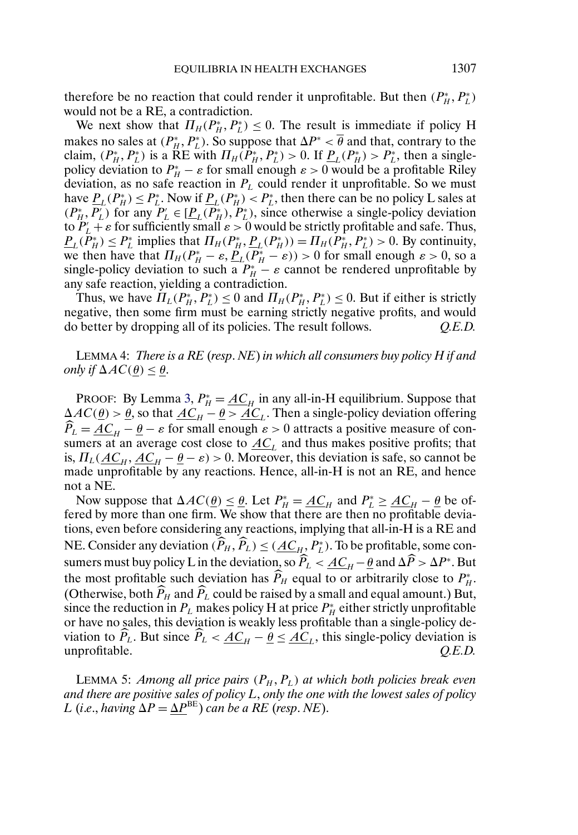<span id="page-47-0"></span>therefore be no reaction that could render it unprofitable. But then  $(P_H^*, P_L^*)$ would not be a RE, a contradiction.

We next show that  $\Pi_H(P_H^*, P_L^*) \leq 0$ . The result is immediate if policy H makes no sales at  $(P_H^*, P_L^*)$ . So suppose that  $\Delta P^* < \overline{\theta}$  and that, contrary to the claim,  $(P_H^*, P_L^*)$  is a RE with  $\Pi_H(P_H^*, P_L^*) > 0$ . If  $\underline{P}_L(P_H^*) > P_L^*$ , then a singlepolicy deviation to  $P_H^* - \varepsilon$  for small enough  $\varepsilon > 0$  would be a profitable Riley deviation, as no safe reaction in  $P<sub>L</sub>$  could render it unprofitable. So we must have  $\underline{P}_L(P_H^*) \le P_L^*$ . Now if  $\underline{P}_L(P_H^*) < P_L^*$ , then there can be no policy L sales at  $(P_H^*, P_L')$  for any  $P_L' \in [\underline{P}_L(P_H^*), P_L^*)$ , since otherwise a single-policy deviation to  $P'_L + \varepsilon$  for sufficiently small  $\varepsilon > 0$  would be strictly profitable and safe. Thus,  $\underline{P}_L(P_H^*) \leq P_L^*$  implies that  $\Pi_H(P_H^*, \underline{P}_L(P_H^*)) = \Pi_H(P_H^*, P_L^*) > 0$ . By continuity, we then have that  $\Pi_H(P_H^* - \varepsilon, \underline{P}_L(P_H^* - \varepsilon)) > 0$  for small enough  $\varepsilon > 0$ , so a single-policy deviation to such a  $P_H^* - \varepsilon$  cannot be rendered unprofitable by any safe reaction, yielding a contradiction.

Thus, we have  $\Pi_L(P_H^*, P_L^*) \leq 0$  and  $\Pi_H(P_H^*, P_L^*) \leq 0$ . But if either is strictly negative, then some firm must be earning strictly negative profits, and would do better by dropping all of its policies. The result follows. *Q.E.D.*

LEMMA 4: *There is a RE* (*resp*. *NE*) *in which all consumers buy policy H if and only if*  $\Delta AC(\theta) \leq \theta$ .

PROOF: By Lemma [3,](#page-46-0)  $P_H^* = \underline{AC}_H$  in any all-in-H equilibrium. Suppose that  $\Delta AC(\underline{\theta}) > \underline{\theta}$ , so that  $\underline{AC}_H - \underline{\theta} > \underline{AC}_L$ . Then a single-policy deviation offering  $\overline{P}_L = \underline{AC}_H - \underline{\theta} - \varepsilon$  for small enough  $\varepsilon > 0$  attracts a positive measure of consumers at an average cost close to  $AC<sub>L</sub>$  and thus makes positive profits; that is,  $\Pi_L(\mathcal{A}\mathcal{C}_H, \mathcal{A}\mathcal{C}_H - \theta - \varepsilon) > 0$ . Moreover, this deviation is safe, so cannot be made unprofitable by any reactions. Hence, all-in-H is not an RE, and hence not a NE.

Now suppose that  $\Delta AC(\underline{\theta}) \leq \underline{\theta}$ . Let  $P_H^* = \underline{AC}_H$  and  $P_L^* \geq \underline{AC}_H - \underline{\theta}$  be offered by more than one firm. We show that there are then no profitable deviations, even before considering any reactions, implying that all-in-H is a RE and NE. Consider any deviation  $(\widehat{P}_H, \widehat{P}_L) \leq (\underline{AC}_H, P_L^*)$ . To be profitable, some consumers must buy policy L in the deviation, so  $\widehat{P}_L < \underline{AC}_H - \underline{\theta}$  and  $\Delta \widehat{P} > \Delta P^*$ . But the most profitable such deviation has  $\widehat{P}_H$  equal to or arbitrarily close to  $P_H^*$ . (Otherwise, both  $P_H$  and  $P_L$  could be raised by a small and equal amount.) But, since the reduction in  $P_L$  makes policy H at price  $P_H^*$  either strictly unprofitable or have no sales, this deviation is weakly less profitable than a single-policy deviation to  $\hat{P}_L$ . But since  $\hat{P}_L < \underline{AC}_H - \underline{\theta} \leq \underline{AC}_L$ , this single-policy deviation is unprofitable. *Q.E.D.*

LEMMA 5: *Among all price pairs*  $(P_H, P_L)$  *at which both policies break even and there are positive sales of policy L*, *only the one with the lowest sales of policy L* (*i.e., having*  $\Delta P = \underline{\Delta P}^{\text{BE}}$ ) *can be a RE* (*resp. NE*).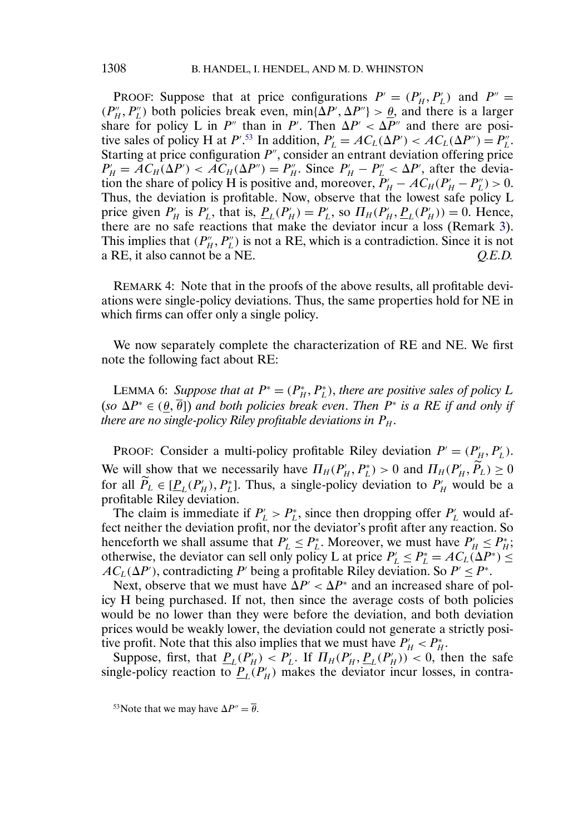PROOF: Suppose that at price configurations  $P' = (P'_H, P'_L)$  and  $P'' =$  $(P''_H, P''_L)$  both policies break even, min{ $\Delta P', \Delta P''$ } >  $\theta$ , and there is a larger share for policy L in P'' than in P'. Then  $\Delta P' < \Delta P''$  and there are positive sales of policy H at P'.<sup>53</sup> In addition,  $P'_L = AC_L(\Delta P') < AC_L(\Delta P'') = P''_L$ . Starting at price configuration  $P''$ , consider an entrant deviation offering price  $P'_H = AC_H(\Delta P') < AC_H(\Delta P'') = P''_H$ . Since  $P'_H - P''_L < \Delta P'$ , after the deviation the share of policy H is positive and, moreover,  $P'_H - AC_H(P'_H - P''_L) > 0$ . Thus, the deviation is profitable. Now, observe that the lowest safe policy L price given  $P'_H$  is  $P'_L$ , that is,  $\underline{P}_L(P'_H) = P'_L$ , so  $\Pi_H(P'_H, \underline{P}_L(P'_H)) = 0$ . Hence, there are no safe reactions that make the deviator incur a loss (Remark [3\)](#page-46-0). This implies that  $(P''_H, P''_L)$  is not a RE, which is a contradiction. Since it is not a RE, it also cannot be a NE. *Q.E.D.*

REMARK 4: Note that in the proofs of the above results, all profitable deviations were single-policy deviations. Thus, the same properties hold for NE in which firms can offer only a single policy.

We now separately complete the characterization of RE and NE. We first note the following fact about RE:

LEMMA 6: Suppose that at  $P^* = (P_H^*, P_L^*)$ , there are positive sales of policy L  $(s\alpha \Delta P^* \in (\theta, \overline{\theta}))$  and both policies break even. Then  $P^*$  *is a RE if and only if there are no single-policy Riley profitable deviations in*  $P_H$ .

PROOF: Consider a multi-policy profitable Riley deviation  $P' = (P'_H, P'_L)$ . We will show that we necessarily have  $\Pi_H(P'_H, P_L^*) > 0$  and  $\Pi_H(P'_H, P_L) \ge 0$ for all  $P_L \in [\underline{P}_L(P'_H), P_L^*]$ . Thus, a single-policy deviation to  $P'_H$  would be a profitable Riley deviation.

The claim is immediate if  $P'_L > P_L^*$ , since then dropping offer  $P'_L$  would affect neither the deviation profit, nor the deviator's profit after any reaction. So henceforth we shall assume that  $P'_L \le P_L^*$ . Moreover, we must have  $P'_H \le P_H^*$ ; otherwise, the deviator can sell only policy L at price  $P'_L \leq P^*_L = AC_L(\Delta P^*) \leq$  $AC_L(\Delta P')$ , contradicting P' being a profitable Riley deviation. So  $P' \le P^*$ .

Next, observe that we must have  $\Delta P' < \Delta P^*$  and an increased share of policy H being purchased. If not, then since the average costs of both policies would be no lower than they were before the deviation, and both deviation prices would be weakly lower, the deviation could not generate a strictly positive profit. Note that this also implies that we must have  $P'_H < P^*_H$ .

Suppose, first, that  $\underline{P}_L(P'_H) < P'_L$ . If  $\Pi_H(P'_H, \underline{P}_L(P'_H)) < 0$ , then the safe single-policy reaction to  $\underline{P}_L(P'_H)$  makes the deviator incur losses, in contra-

<span id="page-48-0"></span>

<sup>&</sup>lt;sup>53</sup>Note that we may have  $\Delta P'' = \overline{\theta}$ .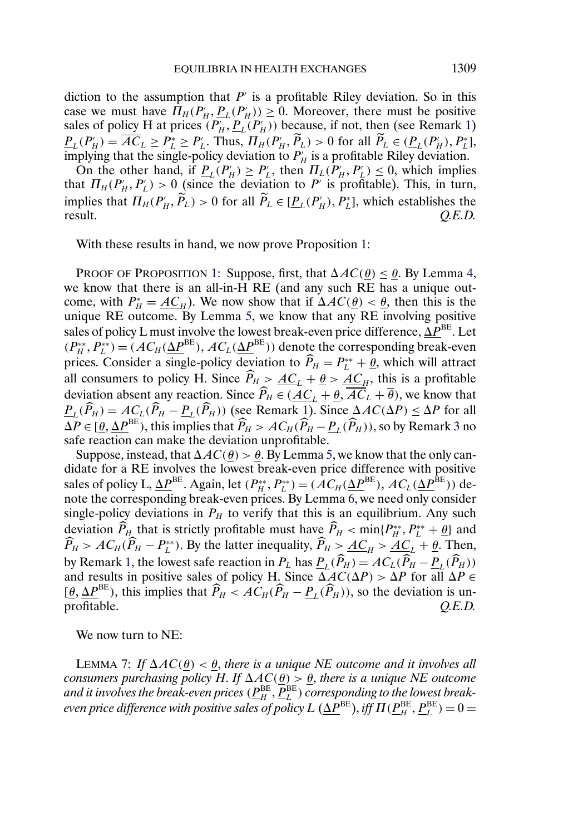<span id="page-49-0"></span>diction to the assumption that  $P'$  is a profitable Riley deviation. So in this case we must have  $\Pi_H(P'_H, \underline{P}_L(P'_H)) \geq 0$ . Moreover, there must be positive sales of policy H at prices  $(P'_H, \underline{P}_L(P'_H))$  because, if not, then (see Remark [1\)](#page-45-0)  $\underline{P}_L(P'_H) = \overline{AC}_L \ge P_L^* \ge P'_L$ . Thus,  $\Pi_H(P'_H, \overline{P}_L) > 0$  for all  $\overline{P}_L \in (\underline{P}_L(P'_H), \overline{P}_L^*]$ ,<br>includes that the size leading deviation to  $P'_L$  is a markingle Dilay deviation. implying that the single-policy deviation to  $P'_H$  is a profitable Riley deviation.

On the other hand, if  $\underline{P}_L(P'_H) \ge P'_L$ , then  $\Pi_L(P'_H, P'_L) \le 0$ , which implies that  $\Pi_H(P'_H, P'_L) > 0$  (since the deviation to P' is profitable). This, in turn, implies that  $\Pi_H(P'_H, \tilde{P}_L) > 0$  for all  $\tilde{P}_L \in [\underline{P}_L(P'_H), P_L^*]$ , which establishes the result. *Q.E.D.*

With these results in hand, we now prove Proposition [1:](#page-10-0)

PROOF OF PROPOSITION [1:](#page-10-0) Suppose, first, that  $\Delta AC(\theta) < \theta$ . By Lemma [4,](#page-47-0) we know that there is an all-in-H RE (and any such RE has a unique outcome, with  $P_H^* = \underline{AC}_H$ ). We now show that if  $\Delta AC(\underline{\theta}) < \underline{\theta}$ , then this is the unique RE outcome. By Lemma [5,](#page-47-0) we know that any RE involving positive sales of policy L must involve the lowest break-even price difference,  $\Delta P^{\text{BE}}$ . Let  $(P_{H}^{**}, P_{L}^{**}) = (AC_{H}(\Delta P^{\text{BE}}), AC_{L}(\Delta P^{\text{BE}}))$  denote the corresponding break-even prices. Consider a single-policy deviation to  $\widehat{P}_H = P_L^{**} + \underline{\theta}$ , which will attract all consumers to policy H. Since  $P_H > AC_L + \theta > AC_H$ , this is a profitable deviation absent any reaction. Since  $\widehat{P}_H \in (\underline{AC}_L + \underline{\theta}, \overline{AC}_L + \overline{\theta})$ , we know that  $\underline{P}_L(\overline{P}_H) = A C_L(\overline{P}_H - \underline{P}_L(\overline{P}_H))$  (see Remark [1\)](#page-45-0). Since  $\Delta AC(\Delta P) \leq \Delta P$  for all  $\Delta P \in [\underline{\theta}, \underline{\Delta P}^{BE})$ , this implies that  $\widehat{P}_H > AC_H(\widehat{P}_H - \underline{P}_L(\widehat{P}_H))$ , so by Remark [3](#page-46-0) no safe reaction can make the deviation unprofitable.

Suppose, instead, that  $\Delta AC(\theta) > \theta$ . By Lemma [5,](#page-47-0) we know that the only candidate for a RE involves the lowest break-even price difference with positive sales of policy L,  $\underline{\Delta P}^{\text{BE}}$ . Again, let  $(P_{H}^{**}, P_{L}^{**}) = (AC_{H}(\underline{\Delta P}^{\text{BE}}), AC_{L}(\underline{\Delta P}^{\text{BE}}))$  denote the corresponding break-even prices. By Lemma [6,](#page-48-0) we need only consider single-policy deviations in  $P_H$  to verify that this is an equilibrium. Any such deviation  $\widehat{P}_H$  that is strictly profitable must have  $\widehat{P}_H < \min\{P_H^{**}, P_L^{**} + \underline{\theta}\}$  and  $\widehat{P}_H > AC_H(\widehat{P}_H - P_L^{**})$ . By the latter inequality,  $\widehat{P}_H > AC_H > AC_L + \theta$ . Then, by Remark [1,](#page-45-0) the lowest safe reaction in  $P_L$  has  $\underline{P}_L(\overline{P}_H) = AC_L(\overline{P}_H - \underline{P}_L(\overline{P}_H))$ <br>and results in positive sales of policy H. Since  $\Delta AC(\Delta P) > \Delta P$  for all  $\Delta P \in$  $[\underline{\theta}, \underline{\Delta}P^{BE}]$ , this implies that  $\widehat{P}_H < AC_H(\widehat{P}_H - \underline{P}_L(\widehat{P}_H))$ , so the deviation is unprofitable. *Q.E.D.*

We now turn to NE:

LEMMA 7: If  $\Delta AC(\theta) < \theta$ , there is a unique NE outcome and it involves all *consumers purchasing policy H. If*  $\Delta AC(\underline{\theta}) > \underline{\theta}$ , *there is a unique NE outcome* and it involves the break-even prices  $(\underline{P}_{H}^{\text{BE}}, \underline{P}_{L}^{\text{BE}})$  corresponding to the lowest break*even price difference with positive sales of policy L*  $(\underline{\Delta P}^{\text{BE}})$ , *iff*  $\Pi(\underline{P}_{H}^{\text{BE}},\underline{P}_{L}^{\text{BE}})$  = 0 =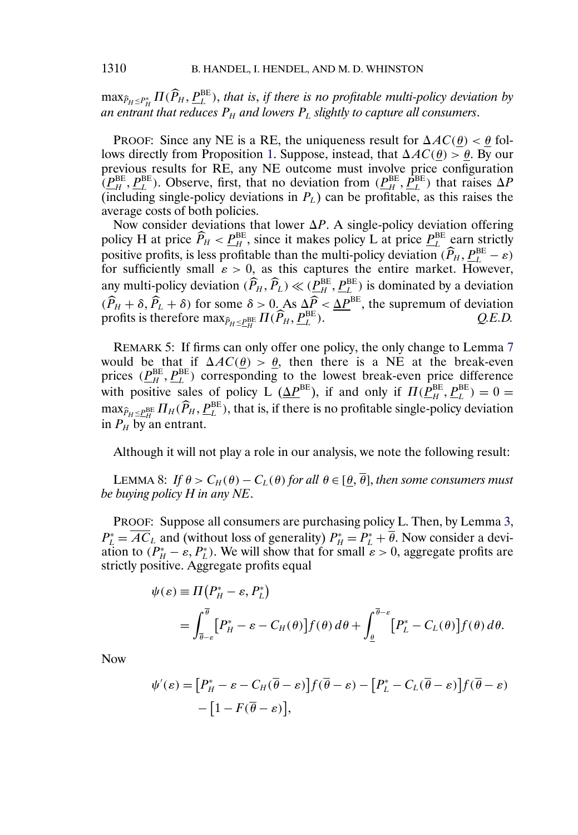$\max_{\widehat{P}_H \leq P_H^*} \Pi(\widehat{P}_H, \underline{P}_L^{\text{BE}})$ , *that is, if there is no profitable multi-policy deviation by an entrant that reduces*  $P_H$  *and lowers*  $P_L$  *slightly to capture all consumers.* 

PROOF: Since any NE is a RE, the uniqueness result for  $\Delta AC(\theta) < \theta$  fol-lows directly from Proposition [1.](#page-10-0) Suppose, instead, that  $\Delta AC(\theta) > \theta$ . By our previous results for RE, any NE outcome must involve price configuration  $(\underline{P}_{H}^{BE}, \underline{P}_{L}^{BE})$ . Observe, first, that no deviation from  $(\underline{P}_{H}^{BE}, \underline{P}_{L}^{BE})$  that raises  $\Delta P$ (including single-policy deviations in  $P<sub>L</sub>$ ) can be profitable, as this raises the average costs of both policies.

Now consider deviations that lower  $\Delta P$ . A single-policy deviation offering policy H at price  $\widehat{P}_H < \underline{P}_H^{\text{BE}}$ , since it makes policy L at price  $\underline{P}_L^{\text{BE}}$  earn strictly positive profits, is less profitable than the multi-policy deviation  $(\widehat{P}_H, \underline{P}_L^{\text{BE}} - \varepsilon)$ for sufficiently small  $\varepsilon > 0$ , as this captures the entire market. However, any multi-policy deviation  $(\widehat{P}_H, \widehat{P}_L) \ll (\underline{P}_A^{BE}, \underline{P}_L^{BE})$  is dominated by a deviation  $(\widehat{P}_H + \delta, \widehat{P}_L + \delta)$  for some  $\delta > 0$ . As  $\Delta \widehat{P} < \Delta P^{\text{BE}}$ , the supremum of deviation profits is therefore max $\widehat{P}_H \leq \underline{P}_H^{\text{BE}} \Pi(\widehat{P}_H, \underline{P}_L^{\text{BE}})$ . *Q.E.D.* 

REMARK 5: If firms can only offer one policy, the only change to Lemma [7](#page-49-0) would be that if  $\Delta AC(\theta) > \theta$ , then there is a NE at the break-even prices  $(\underline{P}_{H}^{BE}, \underline{P}_{L}^{BE})$  corresponding to the lowest break-even price difference with positive sales of policy L ( $\underline{\Delta P}^{BE}$ ), if and only if  $\Pi(\underline{P}^{BE}_H, \underline{P}^{BE}_L) = 0$  =  $\max_{\widehat{P}_H \le P_H^{\text{BE}}} \prod_H (\widehat{P}_H, \underline{P}_L^{\text{BE}})$ , that is, if there is no profitable single-policy deviation in  $P_H$  by an entrant.

Although it will not play a role in our analysis, we note the following result:

LEMMA 8: *If*  $\theta > C_H(\theta) - C_L(\theta)$  *for all*  $\theta \in [\theta, \overline{\theta}]$ *, then some consumers must be buying policy H in any NE*.

PROOF: Suppose all consumers are purchasing policy L. Then, by Lemma [3,](#page-46-0)  $P_L^* = \overline{AC}_L$  and (without loss of generality)  $P_H^* = P_L^* + \overline{\theta}$ . Now consider a deviation to  $(P_H^* - \varepsilon, P_L^*)$ . We will show that for small  $\varepsilon > 0$ , aggregate profits are strictly positive. Aggregate profits equal

$$
\psi(\varepsilon) \equiv \Pi \left( P_H^* - \varepsilon, P_L^* \right)
$$
  
= 
$$
\int_{\overline{\theta}-\varepsilon}^{\overline{\theta}} \left[ P_H^* - \varepsilon - C_H(\theta) \right] f(\theta) d\theta + \int_{\underline{\theta}}^{\overline{\theta}-\varepsilon} \left[ P_L^* - C_L(\theta) \right] f(\theta) d\theta.
$$

Now

$$
\psi'(s) = [P_H^* - \varepsilon - C_H(\overline{\theta} - \varepsilon)]f(\overline{\theta} - \varepsilon) - [P_L^* - C_L(\overline{\theta} - \varepsilon)]f(\overline{\theta} - \varepsilon) - [1 - F(\overline{\theta} - \varepsilon)],
$$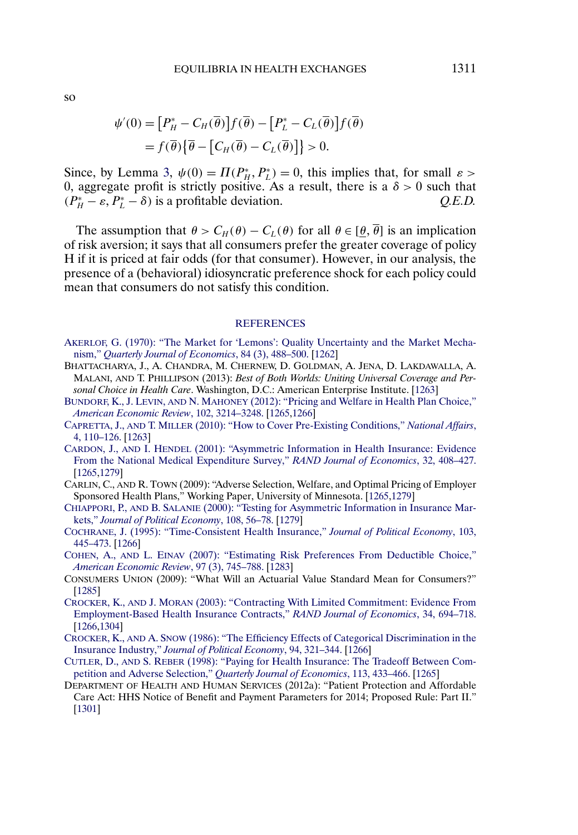$$
\psi'(0) = [P_H^* - C_H(\overline{\theta})]f(\overline{\theta}) - [P_L^* - C_L(\overline{\theta})]f(\overline{\theta})
$$
  
=  $f(\overline{\theta}) \{\overline{\theta} - [C_H(\overline{\theta}) - C_L(\overline{\theta})] \} > 0.$ 

Since, by Lemma [3,](#page-46-0)  $\psi(0) = \Pi(P_H^*, P_L^*) = 0$ , this implies that, for small  $\varepsilon >$ 0, aggregate profit is strictly positive. As a result, there is a  $\delta > 0$  such that  $(P_H^* - \varepsilon, P_L^* - \delta)$  is a profitable deviation.  $Q.E.D.$ 

The assumption that  $\theta > C_H(\theta) - C_L(\theta)$  for all  $\theta \in [\theta, \overline{\theta}]$  is an implication of risk aversion; it says that all consumers prefer the greater coverage of policy H if it is priced at fair odds (for that consumer). However, in our analysis, the presence of a (behavioral) idiosyncratic preference shock for each policy could mean that consumers do not satisfy this condition.

#### **[REFERENCES](http://www.e-publications.org/srv/ecta/linkserver/setprefs?rfe_id=urn:sici%2F0012-9682%28201507%2983%3A4%3C1261%3AEIHEAS%3E2.0.CO%3B2-J)**

- [AKERLOF, G. \(1970\): "The Market for 'Lemons': Quality Uncertainty and the Market Mecha](http://www.e-publications.org/srv/ecta/linkserver/openurl?rft_dat=bib:1/ak70&rfe_id=urn:sici%2F0012-9682%28201507%2983%3A4%3C1261%3AEIHEAS%3E2.0.CO%3B2-J)nism," *[Quarterly Journal of Economics](http://www.e-publications.org/srv/ecta/linkserver/openurl?rft_dat=bib:1/ak70&rfe_id=urn:sici%2F0012-9682%28201507%2983%3A4%3C1261%3AEIHEAS%3E2.0.CO%3B2-J)*, 84 (3), 488–500. [\[1262\]](#page-1-0)
- BHATTACHARYA, J., A. CHANDRA, M. CHERNEW, D. GOLDMAN, A. JENA, D. LAKDAWALLA, A. MALANI, AND T. PHILLIPSON (2013): *Best of Both Worlds: Uniting Universal Coverage and Personal Choice in Health Care*. Washington, D.C.: American Enterprise Institute. [\[1263\]](#page-2-0)
- BUNDORF, K., J. LEVIN, AND N. MAHONEY [\(2012\): "Pricing and Welfare in Health Plan Choice,"](http://www.e-publications.org/srv/ecta/linkserver/openurl?rft_dat=bib:3/Bunetal2012&rfe_id=urn:sici%2F0012-9682%28201507%2983%3A4%3C1261%3AEIHEAS%3E2.0.CO%3B2-J) *[American Economic Review](http://www.e-publications.org/srv/ecta/linkserver/openurl?rft_dat=bib:3/Bunetal2012&rfe_id=urn:sici%2F0012-9682%28201507%2983%3A4%3C1261%3AEIHEAS%3E2.0.CO%3B2-J)*, 102, 3214–3248. [\[1265,](#page-4-0)[1266\]](#page-5-0)
- CAPRETTA, J., AND T. MILLER [\(2010\): "How to Cover Pre-Existing Conditions,"](http://www.e-publications.org/srv/ecta/linkserver/openurl?rft_dat=bib:4/CapMil2010&rfe_id=urn:sici%2F0012-9682%28201507%2983%3A4%3C1261%3AEIHEAS%3E2.0.CO%3B2-J) *National Affairs*, [4, 110–126.](http://www.e-publications.org/srv/ecta/linkserver/openurl?rft_dat=bib:4/CapMil2010&rfe_id=urn:sici%2F0012-9682%28201507%2983%3A4%3C1261%3AEIHEAS%3E2.0.CO%3B2-J) [\[1263\]](#page-2-0)
- CARDON, J., AND I. HENDEL [\(2001\): "Asymmetric Information in Health Insurance: Evidence](http://www.e-publications.org/srv/ecta/linkserver/openurl?rft_dat=bib:5/CarHen2001&rfe_id=urn:sici%2F0012-9682%28201507%2983%3A4%3C1261%3AEIHEAS%3E2.0.CO%3B2-J) [From the National Medical Expenditure Survey,"](http://www.e-publications.org/srv/ecta/linkserver/openurl?rft_dat=bib:5/CarHen2001&rfe_id=urn:sici%2F0012-9682%28201507%2983%3A4%3C1261%3AEIHEAS%3E2.0.CO%3B2-J) *RAND Journal of Economics*, 32, 408–427. [\[1265,](#page-4-0)[1279\]](#page-18-0)
- CARLIN, C., AND R. TOWN (2009): "Adverse Selection, Welfare, and Optimal Pricing of Employer Sponsored Health Plans," Working Paper, University of Minnesota. [\[1265](#page-4-0)[,1279\]](#page-18-0)
- CHIAPPORI, P., AND B. SALANIE [\(2000\): "Testing for Asymmetric Information in Insurance Mar](http://www.e-publications.org/srv/ecta/linkserver/openurl?rft_dat=bib:7/Chiappori&rfe_id=urn:sici%2F0012-9682%28201507%2983%3A4%3C1261%3AEIHEAS%3E2.0.CO%3B2-J)kets," *[Journal of Political Economy](http://www.e-publications.org/srv/ecta/linkserver/openurl?rft_dat=bib:7/Chiappori&rfe_id=urn:sici%2F0012-9682%28201507%2983%3A4%3C1261%3AEIHEAS%3E2.0.CO%3B2-J)*, 108, 56–78. [\[1279\]](#page-18-0)
- [COCHRANE, J. \(1995\): "Time-Consistent Health Insurance,"](http://www.e-publications.org/srv/ecta/linkserver/openurl?rft_dat=bib:8/Coc1995&rfe_id=urn:sici%2F0012-9682%28201507%2983%3A4%3C1261%3AEIHEAS%3E2.0.CO%3B2-J) *Journal of Political Economy*, 103, [445–473.](http://www.e-publications.org/srv/ecta/linkserver/openurl?rft_dat=bib:8/Coc1995&rfe_id=urn:sici%2F0012-9682%28201507%2983%3A4%3C1261%3AEIHEAS%3E2.0.CO%3B2-J) [\[1266\]](#page-5-0)
- COHEN, A., AND L. EINAV [\(2007\): "Estimating Risk Preferences From Deductible Choice,"](http://www.e-publications.org/srv/ecta/linkserver/openurl?rft_dat=bib:9/coei07&rfe_id=urn:sici%2F0012-9682%28201507%2983%3A4%3C1261%3AEIHEAS%3E2.0.CO%3B2-J) *[American Economic Review](http://www.e-publications.org/srv/ecta/linkserver/openurl?rft_dat=bib:9/coei07&rfe_id=urn:sici%2F0012-9682%28201507%2983%3A4%3C1261%3AEIHEAS%3E2.0.CO%3B2-J)*, 97 (3), 745–788. [\[1283\]](#page-22-0)
- CONSUMERS UNION (2009): "What Will an Actuarial Value Standard Mean for Consumers?" [\[1285\]](#page-24-0)
- CROCKER, K., AND J. MORAN [\(2003\): "Contracting With Limited Commitment: Evidence From](http://www.e-publications.org/srv/ecta/linkserver/openurl?rft_dat=bib:11/Crocker&rfe_id=urn:sici%2F0012-9682%28201507%2983%3A4%3C1261%3AEIHEAS%3E2.0.CO%3B2-J) [Employment-Based Health Insurance Contracts,"](http://www.e-publications.org/srv/ecta/linkserver/openurl?rft_dat=bib:11/Crocker&rfe_id=urn:sici%2F0012-9682%28201507%2983%3A4%3C1261%3AEIHEAS%3E2.0.CO%3B2-J) *RAND Journal of Economics*, 34, 694–718. [\[1266,](#page-5-0)[1304\]](#page-43-0)
- CROCKER, K., AND A. SNOW [\(1986\): "The Efficiency Effects of Categorical Discrimination in the](http://www.e-publications.org/srv/ecta/linkserver/openurl?rft_dat=bib:12/Crocker2&rfe_id=urn:sici%2F0012-9682%28201507%2983%3A4%3C1261%3AEIHEAS%3E2.0.CO%3B2-J) Insurance Industry," *[Journal of Political Economy](http://www.e-publications.org/srv/ecta/linkserver/openurl?rft_dat=bib:12/Crocker2&rfe_id=urn:sici%2F0012-9682%28201507%2983%3A4%3C1261%3AEIHEAS%3E2.0.CO%3B2-J)*, 94, 321–344. [\[1266\]](#page-5-0)
- CUTLER, D., AND S. REBER [\(1998\): "Paying for Health Insurance: The Tradeoff Between Com](http://www.e-publications.org/srv/ecta/linkserver/openurl?rft_dat=bib:13/CutReb1998&rfe_id=urn:sici%2F0012-9682%28201507%2983%3A4%3C1261%3AEIHEAS%3E2.0.CO%3B2-J)[petition and Adverse Selection,"](http://www.e-publications.org/srv/ecta/linkserver/openurl?rft_dat=bib:13/CutReb1998&rfe_id=urn:sici%2F0012-9682%28201507%2983%3A4%3C1261%3AEIHEAS%3E2.0.CO%3B2-J) *Quarterly Journal of Economics*, 113, 433–466. [\[1265\]](#page-4-0)
- DEPARTMENT OF HEALTH AND HUMAN SERVICES (2012a): "Patient Protection and Affordable Care Act: HHS Notice of Benefit and Payment Parameters for 2014; Proposed Rule: Part II." [\[1301\]](#page-40-0)

<span id="page-51-0"></span>so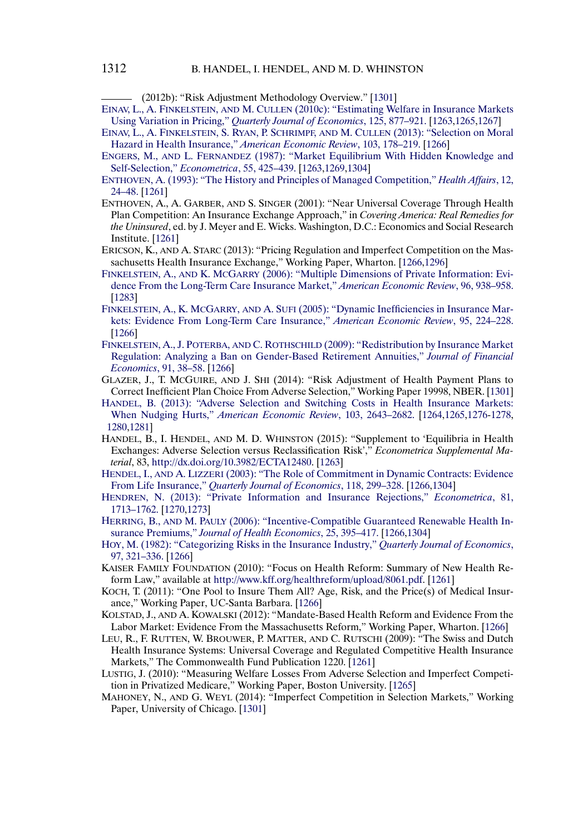(2012b): "Risk Adjustment Methodology Overview." [\[1301\]](#page-40-0)

- <span id="page-52-0"></span>EINAV, L., A. FINKELSTEIN, AND M. CULLEN [\(2010c\): "Estimating Welfare in Insurance Markets](http://www.e-publications.org/srv/ecta/linkserver/openurl?rft_dat=bib:16/Einetal2010c&rfe_id=urn:sici%2F0012-9682%28201507%2983%3A4%3C1261%3AEIHEAS%3E2.0.CO%3B2-J) Using Variation in Pricing," *[Quarterly Journal of Economics](http://www.e-publications.org/srv/ecta/linkserver/openurl?rft_dat=bib:16/Einetal2010c&rfe_id=urn:sici%2F0012-9682%28201507%2983%3A4%3C1261%3AEIHEAS%3E2.0.CO%3B2-J)*, 125, 877–921. [\[1263,](#page-2-0)[1265,](#page-4-0)[1267\]](#page-6-0)
- [EINAV, L., A. FINKELSTEIN, S. RYAN, P. SCHRIMPF,](http://www.e-publications.org/srv/ecta/linkserver/openurl?rft_dat=bib:17/Einetal2013&rfe_id=urn:sici%2F0012-9682%28201507%2983%3A4%3C1261%3AEIHEAS%3E2.0.CO%3B2-J) AND M. CULLEN (2013): "Selection on Moral [Hazard in Health Insurance,"](http://www.e-publications.org/srv/ecta/linkserver/openurl?rft_dat=bib:17/Einetal2013&rfe_id=urn:sici%2F0012-9682%28201507%2983%3A4%3C1261%3AEIHEAS%3E2.0.CO%3B2-J) *American Economic Review*, 103, 178–219. [\[1266\]](#page-5-0)
- ENGERS, M., AND L. FERNANDEZ [\(1987\): "Market Equilibrium With Hidden Knowledge and](http://www.e-publications.org/srv/ecta/linkserver/openurl?rft_dat=bib:18/EngFer1987&rfe_id=urn:sici%2F0012-9682%28201507%2983%3A4%3C1261%3AEIHEAS%3E2.0.CO%3B2-J) [Self-Selection,"](http://www.e-publications.org/srv/ecta/linkserver/openurl?rft_dat=bib:18/EngFer1987&rfe_id=urn:sici%2F0012-9682%28201507%2983%3A4%3C1261%3AEIHEAS%3E2.0.CO%3B2-J) *Econometrica*, 55, 425–439. [\[1263](#page-2-0)[,1269](#page-8-0)[,1304\]](#page-43-0)
- [ENTHOVEN, A. \(1993\): "The History and Principles of Managed Competition,"](http://www.e-publications.org/srv/ecta/linkserver/openurl?rft_dat=bib:19/Ent1993&rfe_id=urn:sici%2F0012-9682%28201507%2983%3A4%3C1261%3AEIHEAS%3E2.0.CO%3B2-J) *Health Affairs*, 12, [24–48.](http://www.e-publications.org/srv/ecta/linkserver/openurl?rft_dat=bib:19/Ent1993&rfe_id=urn:sici%2F0012-9682%28201507%2983%3A4%3C1261%3AEIHEAS%3E2.0.CO%3B2-J) [\[1261\]](#page-0-0)
- ENTHOVEN, A., A. GARBER, AND S. SINGER (2001): "Near Universal Coverage Through Health Plan Competition: An Insurance Exchange Approach," in *Covering America: Real Remedies for the Uninsured*, ed. by J. Meyer and E. Wicks. Washington, D.C.: Economics and Social Research Institute. [\[1261\]](#page-0-0)
- ERICSON, K., AND A. STARC (2013): "Pricing Regulation and Imperfect Competition on the Massachusetts Health Insurance Exchange," Working Paper, Wharton. [\[1266](#page-5-0)[,1296\]](#page-35-0)
- FINKELSTEIN, A., AND K. MCGARRY [\(2006\): "Multiple Dimensions of Private Information: Evi](http://www.e-publications.org/srv/ecta/linkserver/openurl?rft_dat=bib:22/FinMcG2006&rfe_id=urn:sici%2F0012-9682%28201507%2983%3A4%3C1261%3AEIHEAS%3E2.0.CO%3B2-J)[dence From the Long-Term Care Insurance Market,"](http://www.e-publications.org/srv/ecta/linkserver/openurl?rft_dat=bib:22/FinMcG2006&rfe_id=urn:sici%2F0012-9682%28201507%2983%3A4%3C1261%3AEIHEAS%3E2.0.CO%3B2-J) *American Economic Review*, 96, 938–958. [\[1283\]](#page-22-0)
- FINKELSTEIN, A., K. MCGARRY, AND A. SUFI [\(2005\): "Dynamic Inefficiencies in Insurance Mar](http://www.e-publications.org/srv/ecta/linkserver/openurl?rft_dat=bib:23/Finetal&rfe_id=urn:sici%2F0012-9682%28201507%2983%3A4%3C1261%3AEIHEAS%3E2.0.CO%3B2-J)[kets: Evidence From Long-Term Care Insurance,"](http://www.e-publications.org/srv/ecta/linkserver/openurl?rft_dat=bib:23/Finetal&rfe_id=urn:sici%2F0012-9682%28201507%2983%3A4%3C1261%3AEIHEAS%3E2.0.CO%3B2-J) *American Economic Review*, 95, 224–228. [\[1266\]](#page-5-0)
- FINKELSTEIN, A., J. POTERBA, AND C. ROTHSCHILD [\(2009\): "Redistribution by Insurance Market](http://www.e-publications.org/srv/ecta/linkserver/openurl?rft_dat=bib:24/Fink&rfe_id=urn:sici%2F0012-9682%28201507%2983%3A4%3C1261%3AEIHEAS%3E2.0.CO%3B2-J) [Regulation: Analyzing a Ban on Gender-Based Retirement Annuities,"](http://www.e-publications.org/srv/ecta/linkserver/openurl?rft_dat=bib:24/Fink&rfe_id=urn:sici%2F0012-9682%28201507%2983%3A4%3C1261%3AEIHEAS%3E2.0.CO%3B2-J) *Journal of Financial Economics*[, 91, 38–58.](http://www.e-publications.org/srv/ecta/linkserver/openurl?rft_dat=bib:24/Fink&rfe_id=urn:sici%2F0012-9682%28201507%2983%3A4%3C1261%3AEIHEAS%3E2.0.CO%3B2-J) [\[1266\]](#page-5-0)
- GLAZER, J., T. MCGUIRE, AND J. SHI (2014): "Risk Adjustment of Health Payment Plans to Correct Inefficient Plan Choice From Adverse Selection," Working Paper 19998, NBER. [\[1301\]](#page-40-0)
- [HANDEL, B. \(2013\): "Adverse Selection and Switching Costs in Health Insurance Markets:](http://www.e-publications.org/srv/ecta/linkserver/openurl?rft_dat=bib:26/Handel&rfe_id=urn:sici%2F0012-9682%28201507%2983%3A4%3C1261%3AEIHEAS%3E2.0.CO%3B2-J) When Nudging Hurts," *[American Economic Review](http://www.e-publications.org/srv/ecta/linkserver/openurl?rft_dat=bib:26/Handel&rfe_id=urn:sici%2F0012-9682%28201507%2983%3A4%3C1261%3AEIHEAS%3E2.0.CO%3B2-J)*, 103, 2643–2682. [\[1264](#page-3-0)[,1265](#page-4-0)[,1276](#page-15-0)[-1278,](#page-17-0) [1280,](#page-19-0)[1281\]](#page-20-0)
- HANDEL, B., I. HENDEL, AND M. D. WHINSTON (2015): "Supplement to 'Equilibria in Health Exchanges: Adverse Selection versus Reclassification Risk'," *Econometrica Supplemental Material*, 83, <http://dx.doi.org/10.3982/ECTA12480>. [\[1263\]](#page-2-0)
- HENDEL, I., AND A. LIZZERI [\(2003\): "The Role of Commitment in Dynamic Contracts: Evidence](http://www.e-publications.org/srv/ecta/linkserver/openurl?rft_dat=bib:28/HenLiz2003&rfe_id=urn:sici%2F0012-9682%28201507%2983%3A4%3C1261%3AEIHEAS%3E2.0.CO%3B2-J) From Life Insurance," *[Quarterly Journal of Economics](http://www.e-publications.org/srv/ecta/linkserver/openurl?rft_dat=bib:28/HenLiz2003&rfe_id=urn:sici%2F0012-9682%28201507%2983%3A4%3C1261%3AEIHEAS%3E2.0.CO%3B2-J)*, 118, 299–328. [\[1266,](#page-5-0)[1304\]](#page-43-0)
- [HENDREN, N. \(2013\): "Private Information and Insurance Rejections,"](http://www.e-publications.org/srv/ecta/linkserver/openurl?rft_dat=bib:29/Hendren&rfe_id=urn:sici%2F0012-9682%28201507%2983%3A4%3C1261%3AEIHEAS%3E2.0.CO%3B2-J) *Econometrica*, 81, [1713–1762.](http://www.e-publications.org/srv/ecta/linkserver/openurl?rft_dat=bib:29/Hendren&rfe_id=urn:sici%2F0012-9682%28201507%2983%3A4%3C1261%3AEIHEAS%3E2.0.CO%3B2-J) [\[1270](#page-9-0)[,1273\]](#page-12-0)
- HERRING, B., AND M. PAULY [\(2006\): "Incentive-Compatible Guaranteed Renewable Health In](http://www.e-publications.org/srv/ecta/linkserver/openurl?rft_dat=bib:30/HerPau2006&rfe_id=urn:sici%2F0012-9682%28201507%2983%3A4%3C1261%3AEIHEAS%3E2.0.CO%3B2-J)surance Premiums," *[Journal of Health Economics](http://www.e-publications.org/srv/ecta/linkserver/openurl?rft_dat=bib:30/HerPau2006&rfe_id=urn:sici%2F0012-9682%28201507%2983%3A4%3C1261%3AEIHEAS%3E2.0.CO%3B2-J)*, 25, 395–417. [\[1266,](#page-5-0)[1304\]](#page-43-0)
- [HOY, M. \(1982\): "Categorizing Risks in the Insurance Industry,"](http://www.e-publications.org/srv/ecta/linkserver/openurl?rft_dat=bib:31/Hoy&rfe_id=urn:sici%2F0012-9682%28201507%2983%3A4%3C1261%3AEIHEAS%3E2.0.CO%3B2-J) *Quarterly Journal of Economics*, [97, 321–336.](http://www.e-publications.org/srv/ecta/linkserver/openurl?rft_dat=bib:31/Hoy&rfe_id=urn:sici%2F0012-9682%28201507%2983%3A4%3C1261%3AEIHEAS%3E2.0.CO%3B2-J) [\[1266\]](#page-5-0)
- KAISER FAMILY FOUNDATION (2010): "Focus on Health Reform: Summary of New Health Reform Law," available at [http://www.kff.org/healthreform/upload/8061.pdf.](http://www.kff.org/healthreform/upload/8061.pdf) [\[1261\]](#page-0-0)
- KOCH, T. (2011): "One Pool to Insure Them All? Age, Risk, and the Price(s) of Medical Insurance," Working Paper, UC-Santa Barbara. [\[1266\]](#page-5-0)
- KOLSTAD, J., AND A. KOWALSKI (2012): "Mandate-Based Health Reform and Evidence From the Labor Market: Evidence From the Massachusetts Reform," Working Paper, Wharton. [\[1266\]](#page-5-0)
- LEU, R., F. RUTTEN, W. BROUWER, P. MATTER, AND C. RUTSCHI (2009): "The Swiss and Dutch Health Insurance Systems: Universal Coverage and Regulated Competitive Health Insurance Markets," The Commonwealth Fund Publication 1220. [\[1261\]](#page-0-0)
- LUSTIG, J. (2010): "Measuring Welfare Losses From Adverse Selection and Imperfect Competition in Privatized Medicare," Working Paper, Boston University. [\[1265\]](#page-4-0)
- MAHONEY, N., AND G. WEYL (2014): "Imperfect Competition in Selection Markets," Working Paper, University of Chicago. [\[1301\]](#page-40-0)